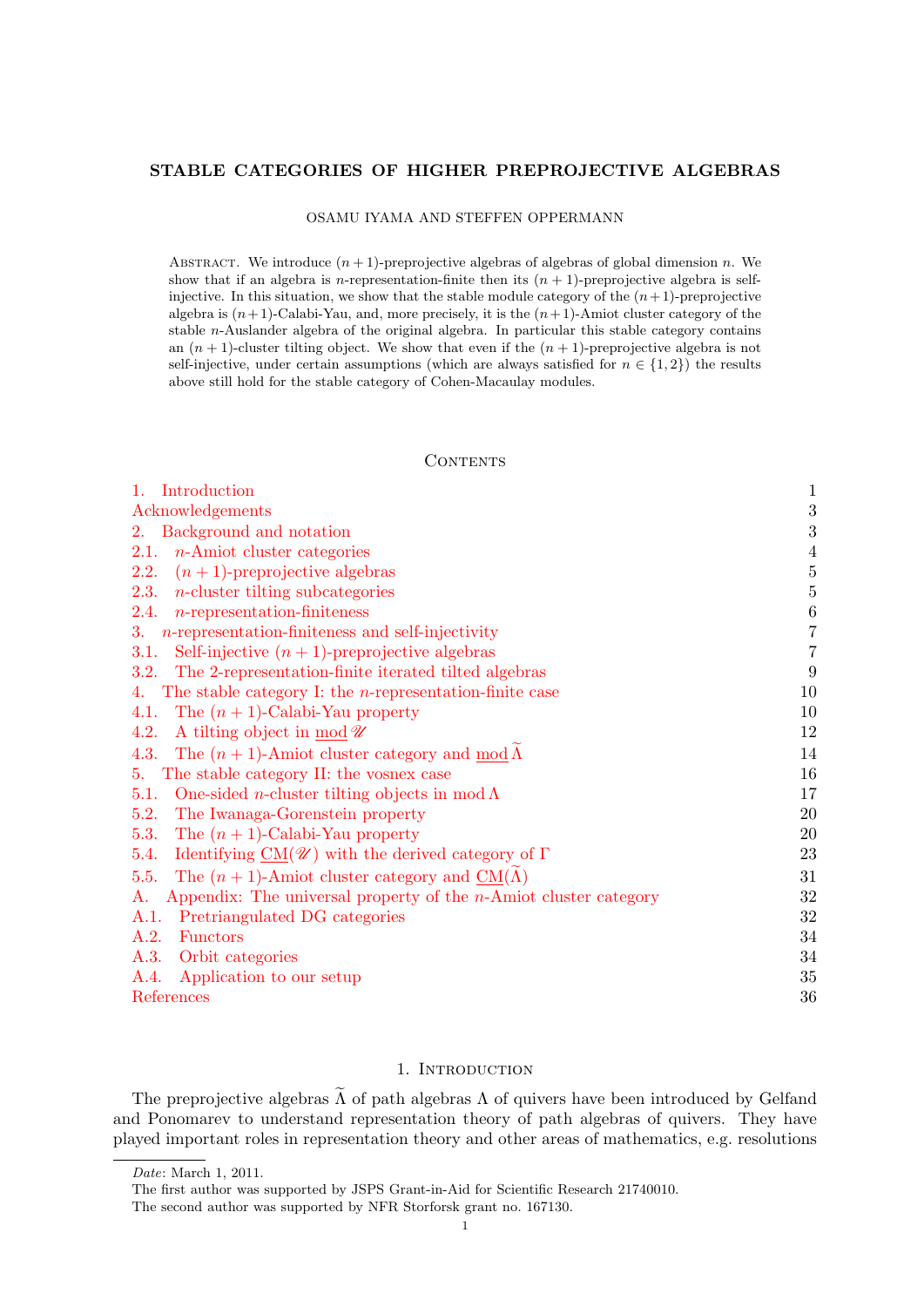### <span id="page-0-1"></span>STABLE CATEGORIES OF HIGHER PREPROJECTIVE ALGEBRAS

OSAMU IYAMA AND STEFFEN OPPERMANN

ABSTRACT. We introduce  $(n + 1)$ -preprojective algebras of algebras of global dimension n. We show that if an algebra is n-representation-finite then its  $(n + 1)$ -preprojective algebra is selfinjective. In this situation, we show that the stable module category of the  $(n+1)$ -preprojective algebra is  $(n+1)$ -Calabi-Yau, and, more precisely, it is the  $(n+1)$ -Amiot cluster category of the stable n-Auslander algebra of the original algebra. In particular this stable category contains an  $(n + 1)$ -cluster tilting object. We show that even if the  $(n + 1)$ -preprojective algebra is not self-injective, under certain assumptions (which are always satisfied for  $n \in \{1,2\}$ ) the results above still hold for the stable category of Cohen-Macaulay modules.

**CONTENTS** 

| $1_{-}$<br>Introduction                                                                        | $\mathbf{1}$     |
|------------------------------------------------------------------------------------------------|------------------|
| Acknowledgements                                                                               | 3                |
| 2. Background and notation                                                                     | 3                |
| <i>n</i> -Amiot cluster categories<br>2.1.                                                     | $\overline{4}$   |
| $(n+1)$ -preprojective algebras<br>2.2.                                                        | $\overline{5}$   |
| $n$ -cluster tilting subcategories<br><b>2.3.</b>                                              | $\overline{5}$   |
| $n$ -representation-finiteness<br>2.4.                                                         | $\boldsymbol{6}$ |
| 3. <i>n</i> -representation-finiteness and self-injectivity                                    | $\frac{7}{7}$    |
| Self-injective $(n + 1)$ -preprojective algebras<br>3.1.                                       |                  |
| The 2-representation-finite iterated tilted algebras<br>3.2.                                   | 9                |
| The stable category I: the <i>n</i> -representation-finite case<br>4.                          | 10               |
| The $(n + 1)$ -Calabi-Yau property<br>4.1.                                                     | 10               |
| A tilting object in mod $\mathscr U$<br>4.2.                                                   | 12               |
| The $(n+1)$ -Amiot cluster category and $\text{mod }\Lambda$<br>4.3.                           | 14               |
| 5. The stable category II: the vosnex case                                                     | 16               |
| One-sided <i>n</i> -cluster tilting objects in mod $\Lambda$<br>5.1.                           | 17               |
| 5.2.<br>The Iwanaga-Gorenstein property                                                        | 20               |
| The $(n + 1)$ -Calabi-Yau property<br>5.3.                                                     | 20               |
| Identifying $\underline{\text{CM}}(\mathscr{U})$ with the derived category of $\Gamma$<br>5.4. | 23               |
| The $(n + 1)$ -Amiot cluster category and $CM(\Lambda)$<br>5.5.                                | 31               |
| Appendix: The universal property of the <i>n</i> -Amiot cluster category<br>A.                 | 32               |
| Pretriangulated DG categories<br>A.1.                                                          | 32               |
| A.2.<br><b>Functors</b>                                                                        | 34               |
| A.3. Orbit categories                                                                          | 34               |
| A.4.<br>Application to our setup                                                               | 35               |
| References                                                                                     | 36               |

# 1. INTRODUCTION

<span id="page-0-0"></span>The preprojective algebras  $\tilde{\Lambda}$  of path algebras  $\Lambda$  of quivers have been introduced by Gelfand and Ponomarev to understand representation theory of path algebras of quivers. They have played important roles in representation theory and other areas of mathematics, e.g. resolutions

Date: March 1, 2011.

The first author was supported by JSPS Grant-in-Aid for Scientific Research 21740010.

The second author was supported by NFR Storforsk grant no. 167130.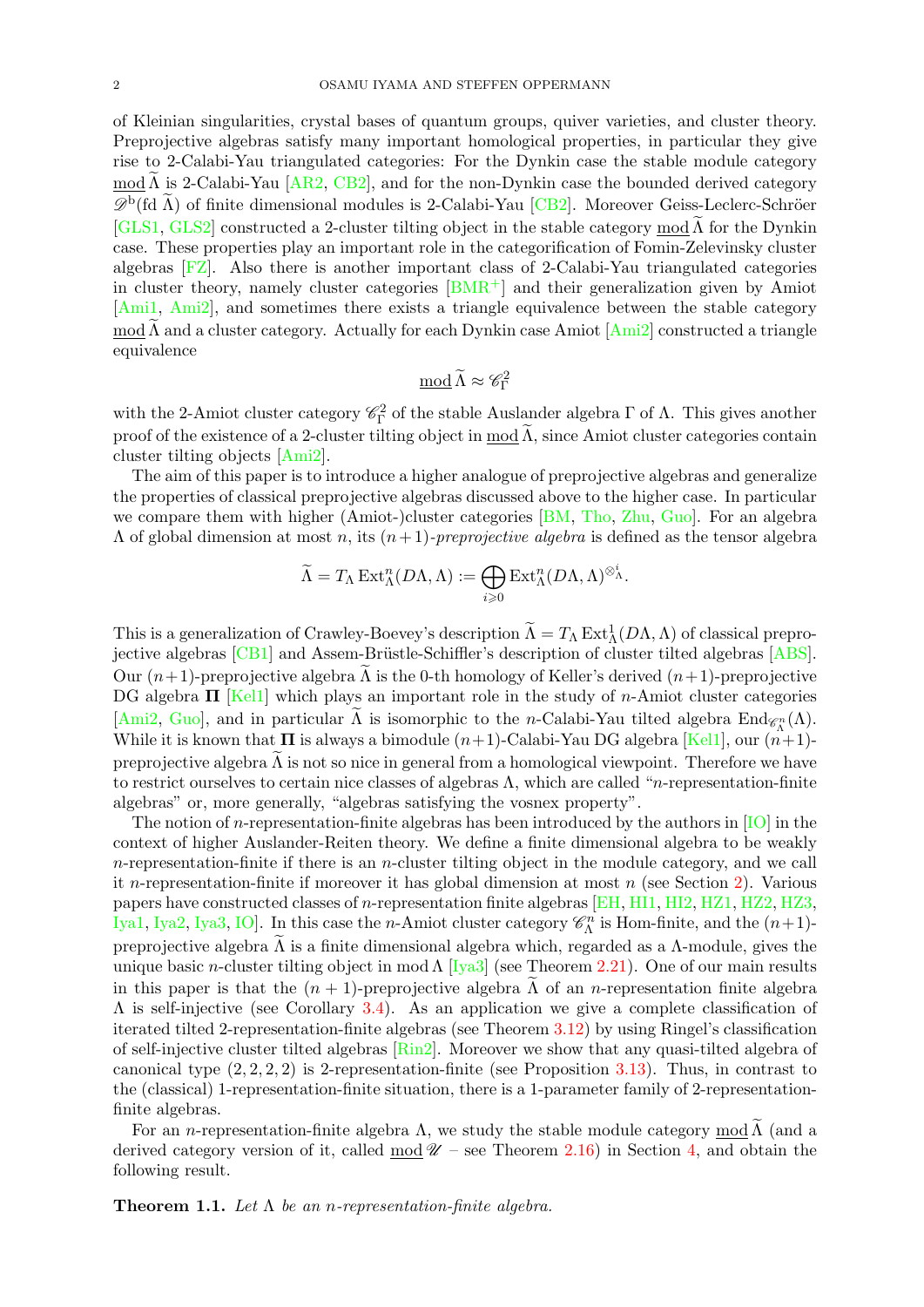of Kleinian singularities, crystal bases of quantum groups, quiver varieties, and cluster theory. Preprojective algebras satisfy many important homological properties, in particular they give rise to 2-Calabi-Yau triangulated categories: For the Dynkin case the stable module category mod  $\Lambda$  is 2-Calabi-Yau [[AR2,](#page-36-0) [CB2\]](#page-36-1), and for the non-Dynkin case the bounded derived category  $\mathscr{D}^{\rm b}$ (fd  $\tilde{\Lambda}$ ) of finite dimensional modules is 2-Calabi-Yau [[CB2\]](#page-36-1). Moreover Geiss-Leclerc-Schröer [\[GLS1,](#page-36-2) [GLS2\]](#page-36-3) constructed a 2-cluster tilting object in the stable category mod  $\Lambda$  for the Dynkin case. These properties play an important role in the categorification of Fomin-Zelevinsky cluster algebras [\[FZ\]](#page-36-4). Also there is another important class of 2-Calabi-Yau triangulated categories in cluster theory, namely cluster categories  $|BMR^+|$  and their generalization given by Amiot [\[Ami1,](#page-35-1) [Ami2\]](#page-35-2), and sometimes there exists a triangle equivalence between the stable category mod  $\widetilde{\Lambda}$  and a cluster category. Actually for each Dynkin case Amiot  $[Ami2]$  $[Ami2]$  constructed a triangle equivalence

$$
\underline{\text{mod}}\,\widetilde{\Lambda}\approx \mathscr{C}_{\Gamma}^2
$$

with the 2-Amiot cluster category  $\mathscr{C}_{\Gamma}^2$  of the stable Auslander algebra  $\Gamma$  of  $\Lambda$ . This gives another proof of the existence of a 2-cluster tilting object in mod  $\tilde{\Lambda}$ , since Amiot cluster categories contain cluster tilting objects [\[Ami2\]](#page-35-2).

The aim of this paper is to introduce a higher analogue of preprojective algebras and generalize the properties of classical preprojective algebras discussed above to the higher case. In particular we compare them with higher (Amiot-)cluster categories [\[BM,](#page-36-6) [Tho,](#page-37-0) [Zhu,](#page-37-1) [Guo\]](#page-36-7). For an algebra  $\Lambda$  of global dimension at most n, its  $(n+1)$ -preprojective algebra is defined as the tensor algebra

$$
\widetilde{\Lambda} = T_{\Lambda} \operatorname{Ext}^n_{\Lambda}(D\Lambda, \Lambda) := \bigoplus_{i \geqslant 0} \operatorname{Ext}^n_{\Lambda}(D\Lambda, \Lambda)^{\otimes^i_{\Lambda}}.
$$

This is a generalization of Crawley-Boevey's description  $\widetilde{\Lambda} = T_{\Lambda} \operatorname{Ext}^1_{\Lambda}(D\Lambda, \Lambda)$  of classical prepro-jective algebras [\[CB1\]](#page-36-8) and Assem-Brüstle-Schiffler's description of cluster tilted algebras [\[ABS\]](#page-35-3). Our  $(n+1)$ -preprojective algebra  $\tilde{\Lambda}$  is the 0-th homology of Keller's derived  $(n+1)$ -preprojective DG algebra  $\Pi$  [\[Kel1\]](#page-36-9) which plays an important role in the study of *n*-Amiot cluster categories [\[Ami2,](#page-35-2) [Guo\]](#page-36-7), and in particular  $\Lambda$  is isomorphic to the *n*-Calabi-Yau tilted algebra  $\text{End}_{\mathscr{C}_{\Lambda}^{n}}(\Lambda)$ . While it is known that  $\Pi$  is always a bimodule  $(n+1)$ -Calabi-Yau DG algebra [\[Kel1\]](#page-36-9), our  $(n+1)$ preprojective algebra  $\Lambda$  is not so nice in general from a homological viewpoint. Therefore we have to restrict ourselves to certain nice classes of algebras  $\Lambda$ , which are called "*n*-representation-finite algebras" or, more generally, "algebras satisfying the vosnex property".

The notion of *n*-representation-finite algebras has been introduced by the authors in  $[IO]$  in the context of higher Auslander-Reiten theory. We define a finite dimensional algebra to be weakly  $n$ -representation-finite if there is an *n*-cluster tilting object in the module category, and we call it n-representation-finite if moreover it has global dimension at most  $n$  (see Section [2\)](#page-2-1). Various papers have constructed classes of n-representation finite algebras [\[EH,](#page-36-11) [HI1,](#page-36-12) [HI2,](#page-36-13) [HZ1,](#page-36-14) [HZ2,](#page-36-15) [HZ3,](#page-36-16) [Iya1,](#page-36-17) [Iya2,](#page-36-18) [Iya3,](#page-36-19) [IO\]](#page-36-10). In this case the *n*-Amiot cluster category  $\mathscr{C}_{\Lambda}^{n}$  is Hom-finite, and the  $(n+1)$ preprojective algebra  $\Lambda$  is a finite dimensional algebra which, regarded as a  $\Lambda$ -module, gives the unique basic n-cluster tilting object in mod  $\Lambda$  [\[Iya3\]](#page-36-19) (see Theorem [2.21\)](#page-5-1). One of our main results in this paper is that the  $(n + 1)$ -preprojective algebra  $\Lambda$  of an *n*-representation finite algebra  $\Lambda$  is self-injective (see Corollary [3.4\)](#page-6-2). As an application we give a complete classification of iterated tilted 2-representation-finite algebras (see Theorem [3.12\)](#page-8-1) by using Ringel's classification of self-injective cluster tilted algebras  $\overline{\text{Rin2}}$ . Moreover we show that any quasi-tilted algebra of canonical type  $(2, 2, 2, 2)$  is 2-representation-finite (see Proposition [3.13\)](#page-8-2). Thus, in contrast to the (classical) 1-representation-finite situation, there is a 1-parameter family of 2-representationfinite algebras.

For an *n*-representation-finite algebra  $\Lambda$ , we study the stable module category mod  $\widetilde{\Lambda}$  (and a derived category version of it, called  $\text{mod } \mathcal{U}$  – see Theorem [2.16\)](#page-5-2) in Section [4,](#page-9-0) and obtain the following result.

<span id="page-1-0"></span>**Theorem 1.1.** Let  $\Lambda$  be an *n*-representation-finite algebra.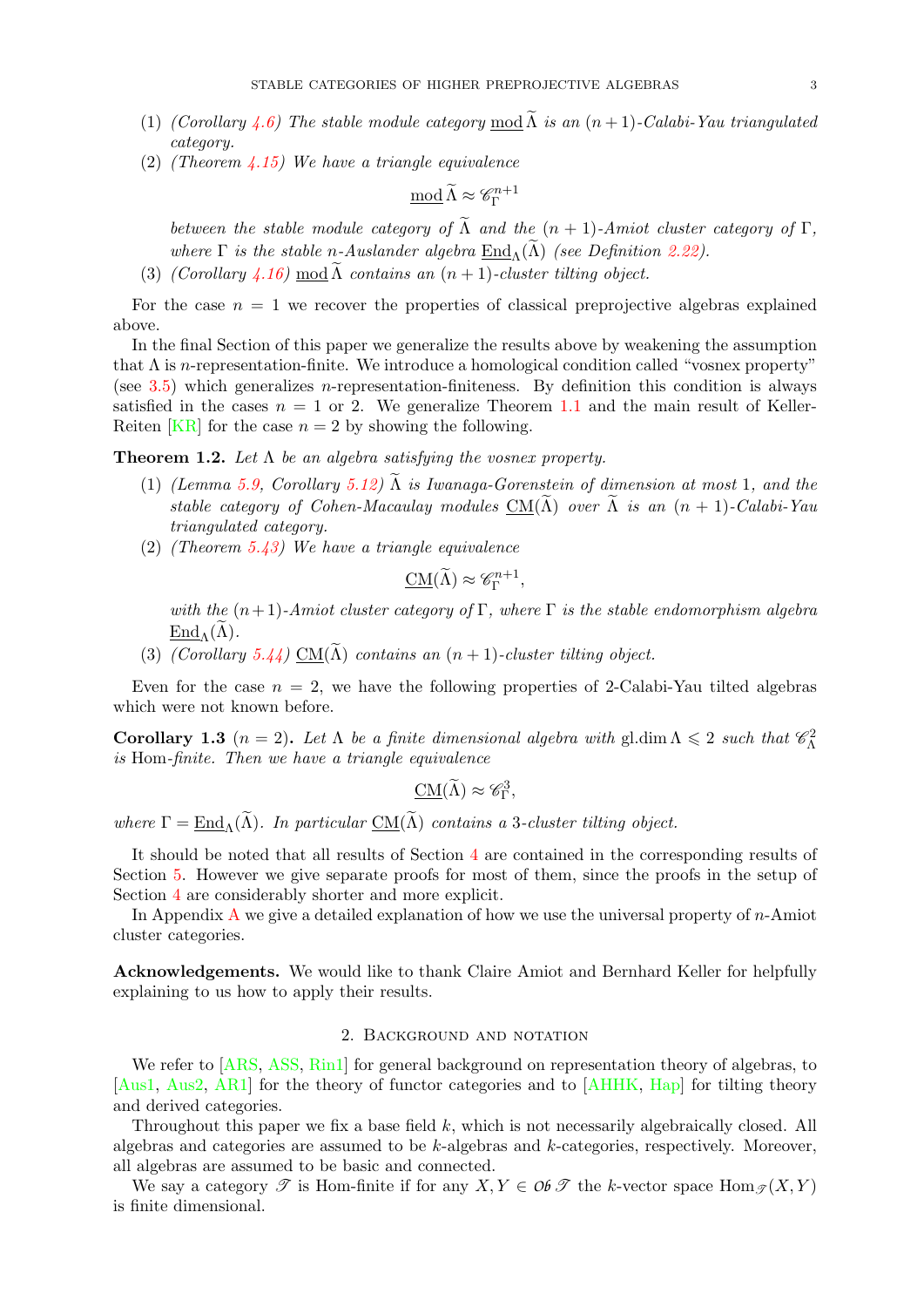- (1) (Corollary [4.6\)](#page-11-1) The stable module category mod  $\widetilde{\Lambda}$  is an  $(n + 1)$ -Calabi-Yau triangulated category.
- (2) (Theorem [4.15\)](#page-14-0) We have a triangle equivalence

$$
\underline{\text{mod}}\,\widetilde{\Lambda}\approx \mathscr{C}_{\Gamma}^{n+1}
$$

between the stable module category of  $\widetilde{\Lambda}$  and the  $(n + 1)$ -Amiot cluster category of  $\Gamma$ , where  $\Gamma$  is the stable n-Auslander algebra  $\text{End}_{\Lambda}(\widetilde{\Lambda})$  (see Definition [2.22\)](#page-5-3).

(3) (Corollary [4.16\)](#page-14-1) mod  $\Lambda$  contains an  $(n + 1)$ -cluster tilting object.

For the case  $n = 1$  we recover the properties of classical preprojective algebras explained above.

In the final Section of this paper we generalize the results above by weakening the assumption that  $\Lambda$  is n-representation-finite. We introduce a homological condition called "vosnex property" (see [3.5\)](#page-6-3) which generalizes *n*-representation-finiteness. By definition this condition is always satisfied in the cases  $n = 1$  or 2. We generalize Theorem [1.1](#page-1-0) and the main result of Keller-Reiten [\[KR\]](#page-37-3) for the case  $n = 2$  by showing the following.

**Theorem 1.2.** Let  $\Lambda$  be an algebra satisfying the vosnex property.

- (1) (Lemma [5.9,](#page-19-2) Corollary [5.12\)](#page-19-3)  $\tilde{\Lambda}$  is Iwanaga-Gorenstein of dimension at most 1, and the stable category of Cohen-Macaulay modules  $CM(\tilde{\Lambda})$  over  $\tilde{\Lambda}$  is an  $(n + 1)$ -Calabi-Yau triangulated category.
- (2) (Theorem [5.43\)](#page-30-1) We have a triangle equivalence

$$
\underline{\mathrm{CM}}(\widetilde{\Lambda}) \approx \mathscr{C}_{\Gamma}^{n+1},
$$

with the  $(n+1)$ -Amiot cluster category of Γ, where Γ is the stable endomorphism algebra  $\text{End}_{\Lambda}(\Lambda)$ .

(3) (Corollary [5.44\)](#page-31-2) CM( $\widetilde{\Lambda}$ ) contains an  $(n + 1)$ -cluster tilting object.

Even for the case  $n = 2$ , we have the following properties of 2-Calabi-Yau tilted algebras which were not known before.

**Corollary 1.3**  $(n = 2)$ . Let  $\Lambda$  be a finite dimensional algebra with gl.dim  $\Lambda \leq 2$  such that  $\mathcal{C}_{\Lambda}^2$ is Hom-finite. Then we have a triangle equivalence

$$
\underline{\mathrm{CM}}(\widetilde{\Lambda}) \approx \mathscr{C}_{\Gamma}^3,
$$

where  $\Gamma = \text{End}_{\Lambda}(\widetilde{\Lambda})$ . In particular  $\text{CM}(\widetilde{\Lambda})$  contains a 3-cluster tilting object.

It should be noted that all results of Section [4](#page-9-0) are contained in the corresponding results of Section [5.](#page-15-0) However we give separate proofs for most of them, since the proofs in the setup of Section [4](#page-9-0) are considerably shorter and more explicit.

In [A](#page-31-0)ppendix A we give a detailed explanation of how we use the universal property of  $n$ -Amiot cluster categories.

<span id="page-2-0"></span>Acknowledgements. We would like to thank Claire Amiot and Bernhard Keller for helpfully explaining to us how to apply their results.

## 2. Background and notation

<span id="page-2-1"></span>We refer to [\[ARS,](#page-36-20) [ASS,](#page-36-21) [Rin1\]](#page-37-4) for general background on representation theory of algebras, to [\[Aus1,](#page-36-22) [Aus2,](#page-36-23) [AR1\]](#page-35-4) for the theory of functor categories and to [\[AHHK,](#page-35-5) [Hap\]](#page-36-24) for tilting theory and derived categories.

Throughout this paper we fix a base field  $k$ , which is not necessarily algebraically closed. All algebras and categories are assumed to be  $k$ -algebras and  $k$ -categories, respectively. Moreover, all algebras are assumed to be basic and connected.

We say a category  $\mathscr T$  is Hom-finite if for any  $X, Y \in \mathcal{OBF}$  the k-vector space Hom  $\mathscr T(X, Y)$ is finite dimensional.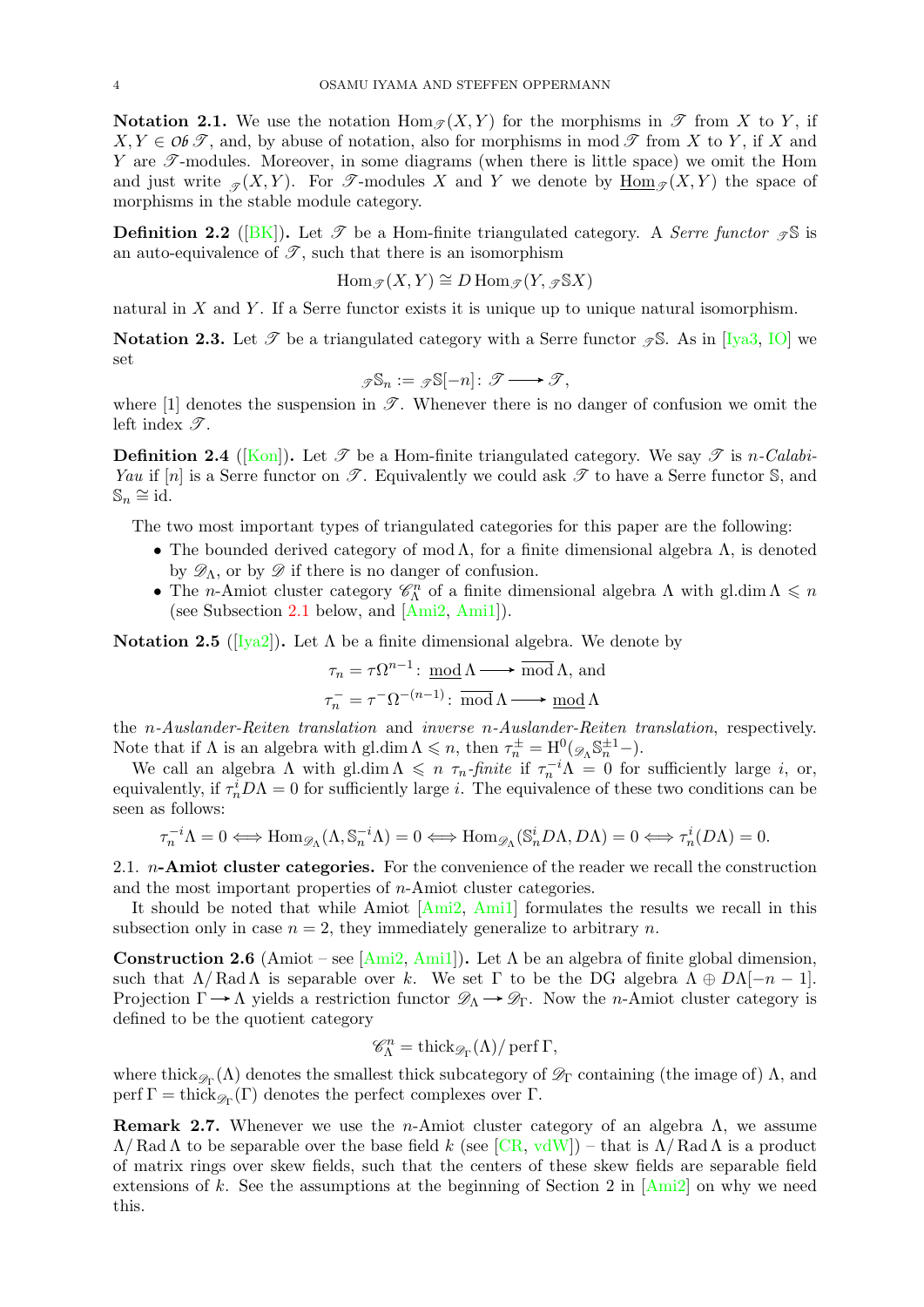**Notation 2.1.** We use the notation  $\text{Hom}_{\mathscr{T}}(X, Y)$  for the morphisms in  $\mathscr{T}$  from X to Y, if  $X, Y \in \mathcal{OBF}$ , and, by abuse of notation, also for morphisms in mod  $\mathcal F$  from X to Y, if X and Y are  $\mathscr{T}$ -modules. Moreover, in some diagrams (when there is little space) we omit the Hom and just write  $\mathcal{F}(X, Y)$ . For  $\mathcal{T}$ -modules X and Y we denote by  $\underline{\text{Hom}}_{\mathcal{T}}(X, Y)$  the space of morphisms in the stable module category.

**Definition 2.2** ([\[BK\]](#page-36-25)). Let  $\mathcal{T}$  be a Hom-finite triangulated category. A Serre functor  $\mathcal{T}$  is an auto-equivalence of  $\mathscr{T}$ , such that there is an isomorphism

$$
\operatorname{Hom}_{\mathscr{T}}(X,Y)\cong D\operatorname{Hom}_{\mathscr{T}}(Y,\mathscr{D}^{\boxtimes}X)
$$

natural in  $X$  and  $Y$ . If a Serre functor exists it is unique up to unique natural isomorphism.

**Notation 2.3.** Let  $\mathscr{T}$  be a triangulated category with a Serre functor  $\mathscr{T}S$ . As in [\[Iya3,](#page-36-19) [IO\]](#page-36-10) we set

$$
\mathscr{I}\mathbb{S}_n:=\mathscr{I}\mathbb{S}[-n]\colon \mathscr{T}\longrightarrow \mathscr{T},
$$

where [1] denotes the suspension in  $\mathscr{T}$ . Whenever there is no danger of confusion we omit the left index  $\mathscr{T}$ .

**Definition 2.4** ([\[Kon\]](#page-37-5)). Let  $\mathscr T$  be a Hom-finite triangulated category. We say  $\mathscr T$  is n-Calabi-Yau if [n] is a Serre functor on  $\mathscr{T}$ . Equivalently we could ask  $\mathscr{T}$  to have a Serre functor S, and  $\mathbb{S}_n \cong \mathrm{id}.$ 

The two most important types of triangulated categories for this paper are the following:

- The bounded derived category of mod  $\Lambda$ , for a finite dimensional algebra  $\Lambda$ , is denoted by  $\mathscr{D}_{\Lambda}$ , or by  $\mathscr{D}$  if there is no danger of confusion.
- The *n*-Amiot cluster category  $\mathscr{C}_{\Lambda}^n$  of a finite dimensional algebra  $\Lambda$  with gl.dim  $\Lambda \leq n$ (see Subsection [2.1](#page-3-0) below, and [\[Ami2,](#page-35-2) [Ami1\]](#page-35-1)).

<span id="page-3-1"></span>**Notation 2.5** ([\[Iya2\]](#page-36-18)). Let Λ be a finite dimensional algebra. We denote by

$$
\tau_n = \tau \Omega^{n-1} : \underline{\text{mod}} \Lambda \longrightarrow \overline{\text{mod}} \Lambda, \text{ and}
$$

$$
\tau_n^- = \tau^- \Omega^{-(n-1)} : \overline{\text{mod}} \Lambda \longrightarrow \underline{\text{mod}} \Lambda
$$

the *n-Auslander-Reiten translation* and *inverse n-Auslander-Reiten translation*, respectively. Note that if  $\Lambda$  is an algebra with gl.dim  $\Lambda \leq n$ , then  $\tau_n^{\pm} = \text{H}^0(\mathscr{D}_{\Lambda} \mathbb{S}_n^{\pm 1})$ .

We call an algebra  $\Lambda$  with gl.dim  $\Lambda \leq n \tau_n$ -finite if  $\tau_n^{-i}\Lambda = 0$  for sufficiently large *i*, or, equivalently, if  $\tau_n^i D\Lambda = 0$  for sufficiently large *i*. The equivalence of these two conditions can be seen as follows:

$$
\tau_n^{-i}\Lambda = 0 \Longleftrightarrow \operatorname{Hom}_{\mathscr{D}_{\Lambda}}(\Lambda, \mathbb{S}_n^{-i}\Lambda) = 0 \Longleftrightarrow \operatorname{Hom}_{\mathscr{D}_{\Lambda}}(\mathbb{S}_n^{i}D\Lambda, D\Lambda) = 0 \Longleftrightarrow \tau_n^{i}(D\Lambda) = 0.
$$

<span id="page-3-0"></span>2.1.  $n$ -Amiot cluster categories. For the convenience of the reader we recall the construction and the most important properties of n-Amiot cluster categories.

It should be noted that while Amiot [\[Ami2,](#page-35-2) [Ami1\]](#page-35-1) formulates the results we recall in this subsection only in case  $n = 2$ , they immediately generalize to arbitrary n.

<span id="page-3-2"></span>Construction 2.6 (Amiot – see [\[Ami2,](#page-35-2) [Ami1\]](#page-35-1)). Let  $\Lambda$  be an algebra of finite global dimension, such that  $\Lambda/\operatorname{Rad}\Lambda$  is separable over k. We set  $\Gamma$  to be the DG algebra  $\Lambda\oplus D\Lambda[-n-1]$ . Projection  $\Gamma \to \Lambda$  yields a restriction functor  $\mathscr{D}_{\Lambda} \to \mathscr{D}_{\Gamma}$ . Now the *n*-Amiot cluster category is defined to be the quotient category

$$
\mathscr{C}_{\Lambda}^n = \mathrm{thick}_{\mathscr{D}_{\Gamma}}(\Lambda)/\operatorname{perf} \Gamma,
$$

where thick<sub> $\mathscr{D}_{\Gamma}(\Lambda)$ </sub> denotes the smallest thick subcategory of  $\mathscr{D}_{\Gamma}$  containing (the image of)  $\Lambda$ , and  $\text{perf } \Gamma = \text{thick}_{\mathscr{D}_{\Gamma}}(\Gamma)$  denotes the perfect complexes over  $\Gamma$ .

**Remark 2.7.** Whenever we use the *n*-Amiot cluster category of an algebra  $\Lambda$ , we assume  $\Lambda/\text{Rad }\Lambda$  to be separable over the base field k (see [\[CR,](#page-36-26) [vdW\]](#page-37-6)) – that is  $\Lambda/\text{Rad }\Lambda$  is a product of matrix rings over skew fields, such that the centers of these skew fields are separable field extensions of k. See the assumptions at the beginning of Section 2 in  $[Am2]$  on why we need this.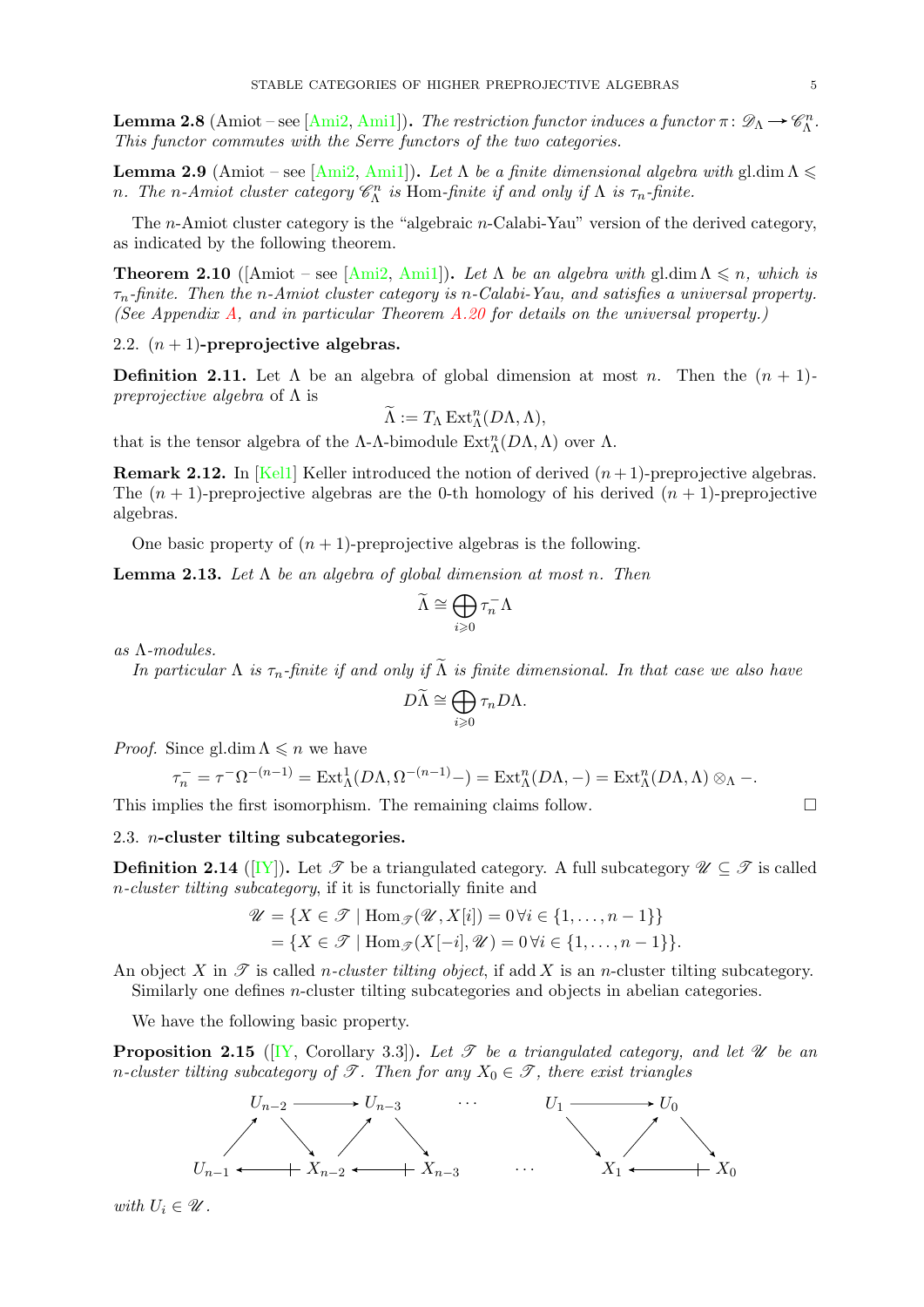**Lemma 2.8** (Amiot – see [\[Ami2,](#page-35-2) [Ami1\]](#page-35-1)). The restriction functor induces a functor  $\pi \colon \mathscr{D}_{\Lambda} \to \mathscr{C}_{\Lambda}^n$ . This functor commutes with the Serre functors of the two categories.

**Lemma 2.9** (Amiot – see [\[Ami2,](#page-35-2) [Ami1\]](#page-35-1)). Let  $\Lambda$  be a finite dimensional algebra with gl.dim  $\Lambda \leq$ n. The n-Amiot cluster category  $\mathscr{C}_{\Lambda}^n$  is Hom-finite if and only if  $\Lambda$  is  $\tau_n$ -finite.

The n-Amiot cluster category is the "algebraic n-Calabi-Yau" version of the derived category, as indicated by the following theorem.

**Theorem 2.10** ([Amiot – see [\[Ami2,](#page-35-2) [Ami1\]](#page-35-1)). Let  $\Lambda$  be an algebra with gl.dim  $\Lambda \leq n$ , which is  $\tau_n$ -finite. Then the n-Amiot cluster category is n-Calabi-Yau, and satisfies a universal property. (See Appendix [A,](#page-31-0) and in particular Theorem  $A.20$  for details on the universal property.)

# <span id="page-4-0"></span>2.2.  $(n + 1)$ -preprojective algebras.

**Definition 2.11.** Let  $\Lambda$  be an algebra of global dimension at most n. Then the  $(n + 1)$ *preprojective algebra* of  $\Lambda$  is

$$
\widetilde{\Lambda} := T_{\Lambda} \operatorname{Ext}_{\Lambda}^{n}(D\Lambda, \Lambda),
$$

that is the tensor algebra of the  $\Lambda$ - $\Lambda$ -bimodule  $\mathrm{Ext}^n_\Lambda(D\Lambda,\Lambda)$  over  $\Lambda$ .

**Remark 2.12.** In [\[Kel1\]](#page-36-9) Keller introduced the notion of derived  $(n+1)$ -preprojective algebras. The  $(n + 1)$ -preprojective algebras are the 0-th homology of his derived  $(n + 1)$ -preprojective algebras.

One basic property of  $(n + 1)$ -preprojective algebras is the following.

**Lemma 2.13.** Let  $\Lambda$  be an algebra of global dimension at most n. Then

$$
\widetilde{\Lambda} \cong \bigoplus_{i \geqslant 0} \tau_n^- \Lambda
$$

as Λ-modules.

In particular  $\Lambda$  is  $\tau_n$ -finite if and only if  $\widetilde{\Lambda}$  is finite dimensional. In that case we also have

$$
D\widetilde{\Lambda}\cong \bigoplus_{i\geqslant 0}\tau_n D\Lambda.
$$

*Proof.* Since gl.dim  $\Lambda \leq n$  we have

$$
\tau_n^- = \tau^- \Omega^{-(n-1)} = \text{Ext}^1_{\Lambda}(D\Lambda, \Omega^{-(n-1)}-) = \text{Ext}^n_{\Lambda}(D\Lambda, -) = \text{Ext}^n_{\Lambda}(D\Lambda, \Lambda) \otimes_{\Lambda} -.
$$

This implies the first isomorphism. The remaining claims follow.  $\Box$ 

### <span id="page-4-1"></span>2.3. n-cluster tilting subcategories.

**Definition 2.14** ([\[IY\]](#page-36-27)). Let  $\mathcal{T}$  be a triangulated category. A full subcategory  $\mathcal{U} \subseteq \mathcal{T}$  is called n-cluster tilting subcategory, if it is functorially finite and

$$
\mathcal{U} = \{ X \in \mathcal{T} \mid \text{Hom}_{\mathcal{F}}(\mathcal{U}, X[i]) = 0 \,\forall i \in \{1, \dots, n-1\} \}
$$

$$
= \{ X \in \mathcal{T} \mid \text{Hom}_{\mathcal{F}}(X[-i], \mathcal{U}) = 0 \,\forall i \in \{1, \dots, n-1\} \}.
$$

An object X in  $\mathscr T$  is called *n-cluster tilting object*, if add X is an *n*-cluster tilting subcategory. Similarly one defines n-cluster tilting subcategories and objects in abelian categories.

We have the following basic property.

<span id="page-4-2"></span>**Proposition 2.15** ([\[IY,](#page-36-27) Corollary 3.3]). Let  $\mathcal{T}$  be a triangulated category, and let  $\mathcal{U}$  be an n-cluster tilting subcategory of  $\mathscr{T}$ . Then for any  $X_0 \in \mathscr{T}$ , there exist triangles



with  $U_i \in \mathscr{U}$ .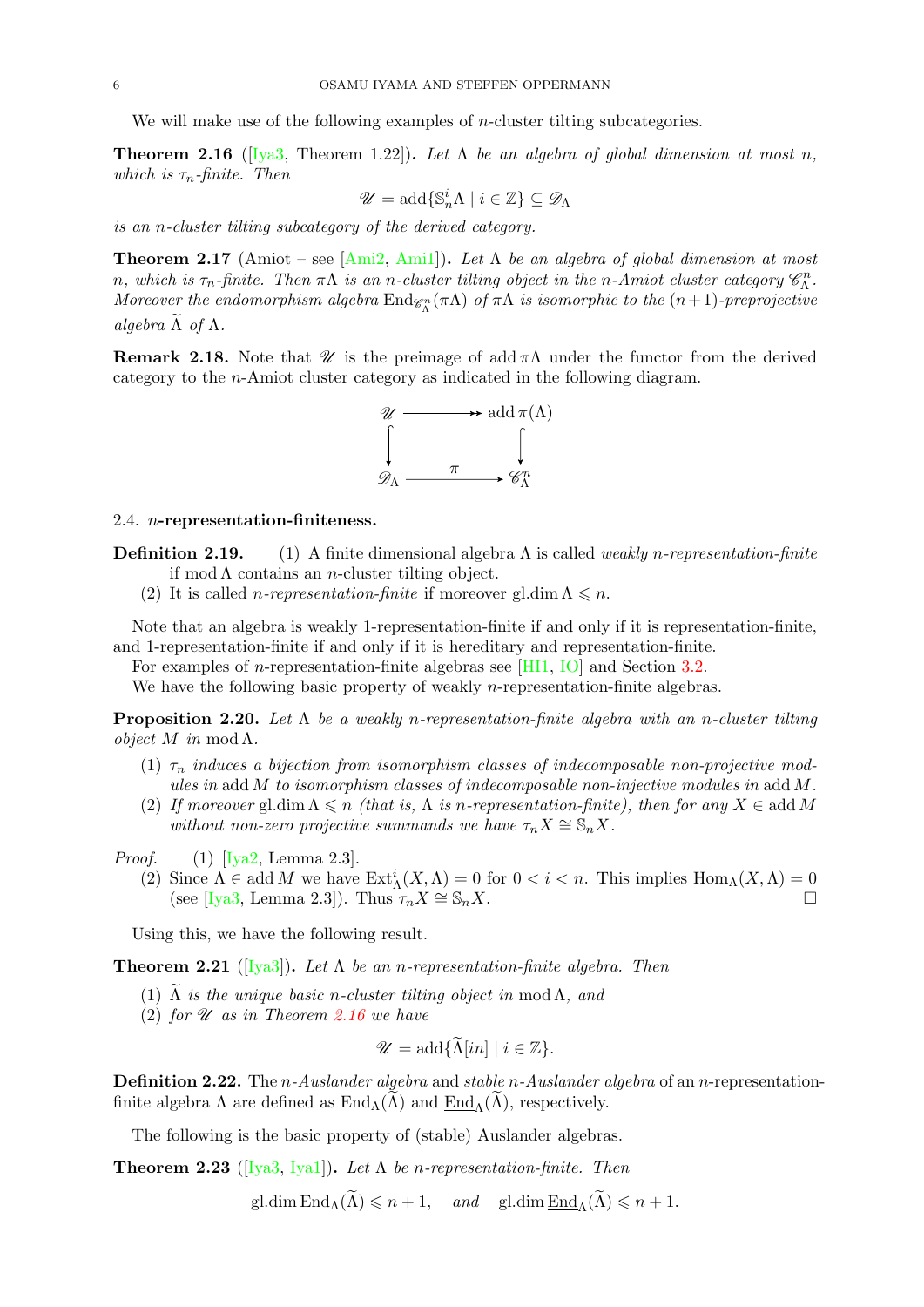We will make use of the following examples of *n*-cluster tilting subcategories.

<span id="page-5-2"></span>**Theorem 2.16** ([\[Iya3,](#page-36-19) Theorem 1.22]). Let  $\Lambda$  be an algebra of global dimension at most n, which is  $\tau_n$ -finite. Then

$$
\mathscr{U}=\mathrm{add}\{\mathbb{S}^i_n\Lambda\mid i\in\mathbb{Z}\}\subseteq\mathscr{D}_\Lambda
$$

is an n-cluster tilting subcategory of the derived category.

<span id="page-5-6"></span>**Theorem 2.17** (Amiot – see [\[Ami2,](#page-35-2) [Ami1\]](#page-35-1)). Let  $\Lambda$  be an algebra of global dimension at most n, which is  $\tau_n$ -finite. Then  $\pi\Lambda$  is an n-cluster tilting object in the n-Amiot cluster category  $\mathscr{C}_{\Lambda}^n$ . Moreover the endomorphism algebra  $\rm{End}_{\mathscr{C}\Lambda^n}(\pi\Lambda)$  of  $\pi\Lambda$  is isomorphic to the  $(n+1)$ -preprojective algebra  $\tilde{\Lambda}$  of  $\Lambda$ .

**Remark 2.18.** Note that  $\mathcal{U}$  is the preimage of add  $\pi\Lambda$  under the functor from the derived category to the n-Amiot cluster category as indicated in the following diagram.



#### <span id="page-5-0"></span>2.4. n-representation-finiteness.

- **Definition 2.19.** (1) A finite dimensional algebra  $\Lambda$  is called *weakly n-representation-finite* if mod  $\Lambda$  contains an *n*-cluster tilting object.
	- (2) It is called *n*-representation-finite if moreover gl.dim  $\Lambda \leq n$ .

Note that an algebra is weakly 1-representation-finite if and only if it is representation-finite, and 1-representation-finite if and only if it is hereditary and representation-finite.

For examples of n-representation-finite algebras see [\[HI1,](#page-36-12) [IO\]](#page-36-10) and Section [3.2.](#page-8-0)

We have the following basic property of weakly *n*-representation-finite algebras.

<span id="page-5-4"></span>**Proposition 2.20.** Let  $\Lambda$  be a weakly n-representation-finite algebra with an n-cluster tilting *object*  $M$  in mod  $\Lambda$ .

- (1)  $\tau_n$  induces a bijection from isomorphism classes of indecomposable non-projective modules in add M to isomorphism classes of indecomposable non-injective modules in add M.
- (2) If moreover gl.dim  $\Lambda \leqslant n$  (that is,  $\Lambda$  is n-representation-finite), then for any  $X \in \text{add } M$ without non-zero projective summands we have  $\tau_n X \cong \mathbb{S}_n X$ .

*Proof.* (1)  $[Iya2, Lemma 2.3].$  $[Iya2, Lemma 2.3].$ 

(2) Since  $\Lambda \in \text{add } M$  we have  $\text{Ext}_{\Lambda}^{i}(X, \Lambda) = 0$  for  $0 < i < n$ . This implies  $\text{Hom}_{\Lambda}(X, \Lambda) = 0$ (see [\[Iya3,](#page-36-19) Lemma 2.3]). Thus  $\tau_n X \cong \mathbb{S}_n X$ .

Using this, we have the following result.

<span id="page-5-1"></span>**Theorem 2.21** ([\[Iya3\]](#page-36-19)). Let  $\Lambda$  be an n-representation-finite algebra. Then

- (1)  $\Lambda$  is the unique basic n-cluster tilting object in mod  $\Lambda$ , and
- (2) for  $\mathscr U$  as in Theorem [2.16](#page-5-2) we have

$$
\mathscr{U} = \mathrm{add}\{\widetilde{\Lambda}[in] \mid i \in \mathbb{Z}\}.
$$

<span id="page-5-3"></span>**Definition 2.22.** The *n*-Auslander algebra and stable *n*-Auslander algebra of an *n*-representationfinite algebra  $\Lambda$  are defined as  $\text{End}_{\Lambda}(\Lambda)$  and  $\text{End}_{\Lambda}(\Lambda)$ , respectively.

The following is the basic property of (stable) Auslander algebras.

<span id="page-5-5"></span>**Theorem 2.23** ([Iva3, Iva1]). Let  $\Lambda$  be n-representation-finite. Then

gl.dim  $\text{End}_{\Lambda}(\widetilde{\Lambda}) \leqslant n+1$ , and gl.dim  $\text{End}_{\Lambda}(\widetilde{\Lambda}) \leqslant n+1$ .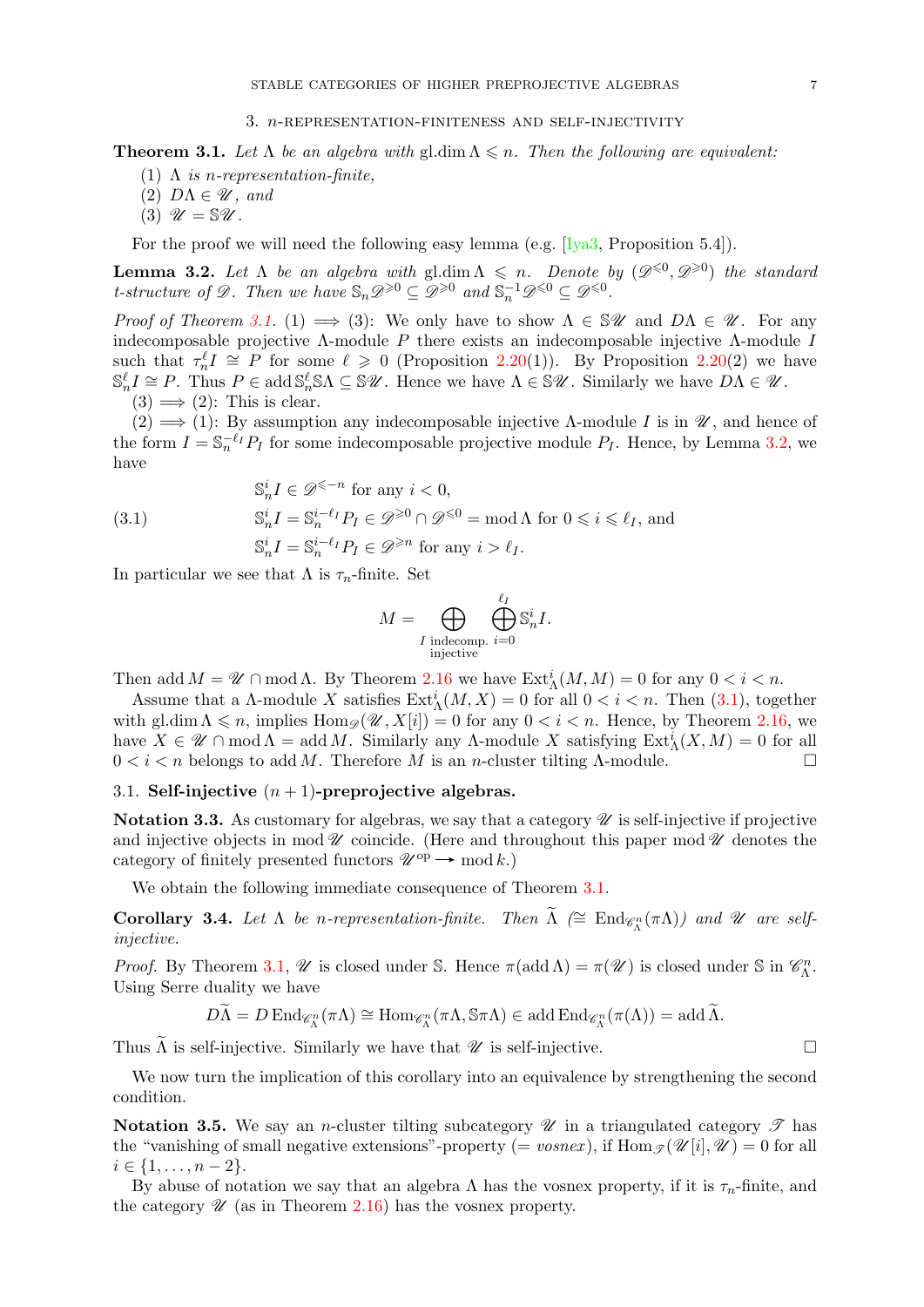<span id="page-6-4"></span><span id="page-6-0"></span>**Theorem 3.1.** Let  $\Lambda$  be an algebra with gl.dim  $\Lambda \leq n$ . Then the following are equivalent:

- (1)  $\Lambda$  is n-representation-finite,
- (2)  $D\Lambda \in \mathscr{U}$ , and
- (3)  $\mathscr{U} = \mathbb{S} \mathscr{U}$ .

For the proof we will need the following easy lemma (e.g.  $[Iya3, Proposition 5.4]$ ).

<span id="page-6-5"></span>**Lemma 3.2.** Let  $\Lambda$  be an algebra with gl.dim  $\Lambda \leq n$ . Denote by  $(\mathscr{D}^{\leq 0}, \mathscr{D}^{\geq 0})$  the standard t-structure of  $\mathscr{D}$ . Then we have  $\mathbb{S}_n \mathscr{D}^{\geqslant 0} \subseteq \mathscr{D}^{\geqslant 0}$  and  $\mathbb{S}_n^{-1} \mathscr{D}^{\leqslant 0} \subseteq \mathscr{D}^{\leqslant 0}$ .

*Proof of Theorem [3.1.](#page-6-4)* (1)  $\implies$  (3): We only have to show  $\Lambda \in \mathcal{W}$  and  $D\Lambda \in \mathcal{U}$ . For any indecomposable projective  $\Lambda$ -module P there exists an indecomposable injective  $\Lambda$ -module I such that  $\tau_n^{\ell} I \cong P$  for some  $\ell \geq 0$  (Proposition [2.20\(](#page-5-4)1)). By Proposition 2.20(2) we have  $\mathbb{S}_n^{\ell} I \cong P$ . Thus  $P \in \text{add } \mathbb{S}_n^{\ell} \mathbb{S} \Lambda \subseteq \mathbb{S} \mathscr{U}$ . Hence we have  $\Lambda \in \mathbb{S} \mathscr{U}$ . Similarly we have  $D\Lambda \in \mathscr{U}$ .  $(3) \implies (2)$ : This is clear.

 $(2) \implies (1)$ : By assumption any indecomposable injective Λ-module I is in \, and hence of the form  $I = \mathbb{S}_n^{-\ell_I} P_I$  for some indecomposable projective module  $P_I$ . Hence, by Lemma [3.2,](#page-6-5) we have

<span id="page-6-6"></span>(3.1) 
$$
\mathbb{S}_n^i I \in \mathscr{D}^{\leq -n} \text{ for any } i < 0,
$$

$$
\mathbb{S}_n^i I = \mathbb{S}_n^{i-\ell_I} P_I \in \mathscr{D}^{\geq 0} \cap \mathscr{D}^{\leq 0} = \text{mod } \Lambda \text{ for } 0 \leq i \leq \ell_I, \text{ and}
$$

$$
\mathbb{S}_n^i I = \mathbb{S}_n^{i-\ell_I} P_I \in \mathscr{D}^{\geq n} \text{ for any } i > \ell_I.
$$

In particular we see that  $\Lambda$  is  $\tau_n$ -finite. Set

$$
M = \bigoplus_{\substack{I \text{ indecomp. } i = 0}} \bigoplus_{i=0}^{\ell_I} \mathbb{S}_n^i I.
$$

Then add  $M = \mathscr{U} \cap \text{mod }\Lambda$ . By Theorem [2.16](#page-5-2) we have  $\text{Ext}^i_{\Lambda}(M, M) = 0$  for any  $0 < i < n$ .

Assume that a  $\Lambda$ -module X satisfies  $\text{Ext}_{\Lambda}^{i}(M,X) = 0$  for all  $0 < i < n$ . Then  $(3.1)$ , together with gl.dim  $\Lambda \leq n$ , implies  $\text{Hom}_{\mathscr{D}}(\mathscr{U}, X[i]) = 0$  for any  $0 < i < n$ . Hence, by Theorem [2.16,](#page-5-2) we have  $X \in \mathcal{U} \cap \text{mod }\Lambda = \text{add }M$ . Similarly any  $\Lambda$ -module X satisfying  $\text{Ext}^i_{\Lambda}(X, M) = 0$  for all  $0 < i < n$  belongs to add M. Therefore M is an n-cluster tilting  $\Lambda$ -module.

# <span id="page-6-1"></span>3.1. Self-injective  $(n + 1)$ -preprojective algebras.

Notation 3.3. As customary for algebras, we say that a category  $\mathscr U$  is self-injective if projective and injective objects in mod  $\mathscr U$  coincide. (Here and throughout this paper mod  $\mathscr U$  denotes the category of finitely presented functors  $\mathcal{U}^{\text{op}} \to \text{mod } k$ .)

We obtain the following immediate consequence of Theorem [3.1.](#page-6-4)

<span id="page-6-2"></span>**Corollary 3.4.** Let  $\Lambda$  be n-representation-finite. Then  $\widetilde{\Lambda}$  ( $\cong$  End<sub> $\mathscr{C}_{\Lambda}^n(\pi\Lambda)$ ) and  $\mathscr{U}$  are self-</sub> injective.

*Proof.* By Theorem [3.1,](#page-6-4)  $\mathcal{U}$  is closed under S. Hence  $\pi(\text{add}\,\Lambda) = \pi(\mathcal{U})$  is closed under S in  $\mathcal{C}_{\Lambda}^n$ . Using Serre duality we have

$$
D\widetilde{\Lambda}=D\operatorname{End}_{\mathscr{C}\Lambda^n}(\pi\Lambda)\cong \operatorname{Hom}_{\mathscr{C}\Lambda^n}(\pi\Lambda,\mathbb{S}\pi\Lambda)\in\operatorname{add}\nolimits\operatorname{End}_{\mathscr{C}\Lambda^n}(\pi(\Lambda))=\operatorname{add}\nolimits\widetilde{\Lambda}.
$$

Thus  $\Lambda$  is self-injective. Similarly we have that  $\mathscr U$  is self-injective.

We now turn the implication of this corollary into an equivalence by strengthening the second condition.

<span id="page-6-3"></span>Notation 3.5. We say an *n*-cluster tilting subcategory  $\mathscr U$  in a triangulated category  $\mathscr T$  has the "vanishing of small negative extensions"-property (= vosnex), if  $\text{Hom}_{\mathscr{F}}(\mathscr{U}[i], \mathscr{U}) = 0$  for all  $i \in \{1, \ldots, n-2\}.$ 

By abuse of notation we say that an algebra  $\Lambda$  has the vosnex property, if it is  $\tau_n$ -finite, and the category  $\mathscr U$  (as in Theorem [2.16\)](#page-5-2) has the vosnex property.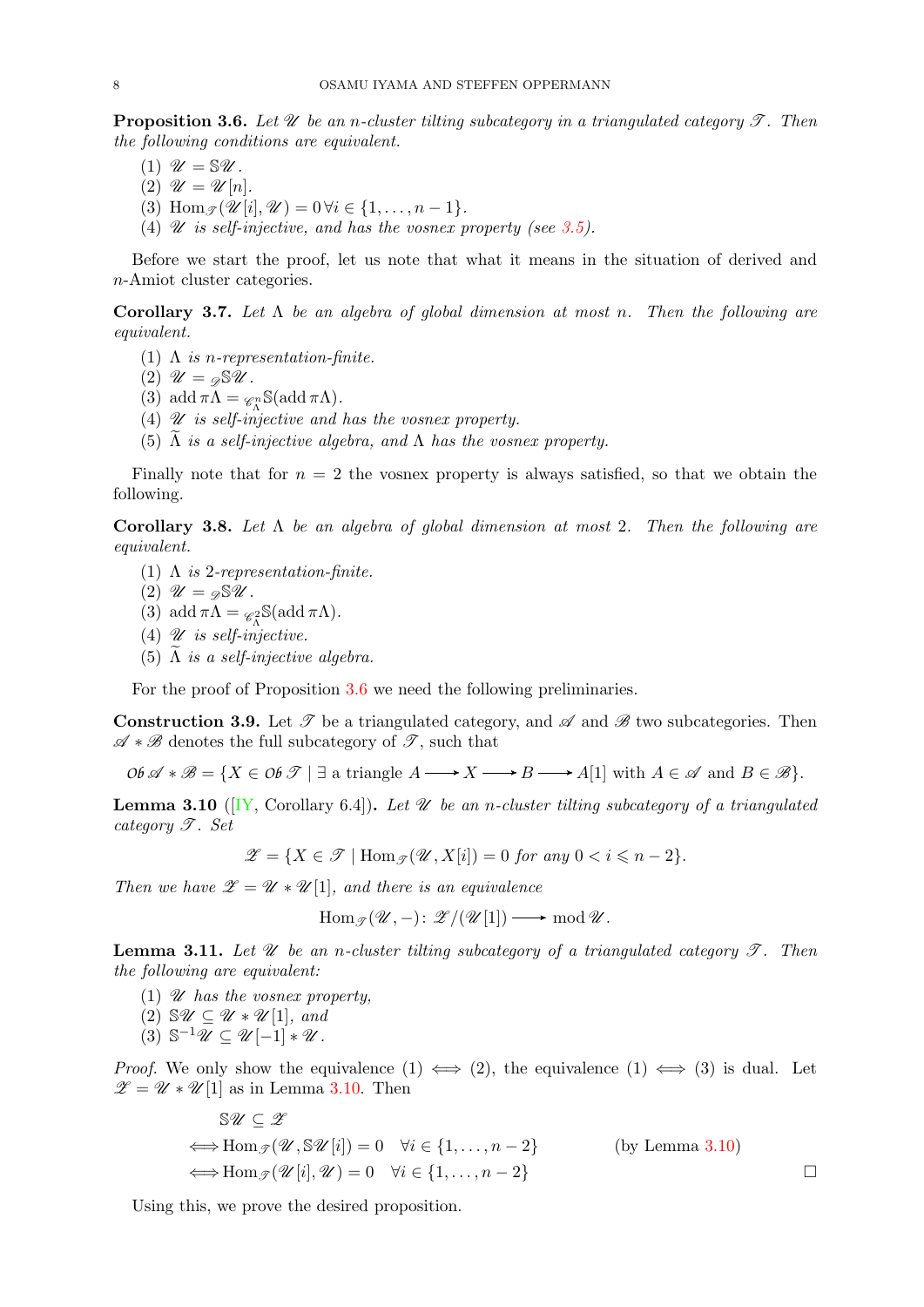<span id="page-7-0"></span>**Proposition 3.6.** Let  $\mathcal{U}$  be an n-cluster tilting subcategory in a triangulated category  $\mathcal{T}$ . Then the following conditions are equivalent.

- (1)  $\mathscr{U} = \mathbb{S} \mathscr{U}$ .
- (2)  $\mathscr{U} = \mathscr{U}[n].$
- (3) Hom  $\mathcal{P}(\mathcal{U}[i], \mathcal{U}) = 0 \forall i \in \{1, \ldots, n-1\}.$
- (4)  $\mathscr U$  is self-injective, and has the vosnex property (see [3.5\)](#page-6-3).

Before we start the proof, let us note that what it means in the situation of derived and n-Amiot cluster categories.

Corollary 3.7. Let  $\Lambda$  be an algebra of global dimension at most n. Then the following are equivalent.

- (1)  $\Lambda$  is n-representation-finite.
- (2)  $\mathcal{U} = \mathcal{D} \mathbb{S} \mathcal{U}$ .
- (3) add  $\pi \Lambda = \mathcal{C}_{\Lambda}^n \mathbb{S}(\text{add }\pi \Lambda).$
- (4)  $\mathscr U$  is self-injective and has the vosnex property.
- (5)  $\Lambda$  is a self-injective algebra, and  $\Lambda$  has the vosnex property.

Finally note that for  $n = 2$  the vosnex property is always satisfied, so that we obtain the following.

<span id="page-7-3"></span>Corollary 3.8. Let  $\Lambda$  be an algebra of global dimension at most 2. Then the following are equivalent.

- (1)  $\Lambda$  is 2-representation-finite.
- (2)  $\mathscr{U} = \mathscr{A} \mathbb{S} \mathscr{U}$ .
- (3) add  $\pi \Lambda = \mathcal{C}_{\Lambda}^2 \mathbb{S}(\text{add }\pi \Lambda).$
- (4)  $\mathscr U$  is self-injective.
- (5)  $\Lambda$  is a self-injective algebra.

For the proof of Proposition [3.6](#page-7-0) we need the following preliminaries.

**Construction 3.9.** Let  $\mathscr T$  be a triangulated category, and  $\mathscr A$  and  $\mathscr B$  two subcategories. Then  $\mathscr{A} * \mathscr{B}$  denotes the full subcategory of  $\mathscr{T}$ , such that

 $\mathcal{O}b \mathscr{A} * \mathscr{B} = \{ X \in \mathcal{O}b \mathscr{T} \mid \exists \text{ a triangle } A \longrightarrow X \longrightarrow B \longrightarrow A[1] \text{ with } A \in \mathscr{A} \text{ and } B \in \mathscr{B} \}.$ 

<span id="page-7-1"></span>**Lemma 3.10** ( $[Y, \text{Corollary 6.4}]$ ). Let  $\mathcal U$  be an n-cluster tilting subcategory of a triangulated category  $\mathscr{T}$ . Set

$$
\mathscr{Z}=\{X\in\mathscr{T}\mid \operatorname{Hom}_{\mathscr{T}}(\mathscr{U},X[i])=0\text{ for any }0
$$

Then we have  $\mathscr{Z} = \mathscr{U} * \mathscr{U}[1]$ , and there is an equivalence

$$
\operatorname{Hom}_{\mathscr{T}}(\mathscr{U},-)\colon \mathscr{Z}/(\mathscr{U}[1]) \longrightarrow \operatorname{mod} \mathscr{U}.
$$

<span id="page-7-2"></span>**Lemma 3.11.** Let  $\mathcal U$  be an n-cluster tilting subcategory of a triangulated category  $\mathcal T$ . Then the following are equivalent:

(1)  $\mathscr U$  has the vosnex property.

 $\sim 20$ 

- (2)  $\mathcal{V} \subseteq \mathcal{U} * \mathcal{U} [1]$ , and
- $(3)$   $\mathbb{S}^{-1}\mathscr{U} \subseteq \mathscr{U}[-1]*\mathscr{U}$ .

*Proof.* We only show the equivalence  $(1) \iff (2)$ , the equivalence  $(1) \iff (3)$  is dual. Let  $\mathscr{Z} = \mathscr{U} * \mathscr{U}[1]$  as in Lemma [3.10.](#page-7-1) Then

$$
\mathbb{S}\mathscr{U} \subseteq \mathscr{Z}
$$
  
\n
$$
\iff \text{Hom}_{\mathscr{I}}(\mathscr{U}, \mathbb{S}\mathscr{U}[i]) = 0 \quad \forall i \in \{1, ..., n-2\}
$$
 (by Lemma 3.10)  
\n
$$
\iff \text{Hom}_{\mathscr{I}}(\mathscr{U}[i], \mathscr{U}) = 0 \quad \forall i \in \{1, ..., n-2\}
$$

Using this, we prove the desired proposition.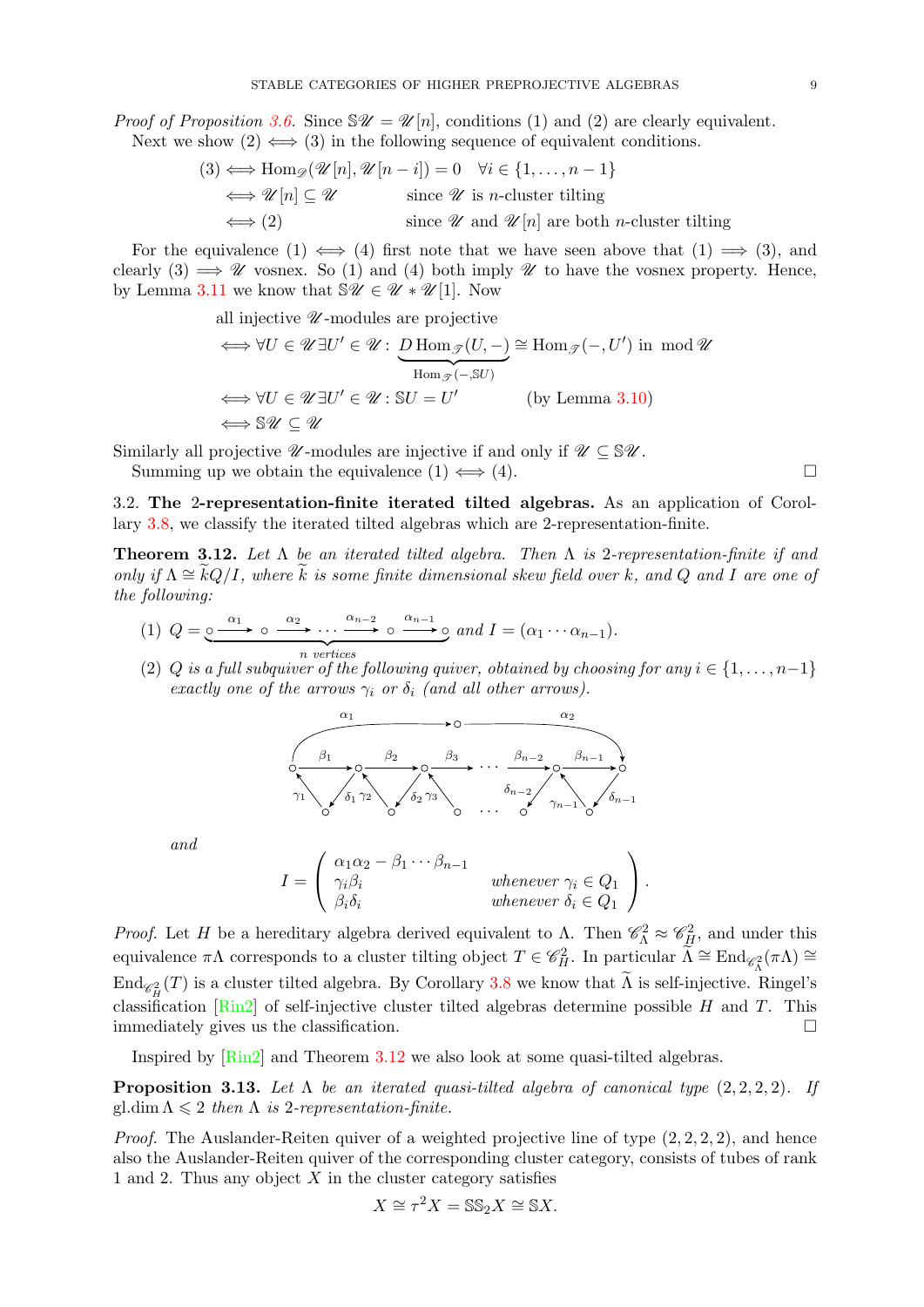*Proof of Proposition [3.6.](#page-7-0)* Since  $\mathscr{W} = \mathscr{U}[n]$ , conditions (1) and (2) are clearly equivalent. Next we show  $(2) \iff (3)$  in the following sequence of equivalent conditions.

$$
(3) \iff \text{Hom}_{\mathscr{D}}(\mathscr{U}[n], \mathscr{U}[n-i]) = 0 \quad \forall i \in \{1, ..., n-1\}
$$
  

$$
\iff \mathscr{U}[n] \subseteq \mathscr{U} \qquad \text{since } \mathscr{U} \text{ is } n\text{-cluster tilting}
$$
  

$$
\iff (2) \qquad \text{since } \mathscr{U} \text{ and } \mathscr{U}[n] \text{ are both } n\text{-cluster tilting}
$$

For the equivalence (1)  $\iff$  (4) first note that we have seen above that (1)  $\implies$  (3), and clearly (3)  $\implies \mathscr{U}$  vosnex. So (1) and (4) both imply  $\mathscr{U}$  to have the vosnex property. Hence, by Lemma [3.11](#page-7-2) we know that  $\mathbb{S}\mathscr{U} \in \mathscr{U} * \mathscr{U}[1]$ . Now

all injective  $\mathscr U$ -modules are projective

$$
\iff \forall U \in \mathscr{U} \exists U' \in \mathscr{U} : \underbrace{D \operatorname{Hom}_{\mathscr{T}}(U, -)}_{\operatorname{Hom}_{\mathscr{T}}(-, SU)} \cong \operatorname{Hom}_{\mathscr{T}}(-, U') \text{ in } \operatorname{mod} \mathscr{U}
$$
  

$$
\iff \forall U \in \mathscr{U} \exists U' \in \mathscr{U} : \mathbb{S}U = U' \qquad \text{(by Lemma 3.10)}
$$
  

$$
\iff \mathbb{S}\mathscr{U} \subseteq \mathscr{U}
$$

Similarly all projective  $\mathscr U$ -modules are injective if and only if  $\mathscr U \subseteq \mathbb{S}\mathscr U$ .

Summing up we obtain the equivalence  $(1) \iff (4)$ .

<span id="page-8-0"></span>3.2. The 2-representation-finite iterated tilted algebras. As an application of Corollary [3.8,](#page-7-3) we classify the iterated tilted algebras which are 2-representation-finite.

<span id="page-8-1"></span>**Theorem 3.12.** Let  $\Lambda$  be an iterated tilted algebra. Then  $\Lambda$  is 2-representation-finite if and only if  $\Lambda \cong \widetilde{k}Q/I$ , where  $\widetilde{k}$  is some finite dimensional skew field over k, and Q and I are one of the following:

- (1)  $Q = 0 \xrightarrow{\alpha_1} 0 \xrightarrow{\alpha_2} \cdots \xrightarrow{\alpha_{n-2}} 0 \xrightarrow{\alpha_{n-1}} 0$ n vertices and  $I = (\alpha_1 \cdots \alpha_{n-1}).$
- (2) Q is a full subquiver of the following quiver, obtained by choosing for any  $i \in \{1, \ldots, n-1\}$ exactly one of the arrows  $\gamma_i$  or  $\delta_i$  (and all other arrows).

· · · · · · α<sup>1</sup> α<sup>2</sup> β<sup>1</sup> β<sup>2</sup> β<sup>3</sup> βn−<sup>2</sup> βn−<sup>1</sup> γ<sup>1</sup> δ<sup>1</sup> γ<sup>2</sup> δ<sup>2</sup> γ3 δn−<sup>2</sup> γn−<sup>1</sup> δn−<sup>1</sup>

and

$$
I = \begin{pmatrix} \alpha_1 \alpha_2 - \beta_1 \cdots \beta_{n-1} \\ \gamma_i \beta_i \\ \beta_i \delta_i \end{pmatrix} \quad \text{whenever } \gamma_i \in Q_1 \\ \text{whenever } \delta_i \in Q_1 \end{pmatrix}.
$$

*Proof.* Let H be a hereditary algebra derived equivalent to  $\Lambda$ . Then  $\mathscr{C}_{\Lambda}^2 \approx \mathscr{C}_{H}^2$ , and under this equivalence  $\pi\Lambda$  corresponds to a cluster tilting object  $T \in \mathscr{C}_H^2$ . In particular  $\widetilde{\Lambda} \cong \text{End}_{\mathscr{C}_\Lambda^2}(\pi\Lambda) \cong$  $\text{End}_{\mathscr{C}_H^2}(T)$  is a cluster tilted algebra. By Corollary [3.8](#page-7-3) we know that  $\widetilde{\Lambda}$  is self-injective. Ringel's classification  $\lceil \text{Rin2} \rceil$  of self-injective cluster tilted algebras determine possible H and T. This immediately gives us the classification.

Inspired by [\[Rin2\]](#page-37-2) and Theorem [3.12](#page-8-1) we also look at some quasi-tilted algebras.

<span id="page-8-2"></span>**Proposition 3.13.** Let  $\Lambda$  be an iterated quasi-tilted algebra of canonical type  $(2, 2, 2, 2)$ . If gl.dim  $\Lambda \leq 2$  then  $\Lambda$  is 2-representation-finite.

*Proof.* The Auslander-Reiten quiver of a weighted projective line of type  $(2, 2, 2, 2)$ , and hence also the Auslander-Reiten quiver of the corresponding cluster category, consists of tubes of rank 1 and 2. Thus any object  $X$  in the cluster category satisfies

$$
X \cong \tau^2 X = \mathbb{SS}_2 X \cong \mathbb{S} X.
$$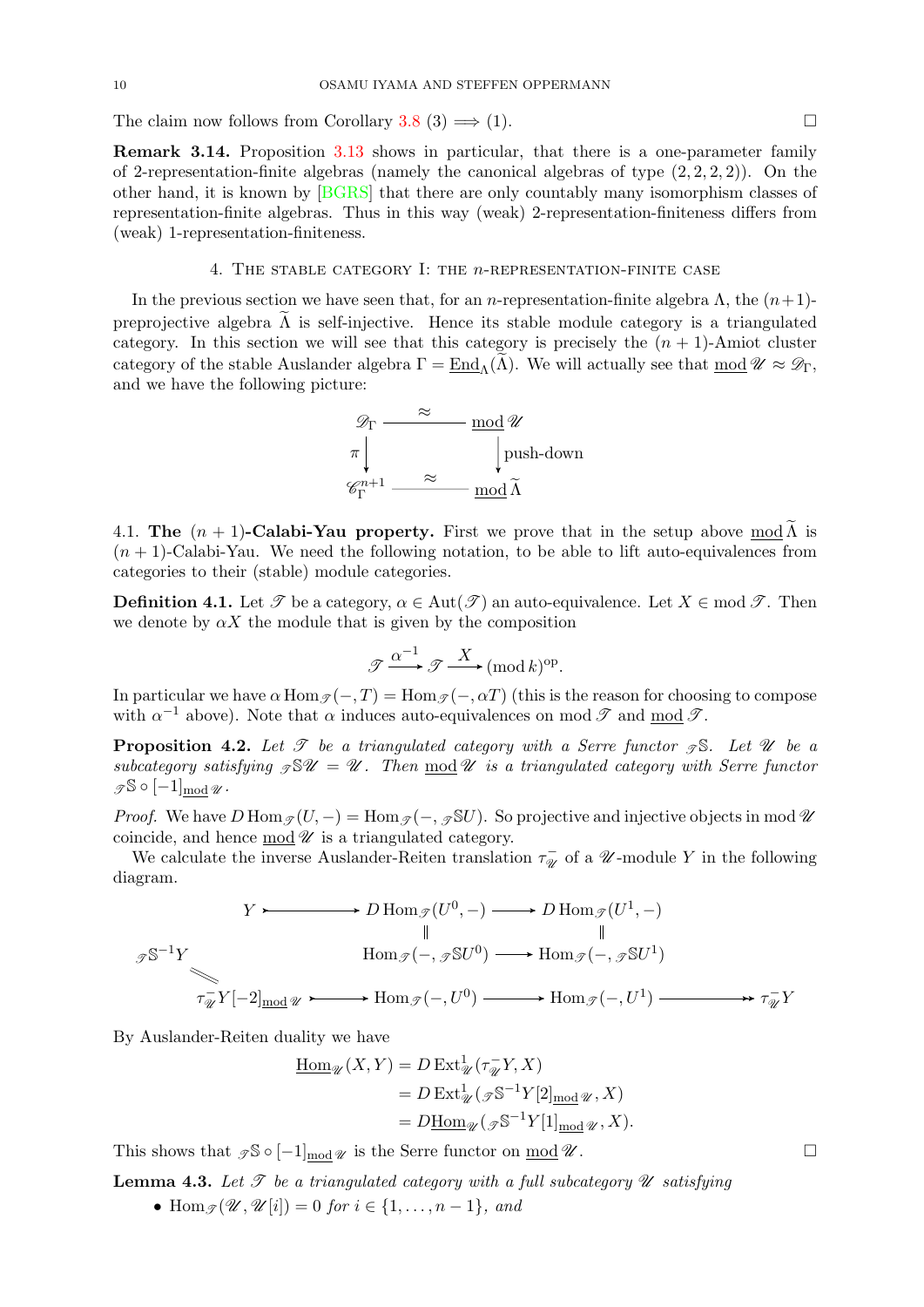The claim now follows from Corollary [3.8](#page-7-3) (3)  $\implies$  (1).

Remark 3.14. Proposition [3.13](#page-8-2) shows in particular, that there is a one-parameter family of 2-representation-finite algebras (namely the canonical algebras of type  $(2, 2, 2, 2)$ ). On the other hand, it is known by [\[BGRS\]](#page-36-28) that there are only countably many isomorphism classes of representation-finite algebras. Thus in this way (weak) 2-representation-finiteness differs from (weak) 1-representation-finiteness.

### 4. The stable category I: the n-representation-finite case

<span id="page-9-0"></span>In the previous section we have seen that, for an *n*-representation-finite algebra  $\Lambda$ , the  $(n+1)$ preprojective algebra  $\tilde{\Lambda}$  is self-injective. Hence its stable module category is a triangulated category. In this section we will see that this category is precisely the  $(n + 1)$ -Amiot cluster category of the stable Auslander algebra  $\Gamma = \text{End}_{\Lambda}(\widetilde{\Lambda})$ . We will actually see that mod  $\mathscr{U} \approx \mathscr{D}_{\Gamma}$ , and we have the following picture:



<span id="page-9-1"></span>4.1. The  $(n + 1)$ -Calabi-Yau property. First we prove that in the setup above mod  $\widetilde{\Lambda}$  is  $(n + 1)$ -Calabi-Yau. We need the following notation, to be able to lift auto-equivalences from categories to their (stable) module categories.

**Definition 4.1.** Let  $\mathscr T$  be a category,  $\alpha \in \text{Aut}(\mathscr T)$  an auto-equivalence. Let  $X \in \text{mod } \mathscr T$ . Then we denote by  $\alpha X$  the module that is given by the composition

$$
\mathcal{J} \xrightarrow{\alpha^{-1}} \mathcal{J} \xrightarrow{X} (\text{mod } k)^{\text{op}}.
$$

In particular we have  $\alpha$  Hom  $\gamma(-, T) =$  Hom  $\gamma(-, \alpha T)$  (this is the reason for choosing to compose with  $\alpha^{-1}$  above). Note that  $\alpha$  induces auto-equivalences on mod  $\mathscr T$  and  $\underline{\text{mod}} \mathscr T$ .

<span id="page-9-3"></span>**Proposition 4.2.** Let  $\mathcal{T}$  be a triangulated category with a Serre functor  $\mathcal{T} \mathbb{S}$ . Let  $\mathcal{U}$  be a subcategory satisfying  $\mathcal{S}U = \mathcal{U}$ . Then  $\text{mod } \mathcal{U}$  is a triangulated category with Serre functor  $\mathscr{S}$   $\circ$   $[-1]$ <sub>mod</sub>  $\mathscr{U}$ .

*Proof.* We have  $D \text{Hom}_{\mathscr{T}}(U, -) = \text{Hom}_{\mathscr{T}}(-, \mathscr{D}S U)$ . So projective and injective objects in mod  $\mathscr{U}$ coincide, and hence  $\text{mod } \mathscr{U}$  is a triangulated category.

We calculate the inverse Auslander-Reiten translation  $\tau_{\mathscr{A}}^ \bar{\psi}$  of a *U*-module Y in the following diagram.

$$
Y \longleftarrow D \operatorname{Hom}_{\mathscr{T}}(U^0, -) \longrightarrow D \operatorname{Hom}_{\mathscr{T}}(U^1, -)
$$
\n
$$
\downarrow \qquad \qquad \downarrow
$$
\n
$$
\operatorname{Hom}_{\mathscr{T}}(-, \mathscr{D} \mathbb{S} U^0) \longrightarrow \operatorname{Hom}_{\mathscr{T}}(-, \mathscr{D} \mathbb{S} U^1)
$$
\n
$$
\uparrow_{\mathscr{U}}^{-1} Y[-2]_{\operatorname{mod}} \mathscr{U} \longrightarrow \operatorname{Hom}_{\mathscr{T}}(-, U^0) \longrightarrow \operatorname{Hom}_{\mathscr{T}}(-, U^1) \longrightarrow \uparrow_{\mathscr{U}}^{-1} Y
$$

By Auslander-Reiten duality we have

$$
\underline{\text{Hom}}_{\mathcal{U}}(X, Y) = D \operatorname{Ext}^1_{\mathcal{U}}(\tau_{\mathcal{U}}^{-} Y, X)
$$
  
=  $D \operatorname{Ext}^1_{\mathcal{U}}(\mathcal{J} \mathbb{S}^{-1} Y[2]_{\text{mod}} \mathcal{U}, X)$   
=  $D \underline{\text{Hom}}_{\mathcal{U}}(\mathcal{J} \mathbb{S}^{-1} Y[1]_{\text{mod}} \mathcal{U}, X).$ 

This shows that  $\mathcal{I} \mathbb{S} \circ [-1]_{\text{mod } \mathscr{U}}$  is the Serre functor on  $\underline{\text{mod } \mathscr{U}}$ .

<span id="page-9-2"></span>**Lemma 4.3.** Let  $\mathcal{T}$  be a triangulated category with a full subcategory  $\mathcal{U}$  satisfying

• Hom  $\mathcal{I}(\mathcal{U}, \mathcal{U}[i]) = 0$  for  $i \in \{1, \ldots, n-1\}$ , and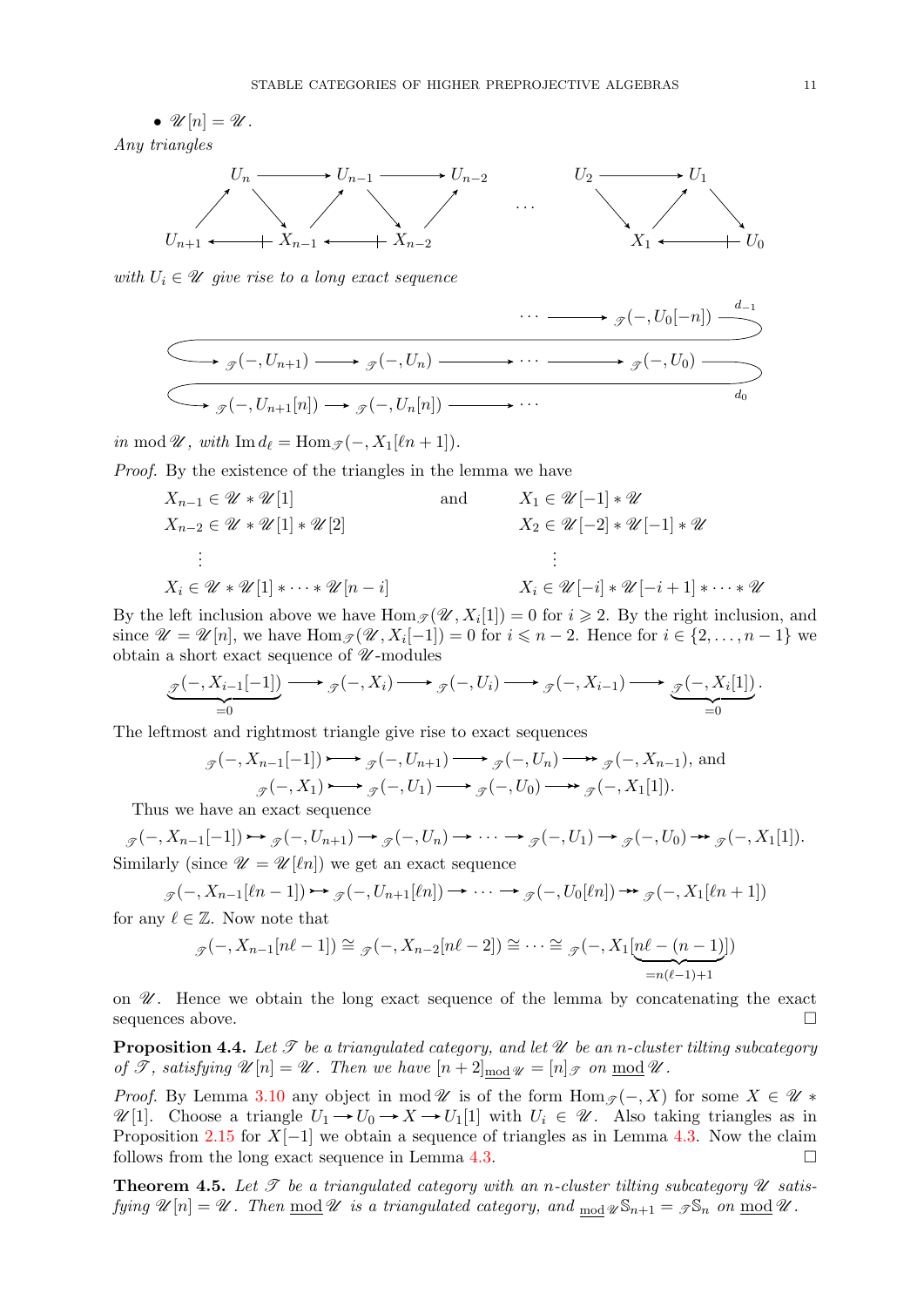•  $\mathscr{U}[n] = \mathscr{U}.$ Any triangles



with  $U_i \in \mathcal{U}$  give rise to a long exact sequence

$$
\begin{array}{c}\n\cdots \longrightarrow_{\mathscr{T}}(-,U_0[-n]) \xrightarrow{d_{-1}} \\
\hline\n\searrow_{\mathscr{T}}(-,U_{n+1}) \longrightarrow_{\mathscr{T}}(-,U_n) \longrightarrow \cdots \longrightarrow_{\mathscr{T}}(-,U_0) \longrightarrow \\
\hline\n\searrow_{\mathscr{T}}(-,U_{n+1}[n]) \longrightarrow_{\mathscr{T}}(-,U_n[n]) \longrightarrow \cdots\n\end{array}
$$

in mod  $\mathscr{U}$ , with Im  $d_\ell = \text{Hom}_{\mathscr{T}}(-, X_1[\ell n + 1]).$ 

Proof. By the existence of the triangles in the lemma we have

$$
X_{n-1} \in \mathcal{U} * \mathcal{U}[1]
$$
\n
$$
X_{n-2} \in \mathcal{U} * \mathcal{U}[1] * \mathcal{U}[2]
$$
\n
$$
\vdots
$$
\n
$$
X_i \in \mathcal{U} * \mathcal{U}[1] * \cdots * \mathcal{U}[n-i]
$$
\n
$$
X_i \in \mathcal{U} * \mathcal{U}[1] * \cdots * \mathcal{U}[n-i]
$$
\n
$$
X_i \in \mathcal{U}[-i] * \mathcal{U}[-i+1] * \cdots * \mathcal{U}[n]
$$

By the left inclusion above we have  $\text{Hom}_{\mathscr{T}}(\mathscr{U}, X_i[1]) = 0$  for  $i \geq 2$ . By the right inclusion, and since  $\mathscr{U} = \mathscr{U}[n]$ , we have  $\text{Hom}_{\mathscr{T}}(\mathscr{U}, X_i[-1]) = 0$  for  $i \leq n-2$ . Hence for  $i \in \{2, ..., n-1\}$  we obtain a short exact sequence of  $\mathcal U$ -modules

$$
\underbrace{\mathscr{F}(\text{--}, X_{i-1}[\text{--}1])}_{=0} \longrightarrow \underbrace{\mathscr{F}(\text{--}, X_i) \longrightarrow \mathscr{F}(\text{--}, U_i) \longrightarrow \mathscr{F}(\text{--}, X_{i-1}) \longrightarrow \underbrace{\mathscr{F}(\text{--}, X_i[1])}_{=0}.
$$

The leftmost and rightmost triangle give rise to exact sequences

$$
\mathcal{J}(-, X_{n-1}[-1]) \longrightarrow \mathcal{J}(-, U_{n+1}) \longrightarrow \mathcal{J}(-, U_n) \longrightarrow \mathcal{J}(-, X_{n-1}), \text{ and}
$$

$$
\mathcal{J}(-, X_1) \longrightarrow \mathcal{J}(-, U_1) \longrightarrow \mathcal{J}(-, U_0) \longrightarrow \mathcal{J}(-, X_1[1]).
$$

Thus we have an exact sequence

 $g(-, X_{n-1}[-1]) \rightarrow g(-, U_{n+1}) \rightarrow g(-, U_n) \rightarrow \cdots \rightarrow g(-, U_1) \rightarrow g(-, U_0) \rightarrow g(-, X_1[1]).$ Similarly (since  $\mathscr{U} = \mathscr{U}[\ell n]$ ) we get an exact sequence

$$
(\neg X_{n-1}[\ell n-1]) \rightarrow \mathcal{F}(\neg U_{n+1}[\ell n]) \rightarrow \cdots \rightarrow \mathcal{F}(\neg U_0[\ell n]) \rightarrow \mathcal{F}(\neg X_1[\ell n+1])
$$

for any  $\ell \in \mathbb{Z}$ . Now note that

T

$$
{}_{\mathscr{T}}(-,X_{n-1}[n\ell-1]) \cong {}_{\mathscr{T}}(-,X_{n-2}[n\ell-2]) \cong \cdots \cong {}_{\mathscr{T}}(-,X_1[\underbrace{n\ell-(n-1)}_{=n(\ell-1)+1}])
$$

on  $\mathscr U$ . Hence we obtain the long exact sequence of the lemma by concatenating the exact sequences above.  $\Box$ 

<span id="page-10-0"></span>**Proposition 4.4.** Let  $\mathcal T$  be a triangulated category, and let  $\mathcal U$  be an n-cluster tilting subcategory of  $\mathscr T$ , satisfying  $\mathscr U[n] = \mathscr U$ . Then we have  $[n+2]_{\text{mod } \mathscr U} = [n]_{\mathscr T}$  on  $\text{mod } \mathscr U$ .

*Proof.* By Lemma [3.10](#page-7-1) any object in mod  $\mathscr U$  is of the form  $\text{Hom}_{\mathscr I}(-, X)$  for some  $X \in \mathscr U$  \*  $\mathscr{U}[1]$ . Choose a triangle  $U_1 \rightarrow U_0 \rightarrow X \rightarrow U_1[1]$  with  $U_i \in \mathscr{U}$ . Also taking triangles as in Proposition [2.15](#page-4-2) for  $X[-1]$  we obtain a sequence of triangles as in Lemma [4.3.](#page-9-2) Now the claim follows from the long exact sequence in Lemma [4.3.](#page-9-2)  $\Box$ 

<span id="page-10-1"></span>**Theorem 4.5.** Let  $\mathcal T$  be a triangulated category with an n-cluster tilting subcategory  $\mathcal U$  satisfying  $\mathscr{U}[n] = \mathscr{U}$ . Then  $\underline{\text{mod}} \mathscr{U}$  is a triangulated category, and  $\underline{\text{mod}} \mathscr{U} \text{S}_{n+1} = \mathscr{I} \mathbb{S}_n$  on  $\underline{\text{mod}} \mathscr{U}$ .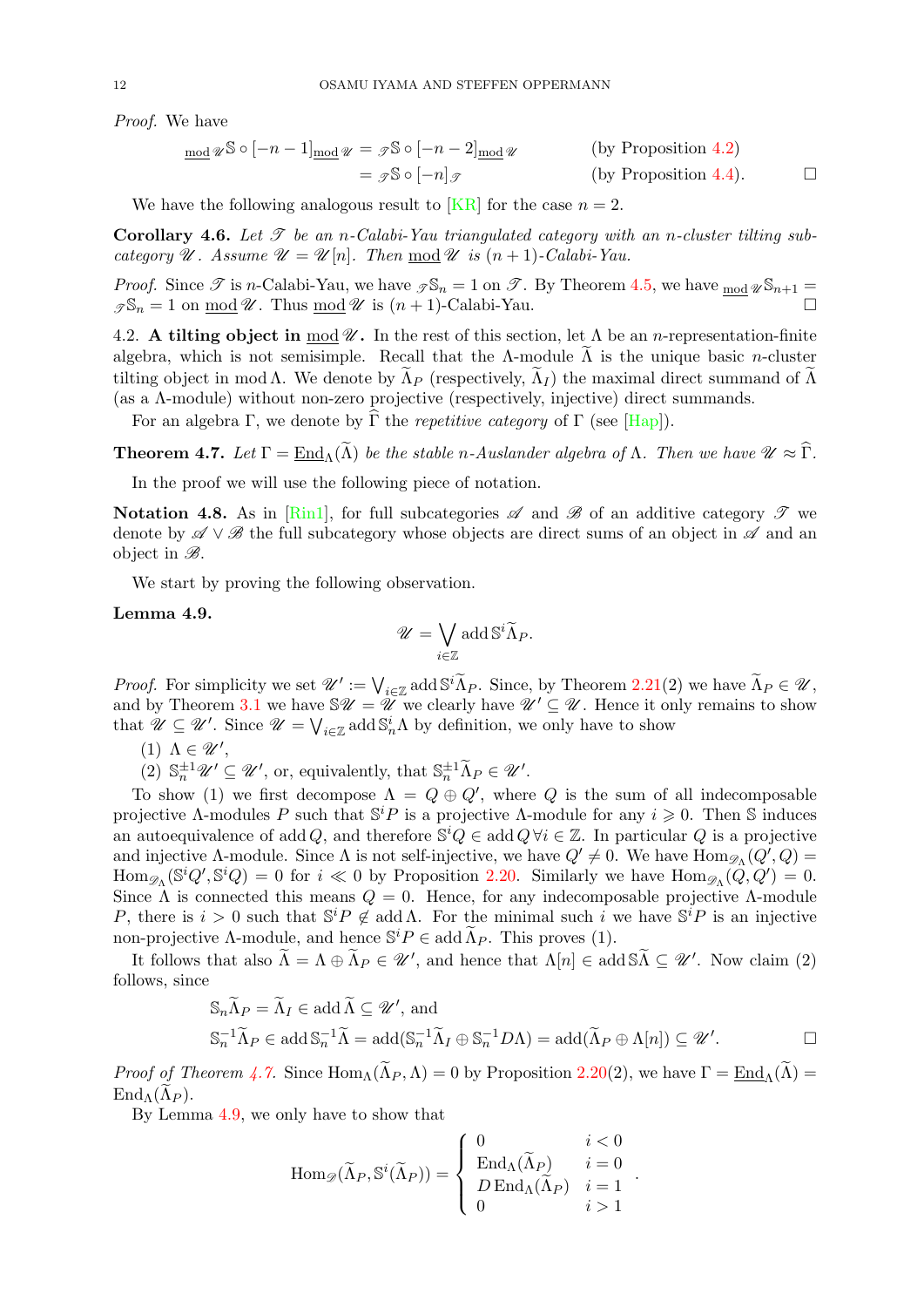Proof. We have

$$
\underline{\text{mod}} \mathscr{U}^{\mathbb{S}} \circ [-n-1]_{\underline{\text{mod}}} \mathscr{U} = \mathscr{I}^{\mathbb{S}} \circ [-n-2]_{\underline{\text{mod}}} \mathscr{U}
$$
 (by Proposition 4.2)  

$$
= \mathscr{I}^{\mathbb{S}} \circ [-n] \mathscr{I}
$$
 (by Proposition 4.4).  $\square$ 

We have the following analogous result to [\[KR\]](#page-37-3) for the case  $n = 2$ .

<span id="page-11-1"></span>**Corollary 4.6.** Let  $\mathscr T$  be an n-Calabi-Yau triangulated category with an n-cluster tilting subcategory  $\mathscr U$ . Assume  $\mathscr U = \mathscr U[n]$ . Then mod  $\mathscr U$  is  $(n+1)$ -Calabi-Yau.

*Proof.* Since  $\mathscr T$  is n-Calabi-Yau, we have  $\mathscr S \mathbb{S}_n = 1$  on  $\mathscr T$ . By Theorem [4.5,](#page-10-1) we have  $\text{mod } \mathscr U \mathbb{S}_{n+1} =$  $\mathcal{I}_n = 1$  on  $\text{mod } \mathcal{U}$ . Thus  $\text{mod } \mathcal{U}$  is  $(n + 1)$ -Calabi-Yau.

<span id="page-11-0"></span>4.2. A tilting object in mod  $\mathcal{U}$ . In the rest of this section, let  $\Lambda$  be an *n*-representation-finite algebra, which is not semisimple. Recall that the Λ-module  $\widetilde{\Lambda}$  is the unique basic *n*-cluster tilting object in mod Λ. We denote by  $\Lambda_P$  (respectively,  $\Lambda_I$ ) the maximal direct summand of  $\Lambda$ (as a  $\Lambda$ -module) without non-zero projective (respectively, injective) direct summands.

For an algebra Γ, we denote by  $\hat{\Gamma}$  the *repetitive category* of Γ (see [\[Hap\]](#page-36-24)).

<span id="page-11-2"></span>**Theorem 4.7.** Let  $\Gamma = \text{End}_{\Lambda}(\tilde{\Lambda})$  be the stable n-Auslander algebra of  $\Lambda$ . Then we have  $\mathcal{U} \approx \hat{\Gamma}$ .

In the proof we will use the following piece of notation.

Notation 4.8. As in [\[Rin1\]](#page-37-4), for full subcategories  $\mathscr A$  and  $\mathscr B$  of an additive category  $\mathscr T$  we denote by  $\mathscr{A} \vee \mathscr{B}$  the full subcategory whose objects are direct sums of an object in  $\mathscr{A}$  and an object in  $\mathscr{B}$ .

We start by proving the following observation.

### <span id="page-11-3"></span>Lemma 4.9.

$$
\mathscr{U} = \bigvee_{i \in \mathbb{Z}} \operatorname{add} \mathbb{S}^i \widetilde{\Lambda}_P.
$$

*Proof.* For simplicity we set  $\mathcal{U}' := \bigvee_{i \in \mathbb{Z}} \text{add } \mathbb{S}^i \tilde{\Lambda}_P$ . Since, by Theorem [2.21\(](#page-5-1)2) we have  $\tilde{\Lambda}_P \in \mathcal{U}$ , and by Theorem [3.1](#page-6-4) we have  $\mathcal{V} = \mathcal{U}$  we clearly have  $\mathcal{U}' \subseteq \mathcal{U}$ . Hence it only remains to show that  $\mathscr{U} \subseteq \mathscr{U}'$ . Since  $\mathscr{U} = \bigvee_{i \in \mathbb{Z}} \text{add } \mathbb{S}_n^i \Lambda$  by definition, we only have to show

- (1)  $\Lambda \in \mathscr{U}'$ ,
- (2)  $\mathbb{S}_n^{\pm 1} \mathscr{U}' \subseteq \mathscr{U}'$ , or, equivalently, that  $\mathbb{S}_n^{\pm 1} \widetilde{\Lambda}_P \in \mathscr{U}'$ .

To show (1) we first decompose  $\Lambda = Q \oplus Q'$ , where Q is the sum of all indecomposable projective  $\Lambda$ -modules P such that  $\mathbb{S}^i P$  is a projective  $\Lambda$ -module for any  $i \geq 0$ . Then S induces an autoequivalence of add Q, and therefore  $\mathbb{S}^i Q \in \text{add } Q \,\forall i \in \mathbb{Z}$ . In particular Q is a projective and injective  $\Lambda$ -module. Since  $\Lambda$  is not self-injective, we have  $Q' \neq 0$ . We have  $\text{Hom}_{\mathscr{D}_{\Lambda}}(Q', Q)$  $\text{Hom}_{\mathscr{D}_{\Lambda}}(\mathbb{S}^i Q', \mathbb{S}^i Q) = 0$  for  $i \ll 0$  by Proposition [2.20.](#page-5-4) Similarly we have  $\text{Hom}_{\mathscr{D}_{\Lambda}}(\widetilde{Q}, Q') = 0$ . Since  $\Lambda$  is connected this means  $Q = 0$ . Hence, for any indecomposable projective  $\Lambda$ -module P, there is  $i > 0$  such that  $\mathbb{S}^i P \notin \text{add}\,\Lambda$ . For the minimal such i we have  $\mathbb{S}^i P$  is an injective non-projective Λ-module, and hence  $\mathbb{S}^i P \in \text{add } \widetilde{\Lambda}_P$ . This proves (1).

It follows that also  $\widetilde{\Lambda} = \Lambda \oplus \widetilde{\Lambda}_P \in \mathscr{U}'$ , and hence that  $\Lambda[n] \in \text{add}\,\mathbb{S}\widetilde{\Lambda} \subseteq \mathscr{U}'$ . Now claim (2) follows, since

$$
\mathbb{S}_n \widetilde{\Lambda}_P = \widetilde{\Lambda}_I \in \text{add} \,\widetilde{\Lambda} \subseteq \mathscr{U}', \text{ and}
$$
  

$$
\mathbb{S}_n^{-1} \widetilde{\Lambda}_P \in \text{add} \,\mathbb{S}_n^{-1} \widetilde{\Lambda} = \text{add}(\mathbb{S}_n^{-1} \widetilde{\Lambda}_I \oplus \mathbb{S}_n^{-1} D \Lambda) = \text{add}(\widetilde{\Lambda}_P \oplus \Lambda[n]) \subseteq \mathscr{U}'.
$$

.

*Proof of Theorem [4.7.](#page-11-2)* Since  $\text{Hom}_{\Lambda}(\widetilde{\Lambda}_P, \Lambda) = 0$  by Proposition [2.20\(](#page-5-4)2), we have  $\Gamma = \text{End}_{\Lambda}(\widetilde{\Lambda}) =$  $\text{End}_{\Lambda}(\tilde{\Lambda}_P).$ 

By Lemma [4.9,](#page-11-3) we only have to show that

$$
\operatorname{Hom}_{\mathscr{D}}(\widetilde{\Lambda}_P, \mathbb{S}^i(\widetilde{\Lambda}_P)) = \left\{ \begin{array}{ll} 0 & i < 0 \\ \operatorname{End}_{\Lambda}(\widetilde{\Lambda}_P) & i = 0 \\ D \operatorname{End}_{\Lambda}(\widetilde{\Lambda}_P) & i = 1 \\ 0 & i > 1 \end{array} \right.
$$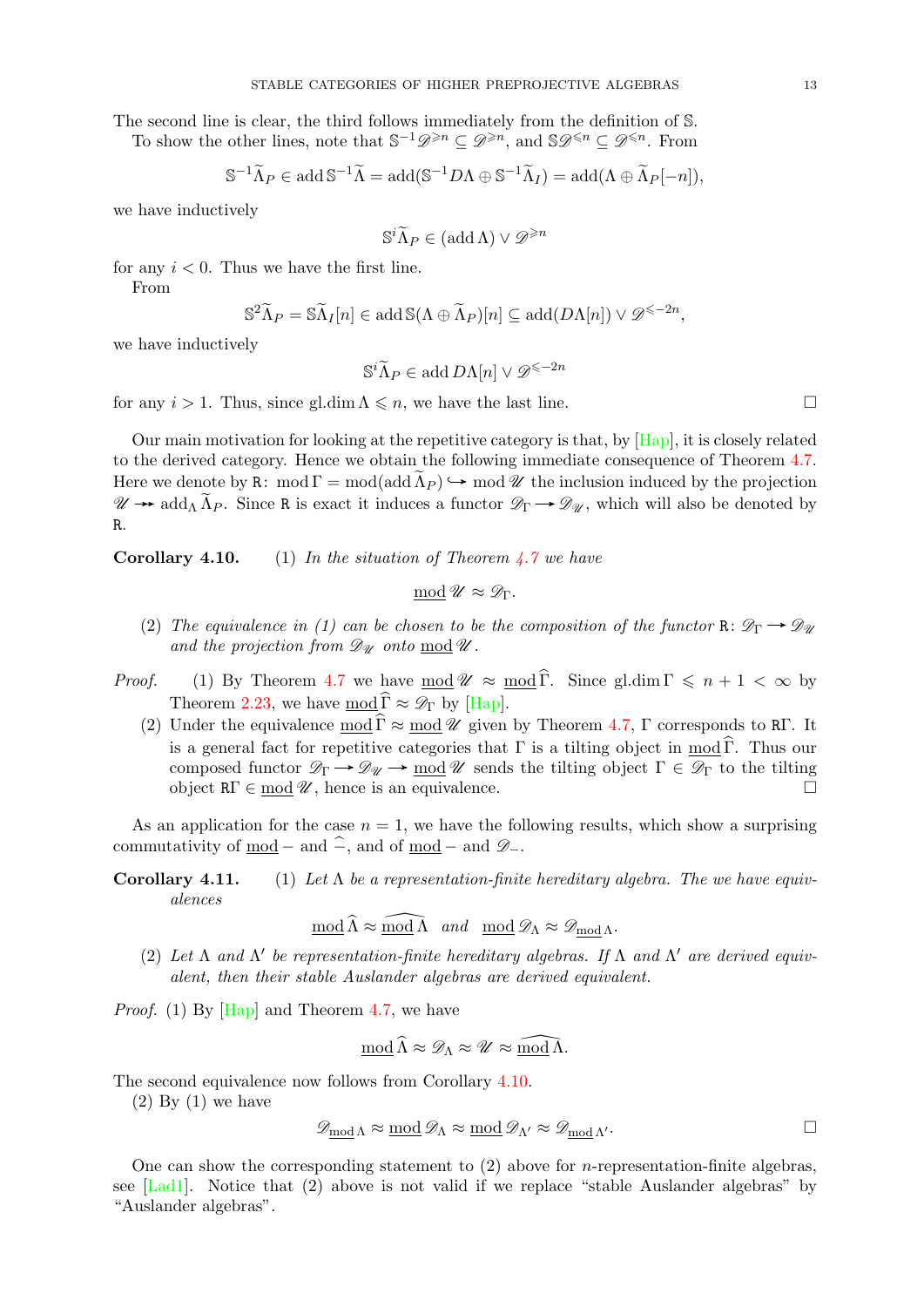The second line is clear, the third follows immediately from the definition of S. To show the other lines, note that  $\mathbb{S}^{-1} \mathscr{D}^{\geq n} \subseteq \mathscr{D}^{\geq n}$ , and  $\mathbb{S} \mathscr{D}^{\leq n} \subseteq \mathscr{D}^{\leq n}$ . From

$$
\mathbb{S}^{-1}\widetilde{\Lambda}_P \in \operatorname{add}\nolimits \mathbb{S}^{-1}\widetilde{\Lambda} = \operatorname{add}\nolimits (\mathbb{S}^{-1}D\Lambda \oplus \mathbb{S}^{-1}\widetilde{\Lambda}_I) = \operatorname{add}\nolimits (\Lambda \oplus \widetilde{\Lambda}_P[-n]),
$$

we have inductively

$$
\mathbb{S}^i \widetilde{\Lambda}_P \in (\text{add}\,\Lambda) \vee \mathscr{D}^{\geq n}
$$

for any  $i < 0$ . Thus we have the first line.

From

$$
\mathbb{S}^2 \widetilde{\Lambda}_P = \mathbb{S} \widetilde{\Lambda}_I[n] \in \operatorname{add} \mathbb{S}(\Lambda \oplus \widetilde{\Lambda}_P)[n] \subseteq \operatorname{add}(D\Lambda[n]) \vee \mathscr{D}^{\leq -2n},
$$

we have inductively

$$
\mathbb{S}^i \widetilde{\Lambda}_P \in \text{add } D\Lambda[n] \vee \mathscr{D}^{\leq -2n}
$$

for any  $i > 1$ . Thus, since gl.dim  $\Lambda \leq n$ , we have the last line.

Our main motivation for looking at the repetitive category is that, by [\[Hap\]](#page-36-24), it is closely related to the derived category. Hence we obtain the following immediate consequence of Theorem [4.7.](#page-11-2) Here we denote by R: mod  $\Gamma = \text{mod}(\text{add }\Lambda_P) \hookrightarrow \text{mod }\mathcal{U}$  the inclusion induced by the projection  $\mathscr{U} \to \text{add}_{\Lambda} \widetilde{\Lambda}_{P}$ . Since R is exact it induces a functor  $\mathscr{D}_{\Gamma} \to \mathscr{D}_{\mathscr{U}}$ , which will also be denoted by R.

**Corollary 4.10.** (1) In the situation of Theorem  $\angle 7$  we have

$$
\underline{\text{mod}}\ \mathscr{U} \approx \mathscr{D}_{\Gamma}.
$$

- (2) The equivalence in (1) can be chosen to be the composition of the functor R:  $\mathcal{D}_{\Gamma} \rightarrow \mathcal{D}_{\mathcal{U}}$ and the projection from  $\mathscr{D}_{\mathscr{U}}$  onto  $\text{mod } \mathscr{U}$ .
- *Proof.* (1) By Theorem [4.7](#page-11-2) we have  $\text{mod } \mathcal{U} \approx \text{mod } \widehat{\Gamma}$ . Since gl.dim  $\Gamma \leq n + 1 < \infty$  by Theorem [2.23,](#page-5-5) we have mod  $\widehat{\Gamma} \approx \mathscr{D}_{\Gamma}$  by [\[Hap\]](#page-36-24).
	- (2) Under the equivalence mod  $\widehat{\Gamma} \approx$  mod  $\mathscr U$  given by Theorem [4.7,](#page-11-2) Γ corresponds to RΓ. It is a general fact for repetitive categories that  $\Gamma$  is a tilting object in mod  $\widehat{\Gamma}$ . Thus our composed functor  $\mathscr{D}_{\Gamma} \to \mathscr{D}_{\mathscr{U}} \to \text{mod } \mathscr{U}$  sends the tilting object  $\Gamma \in \mathscr{D}_{\Gamma}$  to the tilting object  $R\Gamma \in \text{mod } \mathscr{U}$ , hence is an equivalence.

As an application for the case  $n = 1$ , we have the following results, which show a surprising commutativity of mod – and  $\widehat{\mathcal{P}}$ , and of mod – and  $\mathscr{D}_-$ .

**Corollary 4.11.** (1) Let  $\Lambda$  be a representation-finite hereditary algebra. The we have equivalences

 $\mod \widehat{\Lambda} \approx \widehat{\mod \Lambda}$  and  $\mod \mathscr{D}_{\Lambda} \approx \mathscr{D}_{\mod \Lambda}$ .

(2) Let  $\Lambda$  and  $\Lambda'$  be representation-finite hereditary algebras. If  $\Lambda$  and  $\Lambda'$  are derived equivalent, then their stable Auslander algebras are derived equivalent.

*Proof.* (1) By  $[Hap]$  and Theorem [4.7,](#page-11-2) we have

$$
\underline{\text{mod}}\,\widehat{\Lambda}\approx\mathscr{D}_{\Lambda}\approx\mathscr{U}\approx\widehat{\underline{\text{mod}}\,\Lambda}.
$$

The second equivalence now follows from Corollary [4.10.](#page-0-1)

 $(2)$  By  $(1)$  we have

$$
\mathscr{D}_{\text{mod }\Lambda}\approx \text{mod }\mathscr{D}_{\Lambda}\approx \text{mod }\mathscr{D}_{\Lambda'}\approx \mathscr{D}_{\text{mod }\Lambda'}.
$$

One can show the corresponding statement to  $(2)$  above for *n*-representation-finite algebras. see  $[Lad1]$ . Notice that  $(2)$  above is not valid if we replace "stable Auslander algebras" by "Auslander algebras".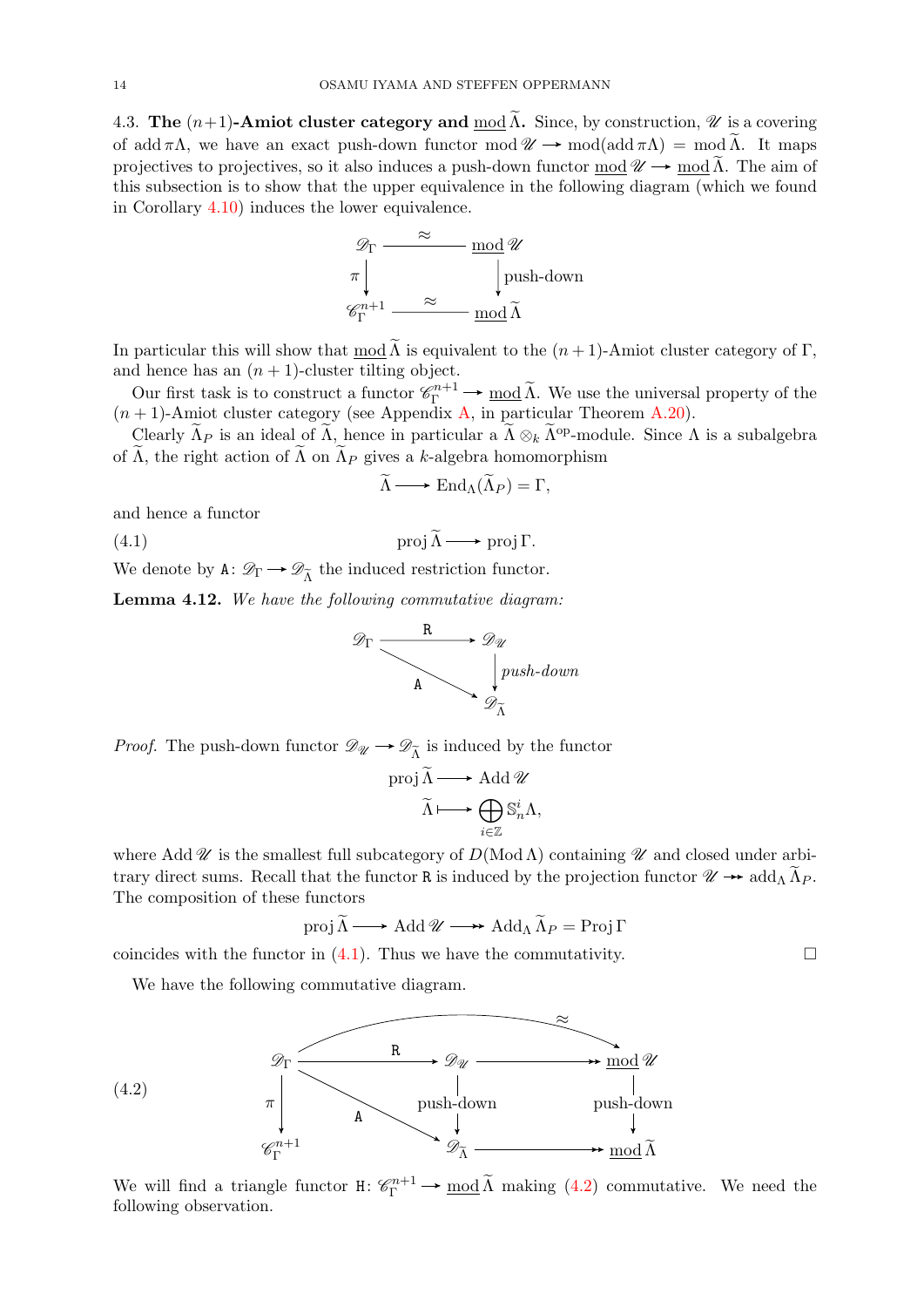<span id="page-13-0"></span>4.3. The  $(n+1)$ -Amiot cluster category and  $\text{mod }\widetilde{\Lambda}$ . Since, by construction,  $\mathscr U$  is a covering of add  $\pi\Lambda$ , we have an exact push-down functor mod  $\mathscr{U} \to \text{mod}(\text{add }\pi\Lambda) = \text{mod }\widetilde{\Lambda}$ . It maps projectives to projectives, so it also induces a push-down functor mod  $\mathscr{U} \to \text{mod }\Lambda$ . The aim of this subsection is to show that the upper equivalence in the following diagram (which we found in Corollary [4.10\)](#page-0-1) induces the lower equivalence.

$$
\mathcal{D}_{\Gamma} \xrightarrow{\approx} \mod \mathcal{U}
$$
\n
$$
\pi \downarrow \qquad \qquad \downarrow \text{push-down}
$$
\n
$$
\mathcal{C}_{\Gamma}^{n+1} \xrightarrow{\approx} \mod \widetilde{\Lambda}
$$

In particular this will show that mod  $\widetilde{\Lambda}$  is equivalent to the  $(n+1)$ -Amiot cluster category of Γ, and hence has an  $(n + 1)$ -cluster tilting object.

Our first task is to construct a functor  $\mathcal{C}_{\Gamma}^{n+1} \to \text{mod }\tilde{\Lambda}$ . We use the universal property of the  $(n+1)$ -Amiot cluster category (see Appendix [A,](#page-31-0) in particular Theorem [A.20\)](#page-34-1).

Clearly  $\widetilde{\Lambda}_P$  is an ideal of  $\widetilde{\Lambda}$ , hence in particular a  $\widetilde{\Lambda} \otimes_k \widetilde{\Lambda}^{\text{op}}$ -module. Since  $\Lambda$  is a subalgebra of  $\widetilde{\Lambda}$ , the right action of  $\widetilde{\Lambda}$  on  $\widetilde{\Lambda}_P$  gives a k-algebra homomorphism

<span id="page-13-1"></span>
$$
\widetilde{\Lambda} \longrightarrow \operatorname{End}_{\Lambda}(\widetilde{\Lambda}_P) = \Gamma,
$$

and hence a functor

(4.2)

(4.1)  $\qquad \qquad \text{proj } \widetilde{\Lambda} \longrightarrow \text{proj } \Gamma.$ 

We denote by  $A: \mathscr{D}_{\Gamma} \longrightarrow \mathscr{D}_{\widetilde{\Lambda}}$  the induced restriction functor.

<span id="page-13-3"></span>Lemma 4.12. We have the following commutative diagram:

$$
\mathscr{D}_{\Gamma} \xrightarrow{\qquad R \qquad \qquad } \mathscr{D}_{\mathscr{U}} \longrightarrow \mathscr{D}_{\widetilde{\Lambda}} \longrightarrow \mathscr{D}_{\widetilde{\Lambda}} \longrightarrow \mathscr{D}_{\widetilde{\Lambda}} \longrightarrow \mathscr{D}_{\widetilde{\Lambda}} \longrightarrow \mathscr{D}_{\widetilde{\Lambda}} \longrightarrow \mathscr{D}_{\widetilde{\Lambda}} \longrightarrow \mathscr{D}_{\widetilde{\Lambda}} \longrightarrow \mathscr{D}_{\widetilde{\Lambda}} \longrightarrow \mathscr{D}_{\widetilde{\Lambda}} \longrightarrow \mathscr{D}_{\widetilde{\Lambda}} \longrightarrow \mathscr{D}_{\widetilde{\Lambda}} \longrightarrow \mathscr{D}_{\widetilde{\Lambda}} \longrightarrow \mathscr{D}_{\widetilde{\Lambda}} \longrightarrow \mathscr{D}_{\widetilde{\Lambda}} \longrightarrow \mathscr{D}_{\widetilde{\Lambda}} \longrightarrow \mathscr{D}_{\widetilde{\Lambda}} \longrightarrow \mathscr{D}_{\widetilde{\Lambda}} \longrightarrow \mathscr{D}_{\widetilde{\Lambda}} \longrightarrow \mathscr{D}_{\widetilde{\Lambda}} \longrightarrow \mathscr{D}_{\widetilde{\Lambda}} \longrightarrow \mathscr{D}_{\widetilde{\Lambda}} \longrightarrow \mathscr{D}_{\widetilde{\Lambda}} \longrightarrow \mathscr{D}_{\widetilde{\Lambda}} \longrightarrow \mathscr{D}_{\widetilde{\Lambda}} \longrightarrow \mathscr{D}_{\widetilde{\Lambda}} \longrightarrow \mathscr{D}_{\widetilde{\Lambda}} \longrightarrow \mathscr{D}_{\widetilde{\Lambda}} \longrightarrow \mathscr{D}_{\widetilde{\Lambda}} \longrightarrow \mathscr{D}_{\widetilde{\Lambda}} \longrightarrow \mathscr{D}_{\widetilde{\Lambda}} \longrightarrow \mathscr{D}_{\widetilde{\Lambda}} \longrightarrow \mathscr{D}_{\widetilde{\Lambda}} \longrightarrow \mathscr{D}_{\widetilde{\Lambda}} \longrightarrow \mathscr{D}_{\widetilde{\Lambda}} \longrightarrow \mathscr{D}_{\widetilde{\Lambda}} \longrightarrow \mathscr{D}_{\widetilde{\Lambda}} \longrightarrow \mathscr{D}_{\widetilde{\Lambda}} \longrightarrow \mathscr{D}_{\widetilde{\Lambda}} \longrightarrow \mathscr{D}_{\widetilde{\Lambda}} \longrightarrow \mathscr{D}_{\widetilde{\Lambda}} \longrightarrow \mathscr{D}_{\widetilde{\Lambda}} \longrightarrow \mathscr{D}_{\widetilde{\Lambda}} \longrightarrow \mathscr{D}_{\widetilde{\Lambda}} \longrightarrow \mathscr{D}_{\widetilde{\Lambda}} \longrightarrow \mathscr{D}_{\widetilde{\Lambda}} \longrightarrow \mathscr{D}_{\widetilde{\Lambda}} \longrightarrow \mathscr{D}_{\widetilde{\Lambda}} \longrightarrow \mathscr{D}_{\widetilde{\Lambda}} \longrightarrow \mathscr
$$

*Proof.* The push-down functor  $\mathscr{D}_{\mathscr{U}} \longrightarrow \mathscr{D}_{\tilde{\Lambda}}$  is induced by the functor

proj 
$$
\widetilde{\Lambda} \longrightarrow
$$
 Add  $\mathscr{U}$   
 $\widetilde{\Lambda} \longmapsto \bigoplus_{i \in \mathbb{Z}} S_n^i \Lambda$ ,

where Add W is the smallest full subcategory of  $D(\text{Mod }\Lambda)$  containing W and closed under arbitrary direct sums. Recall that the functor R is induced by the projection functor  $\mathcal{U} \rightarrow \text{add}_{\Lambda} \widetilde{\Lambda}_{P}$ . The composition of these functors

$$
\operatorname{proj}\nolimits \widetilde{\Lambda} \longrightarrow \operatorname{Add}\nolimits \mathscr{U} \longrightarrow \operatorname{Add}\nolimits_{\Lambda} \widetilde{\Lambda}_P = \operatorname{Proj}\nolimits \Gamma
$$

coincides with the functor in  $(4.1)$ . Thus we have the commutativity.

We have the following commutative diagram.

<span id="page-13-2"></span>

We will find a triangle functor  $H: \mathcal{C}_{\Gamma}^{n+1} \to \text{mod }\tilde{\Lambda}$  making  $(4.2)$  $(4.2)$  commutative. We need the following observation.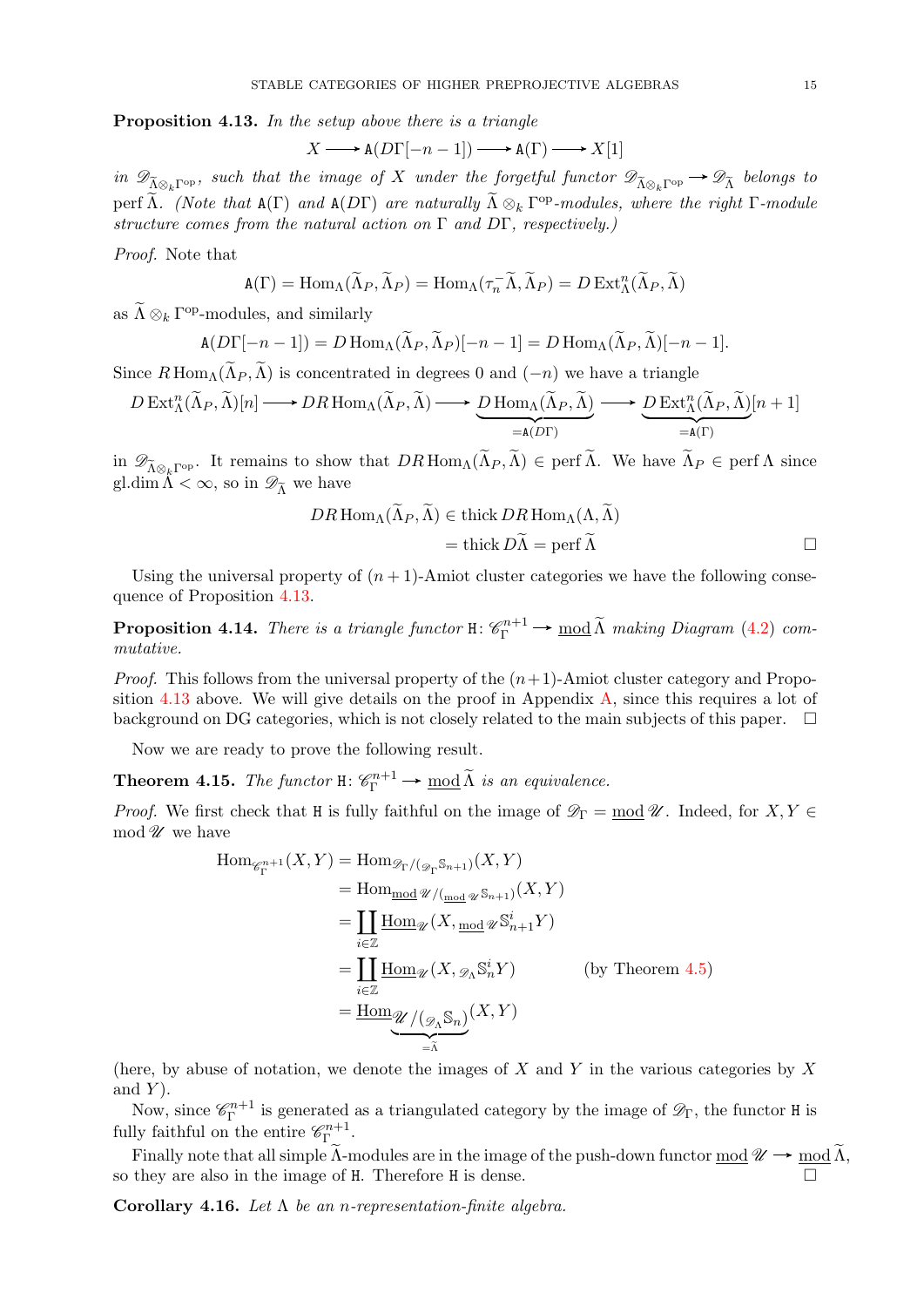<span id="page-14-2"></span>Proposition 4.13. In the setup above there is a triangle

$$
X \longrightarrow A(D\Gamma[-n-1]) \longrightarrow A(\Gamma) \longrightarrow X[1]
$$

in  $\mathscr{D}_{\tilde{\Lambda}\otimes_k\Gamma^{\mathrm{op}}}$ , such that the image of X under the forgetful functor  $\mathscr{D}_{\tilde{\Lambda}\otimes_k\Gamma^{\mathrm{op}}}\to \mathscr{D}_{\tilde{\Lambda}}$  belongs to perf  $\widetilde{\Lambda}$ . (Note that  $A(\Gamma)$  and  $A(D\Gamma)$  are naturally  $\widetilde{\Lambda} \otimes_k \Gamma^{op}\text{-modules}$ , where the right  $\Gamma\text{-module}$ structure comes from the natural action on  $\Gamma$  and  $D\Gamma$ , respectively.)

Proof. Note that

$$
\mathbf{A}(\Gamma) = \text{Hom}_{\Lambda}(\widetilde{\Lambda}_P, \widetilde{\Lambda}_P) = \text{Hom}_{\Lambda}(\tau_n^-\widetilde{\Lambda}, \widetilde{\Lambda}_P) = D \text{Ext}^n_{\Lambda}(\widetilde{\Lambda}_P, \widetilde{\Lambda})
$$

as  $\tilde{\Lambda} \otimes_k \Gamma^{\text{op}}$ -modules, and similarly

$$
\mathbf{A}(D\Gamma[-n-1]) = D \operatorname{Hom}_{\Lambda}(\widetilde{\Lambda}_P, \widetilde{\Lambda}_P)[-n-1] = D \operatorname{Hom}_{\Lambda}(\widetilde{\Lambda}_P, \widetilde{\Lambda})[-n-1].
$$

Since  $R$  Hom<sub>Λ</sub>( $\Lambda$ *P*,  $\Lambda$ ) is concentrated in degrees 0 and (-*n*) we have a triangle

$$
D \operatorname{Ext}_{\Lambda}^{n}(\widetilde{\Lambda}_{P},\widetilde{\Lambda})[n] \longrightarrow DR \operatorname{Hom}_{\Lambda}(\widetilde{\Lambda}_{P},\widetilde{\Lambda}) \longrightarrow \underbrace{D \operatorname{Hom}_{\Lambda}(\widetilde{\Lambda}_{P},\widetilde{\Lambda})}_{=\mathbf{A}(D\Gamma)} \longrightarrow \underbrace{D \operatorname{Ext}_{\Lambda}^{n}(\widetilde{\Lambda}_{P},\widetilde{\Lambda})}_{=\mathbf{A}(\Gamma)}[n+1]
$$

in  $\mathscr{D}_{\widetilde{\Lambda}\otimes_k\Gamma^{\mathrm{op}}}$ . It remains to show that  $DR\operatorname{Hom}_{\Lambda}(\widetilde{\Lambda}_P, \widetilde{\Lambda}) \in \operatorname{perf} \widetilde{\Lambda}$ . We have  $\widetilde{\Lambda}_P \in \operatorname{perf} \Lambda$  since gl.dim  $\tilde{\Lambda} < \infty$ , so in  $\mathscr{D}_{\tilde{\Lambda}}$  we have

$$
DR\operatorname{Hom}_{\Lambda}(\widetilde{\Lambda}_{P}, \widetilde{\Lambda}) \in \operatorname{thick} DR\operatorname{Hom}_{\Lambda}(\Lambda, \widetilde{\Lambda})
$$

$$
= \operatorname{thick} D\widetilde{\Lambda} = \operatorname{perf} \widetilde{\Lambda}
$$

Using the universal property of  $(n + 1)$ -Amiot cluster categories we have the following consequence of Proposition [4.13.](#page-14-2)

**Proposition 4.14.** There is a triangle functor  $H: \mathcal{C}_{\Gamma}^{n+1} \to \text{mod }\tilde{\Lambda}$  making Diagram [\(4.2\)](#page-13-2) commutative.

*Proof.* This follows from the universal property of the  $(n+1)$ -Amiot cluster category and Propo-sition [4.13](#page-14-2) above. We will give details on the proof in Appendix  $A$ , since this requires a lot of background on DG categories, which is not closely related to the main subjects of this paper.  $\square$ 

Now we are ready to prove the following result.

<span id="page-14-0"></span>**Theorem 4.15.** The functor  $H: \mathcal{C}_{\Gamma}^{n+1} \to \text{mod }\tilde{\Lambda}$  is an equivalence.

*Proof.* We first check that H is fully faithful on the image of  $\mathscr{D}_{\Gamma} = \text{mod } \mathscr{U}$ . Indeed, for  $X, Y \in$ mod  $\mathscr U$  we have

$$
\begin{aligned}\n\text{Hom}_{\mathscr{C}_{\Gamma}^{n+1}}(X,Y) &= \text{Hom}_{\mathscr{D}_{\Gamma}/(\mathscr{D}_{\Gamma}\mathbb{S}_{n+1})}(X,Y) \\
&= \text{Hom}_{\underline{\text{mod}}} \mathscr{U}/(\underline{\text{mod}} \mathscr{U} \mathbb{S}_{n+1})}(X,Y) \\
&= \coprod_{i \in \mathbb{Z}} \underline{\text{Hom}}_{\mathscr{U}}(X, \underline{\text{mod}} \mathscr{U} \mathbb{S}_{n+1}^{i} Y) \\
&= \coprod_{i \in \mathbb{Z}} \underline{\text{Hom}}_{\mathscr{U}}(X, \mathscr{D}_{\Lambda} \mathbb{S}_{n}^{i} Y) \qquad \text{(by Theorem 4.5)} \\
&= \underline{\text{Hom}}_{\mathscr{U}/(\mathscr{D}_{\Lambda} \mathbb{S}_{n})}(X,Y) \\
&= \tilde{\Lambda}\n\end{aligned}
$$

(here, by abuse of notation, we denote the images of  $X$  and  $Y$  in the various categories by  $X$ and  $Y$ ).

Now, since  $\mathscr{C}_{\Gamma}^{n+1}$  $\Gamma^{n+1}$  is generated as a triangulated category by the image of  $\mathscr{D}_{\Gamma}$ , the functor H is fully faithful on the entire  $\mathscr{C}_{\Gamma}^{n+1}$  $\Gamma$ .

Finally note that all simple  $\tilde{\Lambda}$ -modules are in the image of the push-down functor  $\underline{\text{mod}} \mathcal{U} \to \underline{\text{mod}} \tilde{\Lambda}$ , so they are also in the image of H. Therefore H is dense.

<span id="page-14-1"></span>Corollary 4.16. Let  $\Lambda$  be an n-representation-finite algebra.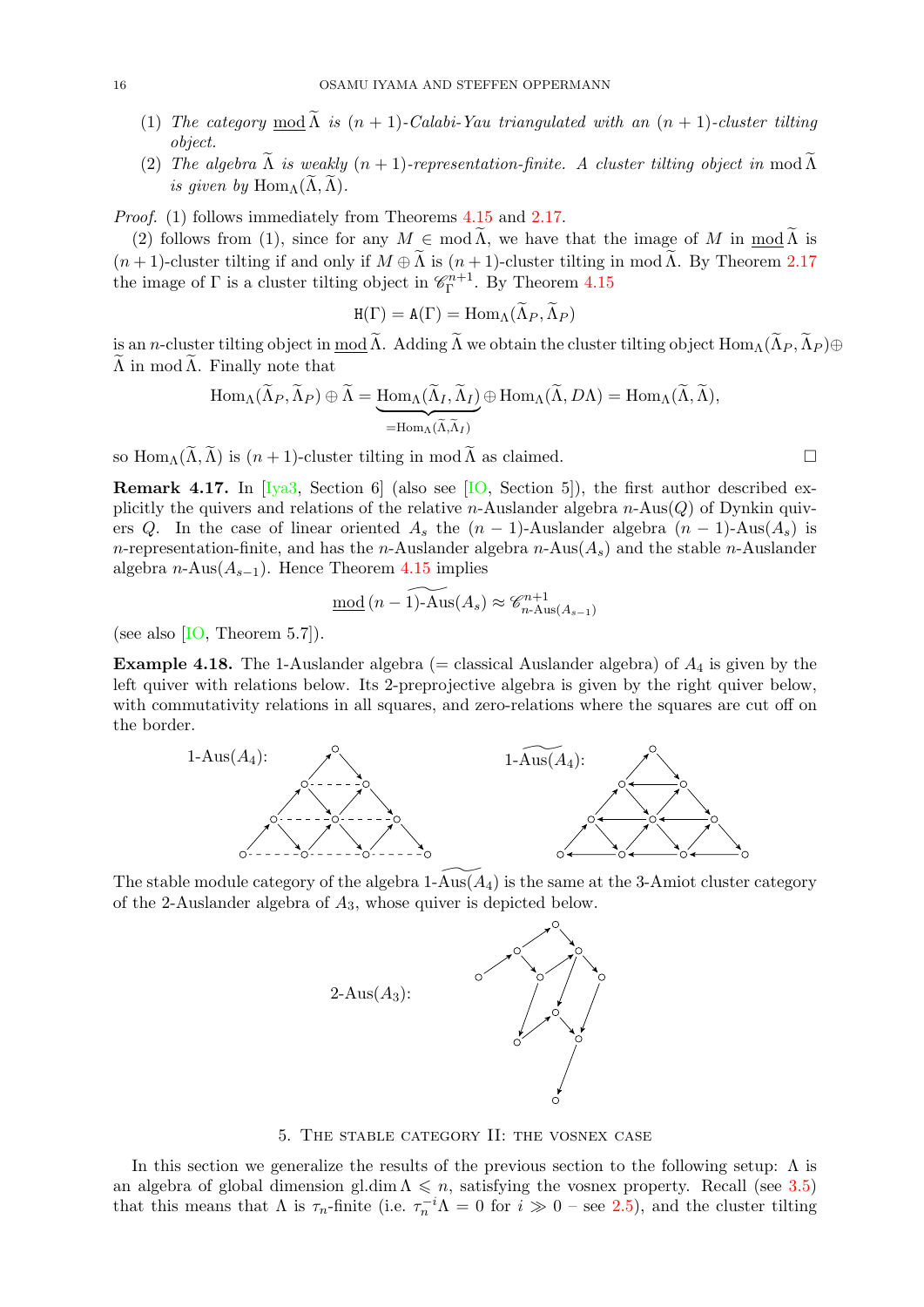- (1) The category mod  $\widetilde{\Lambda}$  is  $(n + 1)$ -Calabi-Yau triangulated with an  $(n + 1)$ -cluster tilting object.
- (2) The algebra  $\widetilde{\Lambda}$  is weakly  $(n + 1)$ -representation-finite. A cluster tilting object in mod  $\widetilde{\Lambda}$ is given by  $\text{Hom}_{\Lambda}(\Lambda, \Lambda)$ .

Proof. (1) follows immediately from Theorems [4.15](#page-14-0) and [2.17.](#page-5-6)

(2) follows from (1), since for any  $M \in \text{mod }\Lambda$ , we have that the image of M in mod  $\Lambda$  is  $(n+1)$ -cluster tilting if and only if  $M \oplus \widetilde{\Lambda}$  is  $(n+1)$ -cluster tilting in mod  $\widetilde{\Lambda}$ . By Theorem [2.17](#page-5-6) the image of  $\Gamma$  is a cluster tilting object in  $\mathscr{C}_{\Gamma}^{n+1}$  $_{\Gamma}^{2n+1}$ . By Theorem [4.15](#page-14-0)

$$
H(\Gamma) = A(\Gamma) = \text{Hom}_{\Lambda}(\Lambda_P, \Lambda_P)
$$

is an n-cluster tilting object in mod  $\widetilde{\Lambda}$ . Adding  $\widetilde{\Lambda}$  we obtain the cluster tilting object  $\text{Hom}_{\Lambda}(\widetilde{\Lambda}_P, \widetilde{\Lambda}_P) \oplus$  $\Lambda$  in mod  $\Lambda$ . Finally note that

$$
\operatorname{Hom}_{\Lambda}(\widetilde{\Lambda}_{P}, \widetilde{\Lambda}_{P}) \oplus \widetilde{\Lambda} = \underbrace{\operatorname{Hom}_{\Lambda}(\widetilde{\Lambda}_{I}, \widetilde{\Lambda}_{I})}_{\text{=Hom}_{\Lambda}(\widetilde{\Lambda}, \widetilde{\Lambda}_{I})} \oplus \operatorname{Hom}_{\Lambda}(\widetilde{\Lambda}, D\Lambda) = \operatorname{Hom}_{\Lambda}(\widetilde{\Lambda}, \widetilde{\Lambda}),
$$

so  $\text{Hom}_{\Lambda}(\widetilde{\Lambda}, \widetilde{\Lambda})$  is  $(n+1)$ -cluster tilting in mod  $\widetilde{\Lambda}$  as claimed.

Remark 4.17. In [\[Iya3,](#page-36-19) Section 6] (also see [\[IO,](#page-36-10) Section 5]), the first author described explicitly the quivers and relations of the relative n-Auslander algebra  $n$ -Aus $(Q)$  of Dynkin quivers Q. In the case of linear oriented  $A_s$  the  $(n-1)$ -Auslander algebra  $(n-1)$ -Aus $(A_s)$  is n-representation-finite, and has the n-Auslander algebra  $n$ -Ausl $(A_s)$  and the stable n-Auslander algebra n-Aus $(A_{s-1})$ . Hence Theorem [4.15](#page-14-0) implies

$$
\underline{\text{mod}}\,(n-1)\widetilde{\text{-} \text{Aus}}(A_s) \approx \mathcal{C}_{n-\text{Aus}}^{n+1}(A_{s-1})
$$

(see also  $[IO, Theorem 5.7]$ ).

**Example 4.18.** The 1-Auslander algebra (= classical Auslander algebra) of  $A_4$  is given by the left quiver with relations below. Its 2-preprojective algebra is given by the right quiver below, with commutativity relations in all squares, and zero-relations where the squares are cut off on the border.



The stable module category of the algebra  $1-\text{Ans}(A_4)$  is the same at the 3-Amiot cluster category of the 2-Auslander algebra of  $A_3$ , whose quiver is depicted below.



5. The stable category II: the vosnex case

<span id="page-15-0"></span>In this section we generalize the results of the previous section to the following setup:  $\Lambda$  is an algebra of global dimension gl.dim  $\Lambda \leq n$ , satisfying the vosnex property. Recall (see [3.5\)](#page-6-3) that this means that  $\Lambda$  is  $\tau_n$ -finite (i.e.  $\tau_n^{-i}\Lambda = 0$  for  $i \gg 0$  – see [2.5\)](#page-3-1), and the cluster tilting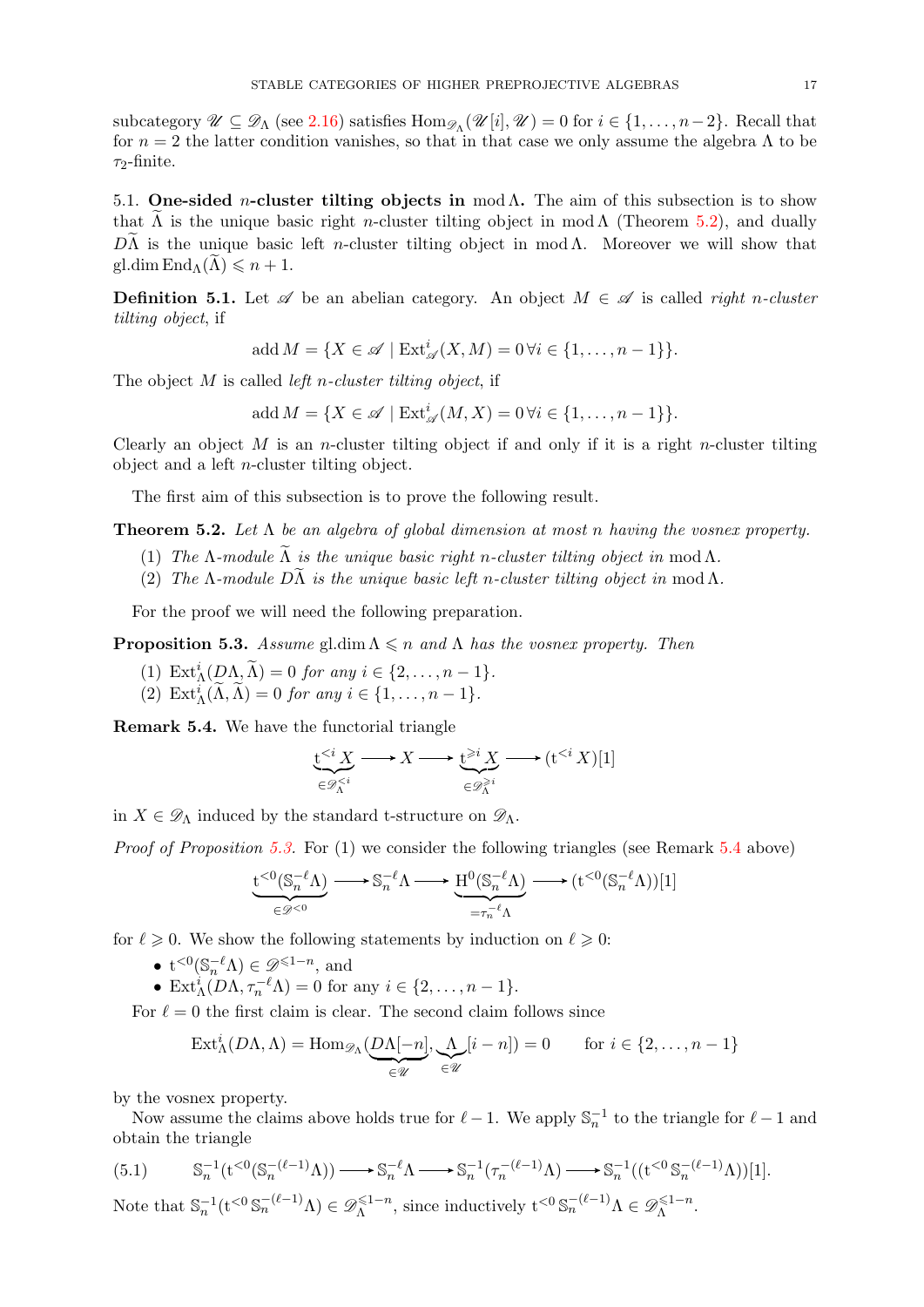subcategory  $\mathscr{U} \subseteq \mathscr{D}_{\Lambda}$  (see [2.16\)](#page-5-2) satisfies  $\text{Hom}_{\mathscr{D}_{\Lambda}}(\mathscr{U}[i], \mathscr{U}) = 0$  for  $i \in \{1, \ldots, n-2\}$ . Recall that for  $n = 2$  the latter condition vanishes, so that in that case we only assume the algebra  $\Lambda$  to be  $\tau_2$ -finite.

<span id="page-16-0"></span>5.1. One-sided *n*-cluster tilting objects in mod  $Λ$ . The aim of this subsection is to show that  $\Lambda$  is the unique basic right *n*-cluster tilting object in mod  $\Lambda$  (Theorem [5.2\)](#page-16-1), and dually  $D\Lambda$  is the unique basic left *n*-cluster tilting object in mod  $\Lambda$ . Moreover we will show that gl.dim  $\text{End}_{\Lambda}(\Lambda) \leqslant n+1$ .

**Definition 5.1.** Let  $\mathscr A$  be an abelian category. An object  $M \in \mathscr A$  is called *right n-cluster* tilting object, if

add 
$$
M = \{X \in \mathcal{A} \mid \text{Ext}^i_{\mathcal{A}}(X, M) = 0 \forall i \in \{1, \ldots, n-1\}\}.
$$

The object  $M$  is called *left n-cluster tilting object*, if

$$
add M = \{X \in \mathscr{A} \mid \text{Ext}^i_{\mathscr{A}}(M, X) = 0 \,\forall i \in \{1, \dots, n-1\}\}.
$$

Clearly an object  $M$  is an *n*-cluster tilting object if and only if it is a right *n*-cluster tilting object and a left n-cluster tilting object.

The first aim of this subsection is to prove the following result.

<span id="page-16-1"></span>**Theorem 5.2.** Let  $\Lambda$  be an algebra of global dimension at most n having the vosnex property.

- (1) The  $\Lambda$ -module  $\widetilde{\Lambda}$  is the unique basic right n-cluster tilting object in mod  $\Lambda$ .
- (2) The  $\Lambda$ -module  $D\widetilde{\Lambda}$  is the unique basic left n-cluster tilting object in mod  $\Lambda$ .

For the proof we will need the following preparation.

<span id="page-16-2"></span>**Proposition 5.3.** Assume gl.dim  $\Lambda \leq n$  and  $\Lambda$  has the vosnex property. Then

- (1)  $\operatorname{Ext}_{\Lambda}^{i}(D\Lambda, \widetilde{\Lambda}) = 0$  for any  $i \in \{2, \ldots, n-1\}.$
- (2)  $\operatorname{Ext}_{\Lambda}^i(\widetilde{\Lambda}, \widetilde{\Lambda}) = 0$  for any  $i \in \{1, \ldots, n-1\}.$

<span id="page-16-3"></span>Remark 5.4. We have the functorial triangle

$$
\underbrace{\mathsf{t}^{i}} \longrightarrow (\mathsf{t}^{
$$

in  $X \in \mathscr{D}_{\Lambda}$  induced by the standard t-structure on  $\mathscr{D}_{\Lambda}$ .

Proof of Proposition [5.3.](#page-16-2) For (1) we consider the following triangles (see Remark [5.4](#page-16-3) above)

$$
\underbrace{\mathbf{t}^{<0}(\mathbb{S}_n^{-\ell}\Lambda)}_{\in \mathscr{D}^{<0}}\longrightarrow \mathbb{S}_n^{-\ell}\Lambda \longrightarrow \underbrace{ \mathbf{H}^0(\mathbb{S}_n^{-\ell}\Lambda)}_{=\tau_n^{-\ell}\Lambda} \longrightarrow (\mathbf{t}^{<0}(\mathbb{S}_n^{-\ell}\Lambda))[1]
$$

for  $\ell \geq 0$ . We show the following statements by induction on  $\ell \geq 0$ :

- $t^{<0}(\mathbb{S}_n^{-\ell}\Lambda) \in \mathscr{D}^{\leq 1-n}$ , and
- Ext ${}_{\Lambda}^{i}(D\Lambda, \tau_n^{-\ell}\Lambda) = 0$  for any  $i \in \{2, \ldots, n-1\}.$

For  $\ell = 0$  the first claim is clear. The second claim follows since

$$
\operatorname{Ext}_{\Lambda}^{i}(D\Lambda,\Lambda)=\operatorname{Hom}_{\mathscr{D}_{\Lambda}}(\underbrace{D\Lambda[-n]}_{\in\mathscr{U}},\underbrace{\Lambda}_{\in\mathscr{U}}[i-n])=0\qquad\text{for }i\in\{2,\ldots,n-1\}
$$

by the vosnex property.

Now assume the claims above holds true for  $\ell - 1$ . We apply  $\mathbb{S}_n^{-1}$  to the triangle for  $\ell - 1$  and obtain the triangle

Λ

<span id="page-16-4"></span>(5.1) 
$$
\mathbb{S}_n^{-1}(\mathbf{t}^{<0}(\mathbb{S}_n^{-(\ell-1)}\Lambda)) \longrightarrow \mathbb{S}_n^{-\ell}\Lambda \longrightarrow \mathbb{S}_n^{-1}(\tau_n^{-(\ell-1)}\Lambda) \longrightarrow \mathbb{S}_n^{-1}((\mathbf{t}^{<0}\mathbb{S}_n^{-(\ell-1)}\Lambda))[1].
$$
  
Note that 
$$
\mathbb{S}_n^{-1}(\mathbf{t}^{<0}\mathbb{S}_n^{-(\ell-1)}\Lambda) \in \mathscr{D}_\Lambda^{\leq 1-n}
$$
, since inductively 
$$
\mathbf{t}^{<0}\mathbb{S}_n^{-(\ell-1)}\Lambda \in \mathscr{D}_\Lambda^{\leq 1-n}
$$
.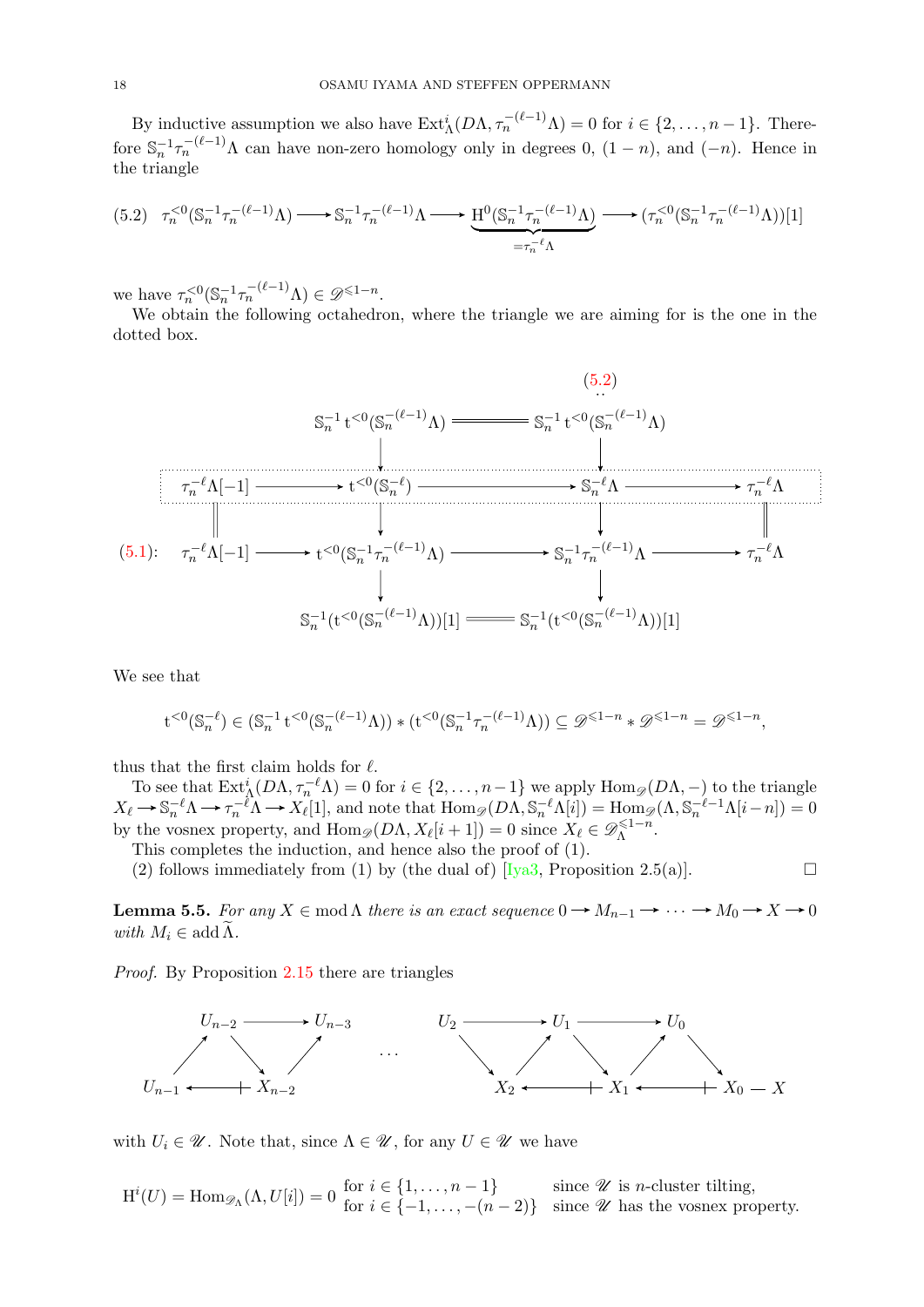By inductive assumption we also have  $\text{Ext}_{\Lambda}^{i}(D\Lambda, \tau_{n}^{-(\ell-1)}\Lambda) = 0$  for  $i \in \{2, ..., n-1\}$ . Therefore  $\mathbb{S}_n^{-1} \tau_n^{-(\ell-1)} \Lambda$  can have non-zero homology only in degrees 0,  $(1-n)$ , and  $(-n)$ . Hence in the triangle

<span id="page-17-0"></span>
$$
(5.2) \quad \tau_n^{<0}(\mathbb{S}_n^{-1}\tau_n^{-(\ell-1)}\Lambda)\longrightarrow \mathbb{S}_n^{-1}\tau_n^{-(\ell-1)}\Lambda\longrightarrow \underbrace{H^0(\mathbb{S}_n^{-1}\tau_n^{-(\ell-1)}\Lambda)}_{=\tau_n^{-\ell}\Lambda}\longrightarrow (\tau_n^{<0}(\mathbb{S}_n^{-1}\tau_n^{-(\ell-1)}\Lambda))[1]
$$

we have  $\tau_n^{<0}(\mathbb{S}_n^{-1}\tau_n^{-(\ell-1)}\Lambda) \in \mathscr{D}^{\leq 1-n}$ .

We obtain the following octahedron, where the triangle we are aiming for is the one in the dotted box.



We see that

$$
\mathbf{t}^{<0}(\mathbb{S}_n^{-\ell}) \in (\mathbb{S}_n^{-1} \mathbf{t}^{<0}(\mathbb{S}_n^{-(\ell-1)} \Lambda)) \ast (\mathbf{t}^{<0}(\mathbb{S}_n^{-1} \tau_n^{-(\ell-1)} \Lambda)) \subseteq \mathscr{D}^{\leqslant 1-n} \ast \mathscr{D}^{\leqslant 1-n} = \mathscr{D}^{\leqslant 1-n},
$$

thus that the first claim holds for  $\ell$ .

To see that  $\text{Ext}_{\Lambda}^{i}(D\Lambda,\tau_{n}^{-\ell}\Lambda) = 0$  for  $i \in \{2,\ldots,n-1\}$  we apply  $\text{Hom}_{\mathscr{D}}(D\Lambda,-)$  to the triangle  $X_{\ell} \to \mathbb{S}_n^{-\ell} \Lambda \to \tau_n^{-\ell} \Lambda \to X_{\ell}[1],$  and note that  $\text{Hom}_{\mathscr{D}}(D\Lambda, \mathbb{S}_n^{-\ell} \Lambda[i]) = \text{Hom}_{\mathscr{D}}(\Lambda, \mathbb{S}_n^{-\ell-1} \Lambda[i-n]) = 0$ by the vosnex property, and  $\text{Hom}_{\mathscr{D}}(D\Lambda, X_{\ell}[i + 1]) = 0$  since  $X_{\ell} \in \mathscr{D}_{\Lambda}^{\leq 1-n}$  $\mathbb{A}^{n-1-n}$ .

This completes the induction, and hence also the proof of (1).

(2) follows immediately from (1) by (the dual of)  $\text{[Iya3, Proposition 2.5(a)]}.$ 

<span id="page-17-1"></span>**Lemma 5.5.** For any  $X \in \text{mod }\Lambda$  there is an exact sequence  $0 \to M_{n-1} \to \cdots \to M_0 \to X \to 0$ with  $M_i \in \operatorname{add} \widetilde{\Lambda}$ .

Proof. By Proposition [2.15](#page-4-2) there are triangles



with  $U_i \in \mathcal{U}$ . Note that, since  $\Lambda \in \mathcal{U}$ , for any  $U \in \mathcal{U}$  we have

 $H^{i}(U) = \text{Hom}_{\mathscr{D}_{\Lambda}}(\Lambda, U[i]) = 0 \text{ for } i \in \{1, \ldots, n-1\}$  since  $\mathscr U$  is *n*-cluster tilting,<br>for  $i \in \{-1, \ldots, -(n-2)\}$  since  $\mathscr U$  has the vosnex property.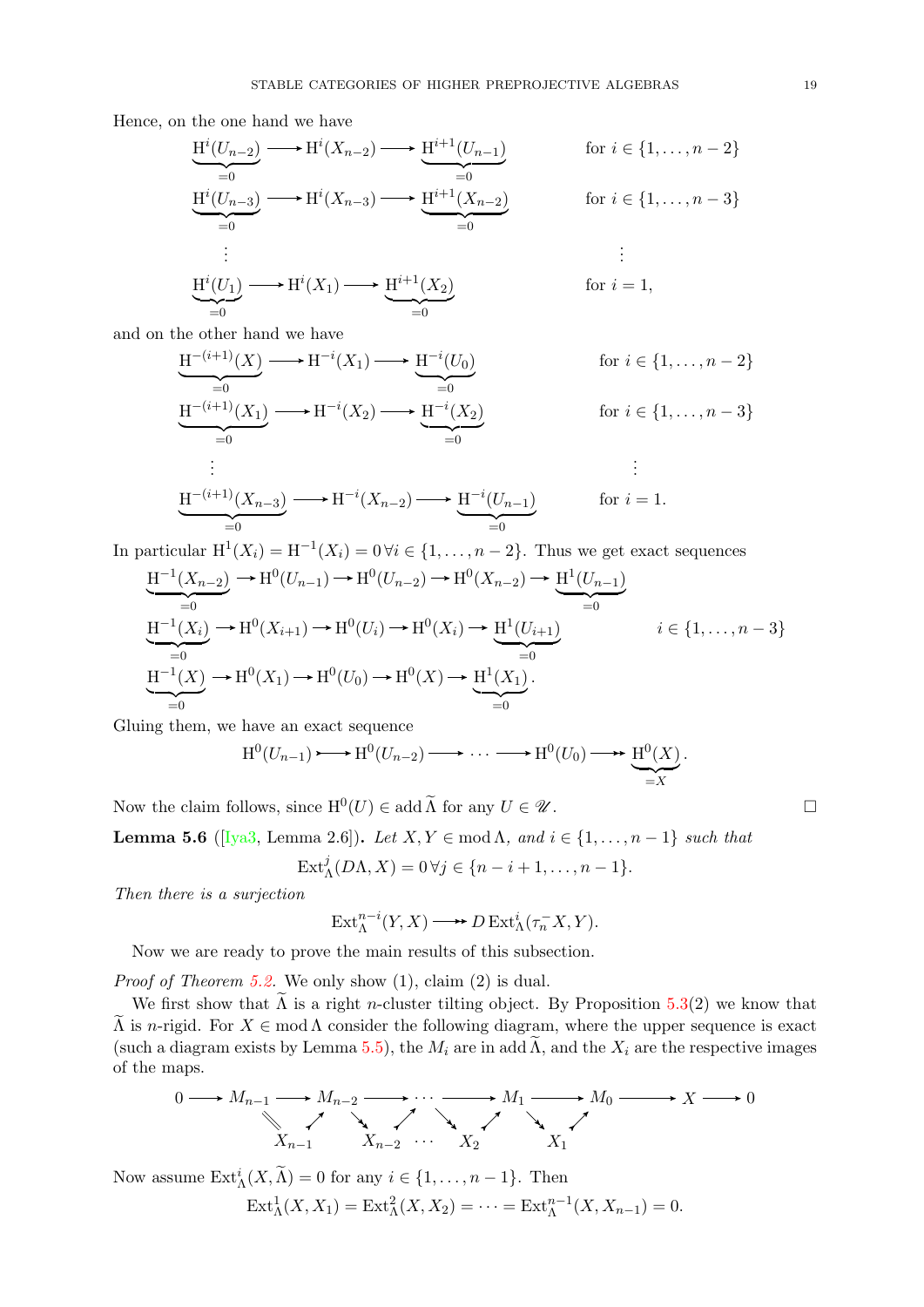Hence, on the one hand we have

$$
\underbrace{\mathbf{H}^i(U_{n-2}) \longrightarrow \mathbf{H}^i(X_{n-2}) \longrightarrow \underbrace{\mathbf{H}^{i+1}(U_{n-1})}_{=0}}_{=0} \quad \text{for } i \in \{1, \dots, n-2\}
$$
\n
$$
\underbrace{\mathbf{H}^i(U_{n-3}) \longrightarrow \mathbf{H}^i(X_{n-3}) \longrightarrow \mathbf{H}^{i+1}(X_{n-2})}_{=0} \quad \text{for } i \in \{1, \dots, n-3\}
$$
\n
$$
\vdots \quad \vdots
$$
\n
$$
\underbrace{\mathbf{H}^i(U_1) \longrightarrow \mathbf{H}^i(X_1) \longrightarrow \mathbf{H}^{i+1}(X_2)}_{=0} \quad \text{for } i = 1,
$$

and on the other hand we have

$$
\underbrace{H^{-(i+1)}(X)}_{=0} \longrightarrow H^{-i}(X_1) \longrightarrow \underbrace{H^{-i}(U_0)}_{=0} \qquad \text{for } i \in \{1, \ldots, n-2\}
$$
\n
$$
\underbrace{H^{-(i+1)}(X_1)}_{=0} \longrightarrow H^{-i}(X_2) \longrightarrow \underbrace{H^{-i}(X_2)}_{=0} \qquad \text{for } i \in \{1, \ldots, n-3\}
$$
\n
$$
\vdots
$$
\n
$$
\underbrace{H^{-(i+1)}(X_{n-3})}_{=0} \longrightarrow H^{-i}(X_{n-2}) \longrightarrow \underbrace{H^{-i}(U_{n-1})}_{=0} \qquad \text{for } i = 1.
$$

In particular  $H^1(X_i) = H^{-1}(X_i) = 0 \forall i \in \{1, ..., n-2\}$ . Thus we get exact sequences

$$
\underbrace{H^{-1}(X_{n-2})}_{=0} \to H^{0}(U_{n-1}) \to H^{0}(U_{n-2}) \to H^{0}(X_{n-2}) \to \underbrace{H^{1}(U_{n-1})}_{=0}
$$
\n
$$
\underbrace{H^{-1}(X_i)}_{=0} \to H^{0}(X_{i+1}) \to H^{0}(U_i) \to H^{0}(X_i) \to \underbrace{H^{1}(U_{i+1})}_{=0}
$$
\n
$$
i \in \{1, ..., n-3\}
$$
\n
$$
\underbrace{H^{-1}(X)}_{=0} \to H^{0}(X_1) \to H^{0}(U_0) \to H^{0}(X) \to \underbrace{H^{1}(X_1)}_{=0}.
$$

Gluing them, we have an exact sequence

$$
H^0(U_{n-1}) \longrightarrow H^0(U_{n-2}) \longrightarrow \cdots \longrightarrow H^0(U_0) \longrightarrow \underbrace{H^0(X)}_{=X}.
$$

Now the claim follows, since  $H^0(U) \in \text{add }\widetilde{\Lambda}$  for any  $U \in \mathscr{U}$ .

<span id="page-18-0"></span>Lemma 5.6 ([\[Iya3,](#page-36-19) Lemma 2.6]). Let  $X, Y \in \text{mod }\Lambda$ , and  $i \in \{1, ..., n-1\}$  such that

$$
\mathrm{Ext}_{\Lambda}^{j}(D\Lambda,X)=0\,\forall j\in\{n-i+1,\ldots,n-1\}.
$$

Then there is a surjection

$$
\operatorname{Ext}_{\Lambda}^{n-i}(Y, X) \longrightarrow D \operatorname{Ext}_{\Lambda}^{i}(\tau_n^{-} X, Y).
$$

Now we are ready to prove the main results of this subsection.

Proof of Theorem [5.2.](#page-16-1) We only show  $(1)$ , claim  $(2)$  is dual.

We first show that  $\tilde{\Lambda}$  is a right *n*-cluster tilting object. By Proposition [5.3\(](#page-16-2)2) we know that  $\Lambda$  is *n*-rigid. For  $X \in \text{mod }\Lambda$  consider the following diagram, where the upper sequence is exact (such a diagram exists by Lemma [5.5\)](#page-17-1), the  $M_i$  are in add  $\Lambda$ , and the  $X_i$  are the respective images of the maps.

$$
0 \longrightarrow M_{n-1} \longrightarrow M_{n-2} \longrightarrow \cdots \longrightarrow M_1 \longrightarrow M_0 \longrightarrow X \longrightarrow 0
$$
  

$$
X_{n-1} \longrightarrow X_{n-2} \cdots \longrightarrow X_2 \longrightarrow X_1
$$

Now assume  $\text{Ext}_{\Lambda}^{i}(X,\widetilde{\Lambda})=0$  for any  $i \in \{1,\ldots,n-1\}$ . Then  $Ext^1_{\Lambda}(X, X_1) = Ext^2_{\Lambda}(X, X_2) = \cdots = Ext^{n-1}_{\Lambda}(X, X_{n-1}) = 0.$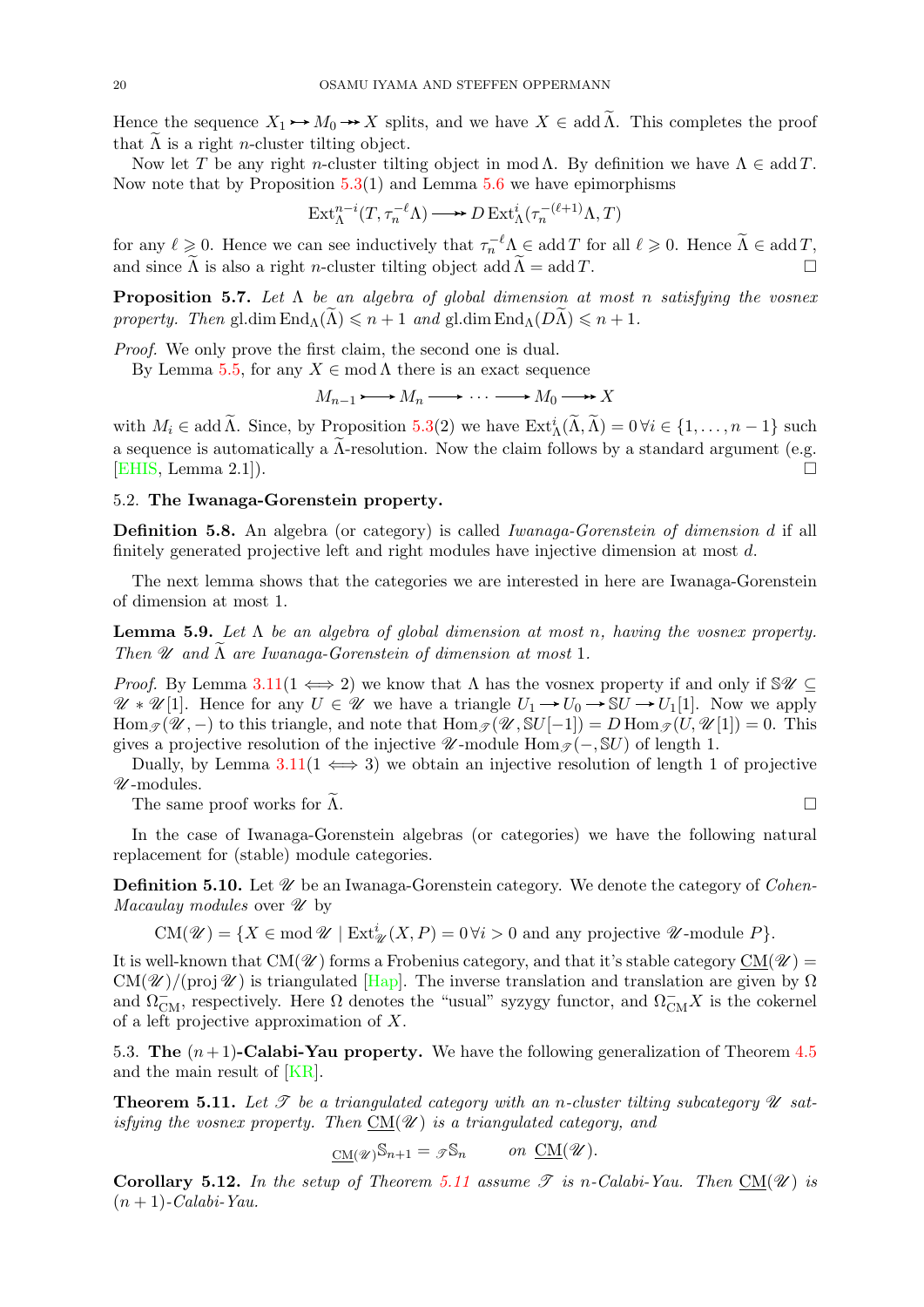Hence the sequence  $X_1 \rightarrow M_0 \rightarrow X$  splits, and we have  $X \in \text{add }\widetilde{\Lambda}$ . This completes the proof that  $\Lambda$  is a right *n*-cluster tilting object.

Now let T be any right n-cluster tilting object in mod  $\Lambda$ . By definition we have  $\Lambda \in \text{add } T$ . Now note that by Proposition  $5.3(1)$  $5.3(1)$  and Lemma  $5.6$  we have epimorphisms

$$
\operatorname{Ext}\nolimits_{\Lambda}^{n-i}(T, \tau_n^{-\ell}\Lambda) \longrightarrow D\operatorname{Ext}\nolimits_{\Lambda}^{i}(\tau_n^{-(\ell+1)}\Lambda, T)
$$

for any  $\ell \geq 0$ . Hence we can see inductively that  $\tau_n^{-\ell} \Lambda \in \text{add } T$  for all  $\ell \geq 0$ . Hence  $\widetilde{\Lambda} \in \text{add } T$ , and since  $\Lambda$  is also a right *n*-cluster tilting object add  $\Lambda = \operatorname{add} T$ .

<span id="page-19-5"></span>**Proposition 5.7.** Let  $\Lambda$  be an algebra of global dimension at most n satisfying the vosnex property. Then gl.dim  $\text{End}_{\Lambda}(\Lambda) \leqslant n+1$  and gl.dim  $\text{End}_{\Lambda}(D\Lambda) \leqslant n+1$ .

Proof. We only prove the first claim, the second one is dual.

By Lemma [5.5,](#page-17-1) for any  $X \in \text{mod }\Lambda$  there is an exact sequence

$$
M_{n-1} \longrightarrow M_n \longrightarrow \cdots \longrightarrow M_0 \longrightarrow X
$$

with  $M_i \in \text{add }\widetilde{\Lambda}$ . Since, by Proposition [5.3\(](#page-16-2)2) we have  $\text{Ext}^i_{\Lambda}(\widetilde{\Lambda}, \widetilde{\Lambda}) = 0 \,\forall i \in \{1, \ldots, n-1\}$  such a sequence is automatically a  $\Lambda$ -resolution. Now the claim follows by a standard argument (e.g. [EHIS Lemma 2.1]) [\[EHIS,](#page-36-29) Lemma 2.1]).

# <span id="page-19-0"></span>5.2. The Iwanaga-Gorenstein property.

Definition 5.8. An algebra (or category) is called Iwanaga-Gorenstein of dimension d if all finitely generated projective left and right modules have injective dimension at most d.

The next lemma shows that the categories we are interested in here are Iwanaga-Gorenstein of dimension at most 1.

<span id="page-19-2"></span>**Lemma 5.9.** Let  $\Lambda$  be an algebra of global dimension at most n, having the vosnex property. Then  $\mathscr U$  and  $\Lambda$  are Iwanaga-Gorenstein of dimension at most 1.

*Proof.* By Lemma  $3.11(1 \leftrightarrow 2)$  $3.11(1 \leftrightarrow 2)$  we know that  $\Lambda$  has the vosnex property if and only if  $\mathcal{S}\mathcal{U} \subset$  $\mathscr{U} * \mathscr{U}[1]$ . Hence for any  $U \in \mathscr{U}$  we have a triangle  $U_1 \to U_0 \to \mathbb{S}U \to U_1[1]$ . Now we apply Hom  $\mathcal{T}(\mathscr{U}, -)$  to this triangle, and note that  $\text{Hom}_{\mathscr{T}}(\mathscr{U}, \mathbb{S}U[-1]) = D \text{Hom}_{\mathscr{T}}(U, \mathscr{U}[1]) = 0$ . This gives a projective resolution of the injective  $\mathscr{U}$ -module Hom $\mathscr{I}(-, \mathbb{S}U)$  of length 1.

Dually, by Lemma  $3.11(1 \Leftrightarrow 3)$  $3.11(1 \Leftrightarrow 3)$  we obtain an injective resolution of length 1 of projective  $\mathcal U$ -modules.

The same proof works for  $\Lambda$ .

In the case of Iwanaga-Gorenstein algebras (or categories) we have the following natural replacement for (stable) module categories.

**Definition 5.10.** Let  $\mathcal{U}$  be an Iwanaga-Gorenstein category. We denote the category of *Cohen-*Macaulay modules over  $\mathscr U$  by

 $CM(\mathscr{U}) = \{ X \in \text{mod } \mathscr{U} \mid \text{Ext}^i_{\mathscr{U}}(X, P) = 0 \,\forall i > 0 \text{ and any projective } \mathscr{U} \text{-module } P \}.$ 

It is well-known that CM( $\mathscr{U}$ ) forms a Frobenius category, and that it's stable category CM( $\mathscr{U}$ ) =  $CM(\mathscr{U})/(\text{proj } \mathscr{U})$  is triangulated [\[Hap\]](#page-36-24). The inverse translation and translation are given by  $\Omega$ and  $\Omega_{\text{CM}}^-$ , respectively. Here  $\Omega$  denotes the "usual" syzygy functor, and  $\Omega_{\text{CM}}^- X$  is the cokernel of a left projective approximation of X.

<span id="page-19-1"></span>5.3. The  $(n+1)$ -Calabi-Yau property. We have the following generalization of Theorem [4.5](#page-10-1) and the main result of [\[KR\]](#page-37-3).

<span id="page-19-4"></span>**Theorem 5.11.** Let  $\mathcal{T}$  be a triangulated category with an n-cluster tilting subcategory  $\mathcal{U}$  satisfying the vosnex property. Then  $CM(\mathcal{U})$  is a triangulated category, and

$$
\underline{\mathrm{CM}}(\mathscr{U})\mathbb{S}_{n+1} = \mathscr{F}\mathbb{S}_n \qquad on \ \underline{\mathrm{CM}}(\mathscr{U}).
$$

<span id="page-19-3"></span>**Corollary 5.12.** In the setup of Theorem [5.11](#page-19-4) assume  $\mathscr T$  is n-Calabi-Yau. Then CM( $\mathscr U$ ) is  $(n + 1)$ -Calabi-Yau.

$$
\qquad \qquad \Box
$$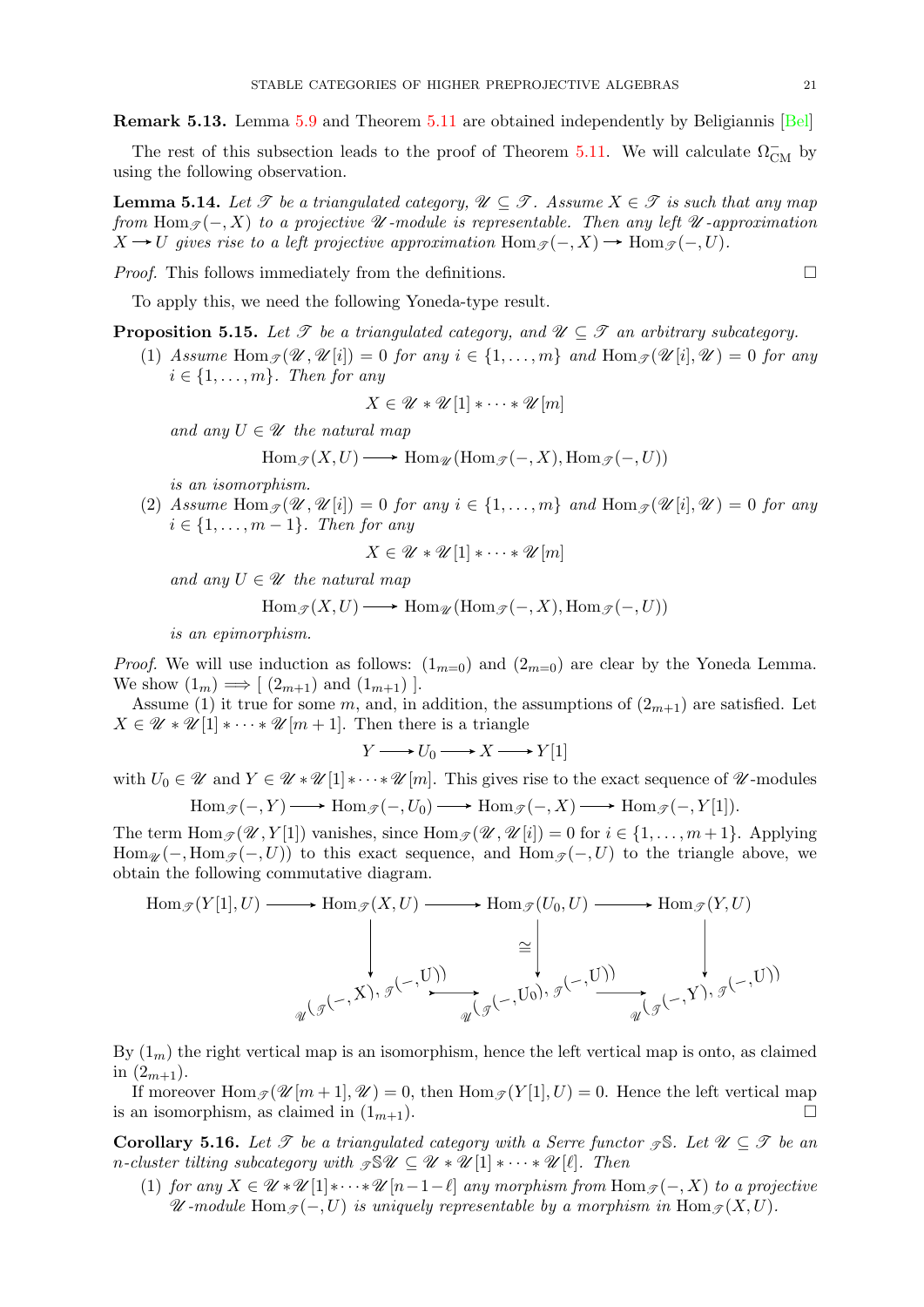Remark 5.13. Lemma [5.9](#page-19-2) and Theorem [5.11](#page-19-4) are obtained independently by Beligiannis [\[Bel\]](#page-36-30)

The rest of this subsection leads to the proof of Theorem [5.11.](#page-19-4) We will calculate  $\Omega_{\text{CM}}^-$  by using the following observation.

<span id="page-20-2"></span>**Lemma 5.14.** Let  $\mathscr T$  be a triangulated category,  $\mathscr U \subset \mathscr T$ . Assume  $X \in \mathscr T$  is such that any map from Hom  $\mathcal{F}(-, X)$  to a projective  $\mathcal U$ -module is representable. Then any left  $\mathcal U$ -approximation  $X \to U$  gives rise to a left projective approximation  $\text{Hom}_{\mathscr{T}}(-, X) \to \text{Hom}_{\mathscr{T}}(-, U)$ .

*Proof.* This follows immediately from the definitions.  $\Box$ 

To apply this, we need the following Yoneda-type result.

<span id="page-20-0"></span>**Proposition 5.15.** Let  $\mathcal T$  be a triangulated category, and  $\mathcal U \subseteq \mathcal T$  an arbitrary subcategory.

(1) Assume Hom  $\mathcal{J}(\mathcal{U}, \mathcal{U}[i]) = 0$  for any  $i \in \{1, \ldots, m\}$  and Hom  $\mathcal{J}(\mathcal{U}[i], \mathcal{U}) = 0$  for any  $i \in \{1, \ldots, m\}$ . Then for any

$$
X\in\mathscr{U}\ast\mathscr{U}[1]\ast\cdots\ast\mathscr{U}[m]
$$

and any  $U \in \mathscr{U}$  the natural map

$$
\operatorname{Hom}_{\mathscr{T}}(X, U) \longrightarrow \operatorname{Hom}_{\mathscr{U}}(\operatorname{Hom}_{\mathscr{T}}(-, X), \operatorname{Hom}_{\mathscr{T}}(-, U))
$$

is an isomorphism.

(2) Assume  $\text{Hom}_{\mathscr{T}}(\mathscr{U}, \mathscr{U}[i]) = 0$  for any  $i \in \{1, \ldots, m\}$  and  $\text{Hom}_{\mathscr{T}}(\mathscr{U}[i], \mathscr{U}) = 0$  for any  $i \in \{1, \ldots, m-1\}$ . Then for any

$$
X \in \mathcal{U} * \mathcal{U}[1] * \cdots * \mathcal{U}[m]
$$

and any  $U \in \mathscr{U}$  the natural map

$$
\operatorname{Hom}_{\mathscr{T}}(X, U) \longrightarrow \operatorname{Hom}_{\mathscr{U}}(\operatorname{Hom}_{\mathscr{T}}(-, X), \operatorname{Hom}_{\mathscr{T}}(-, U))
$$

is an epimorphism.

*Proof.* We will use induction as follows:  $(1_{m=0})$  and  $(2_{m=0})$  are clear by the Yoneda Lemma. We show  $(1_m) \Longrightarrow [(2_{m+1}) \text{ and } (1_{m+1})].$ 

Assume (1) it true for some m, and, in addition, the assumptions of  $(2_{m+1})$  are satisfied. Let  $X \in \mathcal{U} * \mathcal{U}[1] * \cdots * \mathcal{U}[m+1]$ . Then there is a triangle

$$
Y \longrightarrow U_0 \longrightarrow X \longrightarrow Y[1]
$$

with  $U_0 \in \mathcal{U}$  and  $Y \in \mathcal{U} * \mathcal{U}[1] * \cdots * \mathcal{U}[m]$ . This gives rise to the exact sequence of  $\mathcal{U}$ -modules  $\text{Hom}_{\mathscr{T}}(-, Y) \longrightarrow \text{Hom}_{\mathscr{T}}(-, U_0) \longrightarrow \text{Hom}_{\mathscr{T}}(-, X) \longrightarrow \text{Hom}_{\mathscr{T}}(-, Y[1]).$ 

The term  $\text{Hom}_{\mathscr{T}}(\mathscr{U}, Y[1])$  vanishes, since  $\text{Hom}_{\mathscr{T}}(\mathscr{U}, \mathscr{U}[i]) = 0$  for  $i \in \{1, \ldots, m+1\}$ . Applying  $\text{Hom}_{\mathscr{U}}(-, \text{Hom}_{\mathscr{F}}(-, U))$  to this exact sequence, and  $\text{Hom}_{\mathscr{F}}(-, U)$  to the triangle above, we obtain the following commutative diagram.

$$
\text{Hom}_{\mathscr{T}}(Y[1], U) \longrightarrow \text{Hom}_{\mathscr{T}}(X, U) \longrightarrow \text{Hom}_{\mathscr{T}}(U_0, U) \longrightarrow \text{Hom}_{\mathscr{T}}(Y, U)
$$
\n
$$
\cong \qquad \qquad \downarrow \qquad \qquad \downarrow
$$
\n
$$
\downarrow \qquad \qquad \downarrow
$$
\n
$$
\downarrow \qquad \qquad \downarrow
$$
\n
$$
\downarrow \qquad \qquad \downarrow
$$
\n
$$
\downarrow \qquad \qquad \downarrow
$$
\n
$$
\downarrow \qquad \qquad \downarrow
$$
\n
$$
\downarrow \qquad \qquad \downarrow
$$
\n
$$
\downarrow \qquad \qquad \downarrow
$$
\n
$$
\downarrow \qquad \qquad \downarrow
$$
\n
$$
\downarrow \qquad \qquad \downarrow
$$
\n
$$
\downarrow \qquad \qquad \downarrow
$$
\n
$$
\downarrow \qquad \qquad \downarrow
$$
\n
$$
\downarrow \qquad \qquad \downarrow
$$
\n
$$
\downarrow \qquad \qquad \downarrow
$$
\n
$$
\downarrow \qquad \qquad \downarrow
$$
\n
$$
\downarrow \qquad \qquad \downarrow
$$
\n
$$
\downarrow \qquad \qquad \downarrow
$$
\n
$$
\downarrow \qquad \qquad \downarrow
$$
\n
$$
\downarrow \qquad \qquad \downarrow
$$
\n
$$
\downarrow \qquad \qquad \downarrow
$$
\n
$$
\downarrow \qquad \qquad \downarrow
$$
\n
$$
\downarrow \qquad \qquad \downarrow
$$
\n
$$
\downarrow \qquad \qquad \downarrow
$$
\n
$$
\downarrow \qquad \qquad \downarrow
$$
\n
$$
\downarrow \qquad \qquad \downarrow
$$
\n
$$
\downarrow \qquad \qquad \downarrow
$$
\n
$$
\downarrow \qquad \qquad \downarrow
$$
\n
$$
\downarrow
$$
\n
$$
\downarrow
$$
\n
$$
\downarrow
$$
\n
$$
\downarrow
$$
\n
$$
\downarrow
$$
\n
$$
\downarrow
$$
\n
$$
\downarrow
$$
\n
$$
\downarrow
$$
\n
$$
\downarrow
$$
\n $$ 

By  $(1_m)$  the right vertical map is an isomorphism, hence the left vertical map is onto, as claimed in  $(2_{m+1})$ .

If moreover  $\text{Hom}_{\mathscr{T}}(\mathscr{U}[m+1], \mathscr{U}) = 0$ , then  $\text{Hom}_{\mathscr{T}}(Y[1], U) = 0$ . Hence the left vertical map is an isomorphism, as claimed in  $(1_{m+1})$ .

<span id="page-20-1"></span>**Corollary 5.16.** Let  $\mathscr T$  be a triangulated category with a Serre functor  $\mathscr T$ . Let  $\mathscr U \subseteq \mathscr T$  be an n-cluster tilting subcategory with  $\mathcal{L} \mathcal{L} \subseteq \mathcal{U} * \mathcal{U} [1] * \cdots * \mathcal{U} [\ell].$  Then

(1) for any  $X \in \mathscr{U} * \mathscr{U} [1] * \cdots * \mathscr{U} [n-1-\ell]$  any morphism from  $\text{Hom}_{\mathscr{T}}(-, X)$  to a projective  $\mathscr U$ -module Hom $\mathscr I(-, U)$  is uniquely representable by a morphism in Hom $\mathscr I(X, U)$ .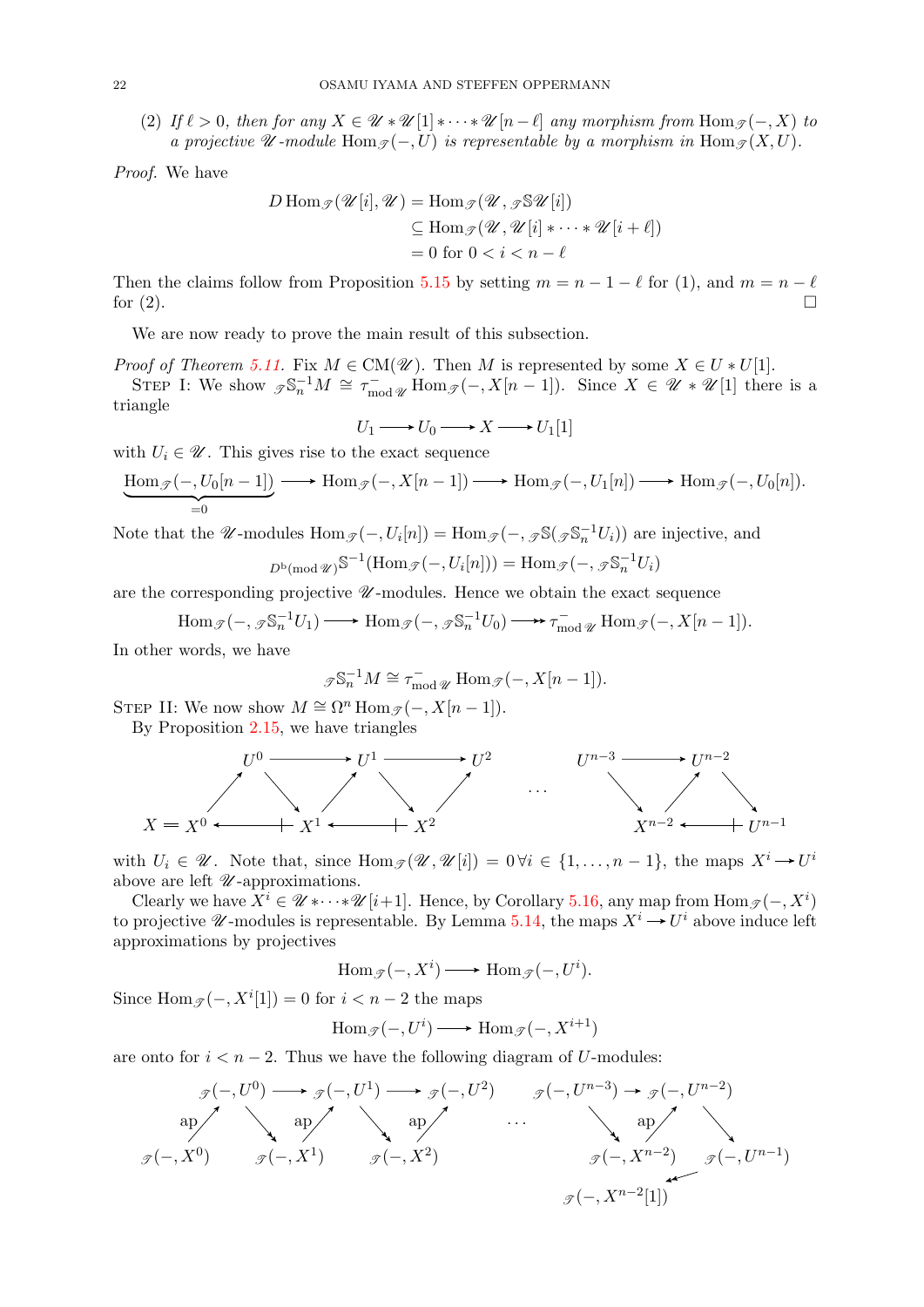(2) If  $\ell > 0$ , then for any  $X \in \mathcal{U} * \mathcal{U} [1] * \cdots * \mathcal{U} [n-\ell]$  any morphism from  $\text{Hom}_{\mathcal{I}}(-, X)$  to a projective  $\mathscr U$ -module  $\text{Hom}_{\mathscr T}(-, U)$  is representable by a morphism in  $\text{Hom}_{\mathscr T}(X, U)$ .

Proof. We have

$$
D \operatorname{Hom}_{\mathscr{T}}(\mathscr{U}[i], \mathscr{U}) = \operatorname{Hom}_{\mathscr{T}}(\mathscr{U}, \mathscr{J}^{\mathcal{S}} \mathscr{U}[i])
$$
  
\n
$$
\subseteq \operatorname{Hom}_{\mathscr{T}}(\mathscr{U}, \mathscr{U}[i] * \cdots * \mathscr{U}[i + \ell])
$$
  
\n
$$
= 0 \text{ for } 0 < i < n - \ell
$$

Then the claims follow from Proposition [5.15](#page-20-0) by setting  $m = n - 1 - \ell$  for (1), and  $m = n - \ell$ for  $(2)$ .

We are now ready to prove the main result of this subsection.

*Proof of Theorem [5.11.](#page-19-4)* Fix  $M \in CM(\mathscr{U})$ . Then M is represented by some  $X \in U * U[1]$ . STEP I: We show  $\mathscr{F}\mathbb{S}_n^{-1}M \cong \tau_{\text{mod } \mathscr{U}}^{-1}$  Hom $\mathscr{F}(-, X[n-1])$ . Since  $X \in \mathscr{U} * \mathscr{U}[1]$  there is a triangle

$$
U_1 \longrightarrow U_0 \longrightarrow X \longrightarrow U_1[1]
$$

with  $U_i \in \mathcal{U}$ . This gives rise to the exact sequence

$$
\underbrace{\mathrm{Hom}_{\mathscr{T}}(-,U_0[n-1])}_{=0}\longrightarrow \mathrm{Hom}_{\mathscr{T}}(-,X[n-1])\longrightarrow \mathrm{Hom}_{\mathscr{T}}(-,U_1[n])\longrightarrow \mathrm{Hom}_{\mathscr{T}}(-,U_0[n]).
$$

Note that the  $\mathscr{U}$ -modules  $\text{Hom}_{\mathscr{T}}(-, U_i[n]) = \text{Hom}_{\mathscr{T}}(-, \mathscr{I} \mathbb{S}(\mathscr{I} \mathbb{S}_n^{-1} U_i))$  are injective, and

$$
D^{\mathsf{b}}(\operatorname{mod} \mathscr{U})^{\mathbb{S}^{-1}}(\operatorname{Hom}_{\mathscr{T}}(-, U_i[n])) = \operatorname{Hom}_{\mathscr{T}}(-, \mathscr{F}_{n}^{\mathbb{S}_n^{-1}}U_i)
$$

are the corresponding projective  $\mathcal U$ -modules. Hence we obtain the exact sequence

Hom 
$$
\mathcal{J}(-, \mathcal{J} \mathbb{S}_n^{-1} U_1)
$$
  $\longrightarrow$  Hom  $\mathcal{J}(-, \mathcal{J} \mathbb{S}_n^{-1} U_0)$   $\longrightarrow$   $\tau_{\text{mod } \mathcal{U}}^{-} \longrightarrow$  Hom  $\mathcal{J}(-, X[n-1])$ .

In other words, we have

$$
\mathcal{F}\mathbb{S}_n^{-1}M \cong \tau_{\text{mod } \mathscr{U}}^- \operatorname{Hom}_{\mathscr{F}}(-, X[n-1]).
$$

STEP II: We now show  $M \cong \Omega^n$  Hom  $\mathcal{J}(-, X[n-1])$ .

By Proposition [2.15,](#page-4-2) we have triangles



with  $U_i \in \mathscr{U}$ . Note that, since  $\text{Hom}_{\mathscr{T}}(\mathscr{U}, \mathscr{U}[i]) = 0 \forall i \in \{1, \ldots, n-1\}$ , the maps  $X^i \to U^i$ above are left  $\mathcal U$ -approximations.

Clearly we have  $X^i \in \mathscr{U} * \cdots * \mathscr{U}[i+1]$ . Hence, by Corollary [5.16,](#page-20-1) any map from  $\text{Hom}_{\mathscr{T}}(-, X^i)$ to projective  $\mathscr U$ -modules is representable. By Lemma [5.14,](#page-20-2) the maps  $X^i \to U^i$  above induce left approximations by projectives

$$
\operatorname{Hom}_{\mathscr{T}}(-, X^i) \longrightarrow \operatorname{Hom}_{\mathscr{T}}(-, U^i).
$$

Since  $\text{Hom}_{\mathscr{T}}(-, X^i[1]) = 0$  for  $i < n-2$  the maps

$$
\operatorname{Hom}_{\mathscr{T}}(-,U^i) \longrightarrow \operatorname{Hom}_{\mathscr{T}}(-,X^{i+1})
$$

are onto for  $i < n - 2$ . Thus we have the following diagram of U-modules:

$$
\mathcal{F}(-,U^{0}) \longrightarrow \mathcal{F}(-,U^{1}) \longrightarrow \mathcal{F}(-,U^{2}) \qquad \mathcal{F}(-,U^{n-3}) \longrightarrow \mathcal{F}(-,U^{n-2})
$$
\n
$$
\text{ap} \qquad \text{ap} \qquad \text{ap} \qquad \text{ap} \qquad \text{ap} \qquad \text{ap} \qquad \text{ap} \qquad \text{ap} \qquad \text{ap} \qquad \text{ap} \qquad \text{ap} \qquad \text{ap} \qquad \text{ap} \qquad \text{ap} \qquad \text{ap} \qquad \text{ap} \qquad \text{ap} \qquad \text{ap} \qquad \text{ap} \qquad \text{ap} \qquad \text{ap} \qquad \text{ap} \qquad \text{ap} \qquad \text{ap} \qquad \text{ap} \qquad \text{ap} \qquad \text{ap} \qquad \text{ap} \qquad \text{ap} \qquad \text{ap} \qquad \text{ap} \qquad \text{ap} \qquad \text{ap} \qquad \text{ap} \qquad \text{ap} \qquad \text{ap} \qquad \text{ap} \qquad \text{ap} \qquad \text{ap} \qquad \text{ap} \qquad \text{ap} \qquad \text{ap} \qquad \text{ap} \qquad \text{ap} \qquad \text{ap} \qquad \text{ap} \qquad \text{ap} \qquad \text{ap} \qquad \text{ap} \qquad \text{ap} \qquad \text{ap} \qquad \text{ap} \qquad \text{ap} \qquad \text{ap} \qquad \text{ap} \qquad \text{ap} \qquad \text{ap} \qquad \text{ap} \qquad \text{ap} \qquad \text{ap} \qquad \text{ap} \qquad \text{ap} \qquad \text{ap} \qquad \text{ap} \qquad \text{ap} \qquad \text{ap} \qquad \text{ap} \qquad \text{ap} \qquad \text{ap} \qquad \text{ap} \qquad \text{ap} \qquad \text{ap} \qquad \text{ap} \qquad \text{ap} \qquad \text{ap} \qquad \text{ap} \qquad \text{ap} \qquad \text{ap} \qquad \text{ap} \qquad \text{ap} \qquad \text{ap} \qquad \text{ap} \qquad \text{ap} \qquad \text{ap} \qquad \text{ap} \
$$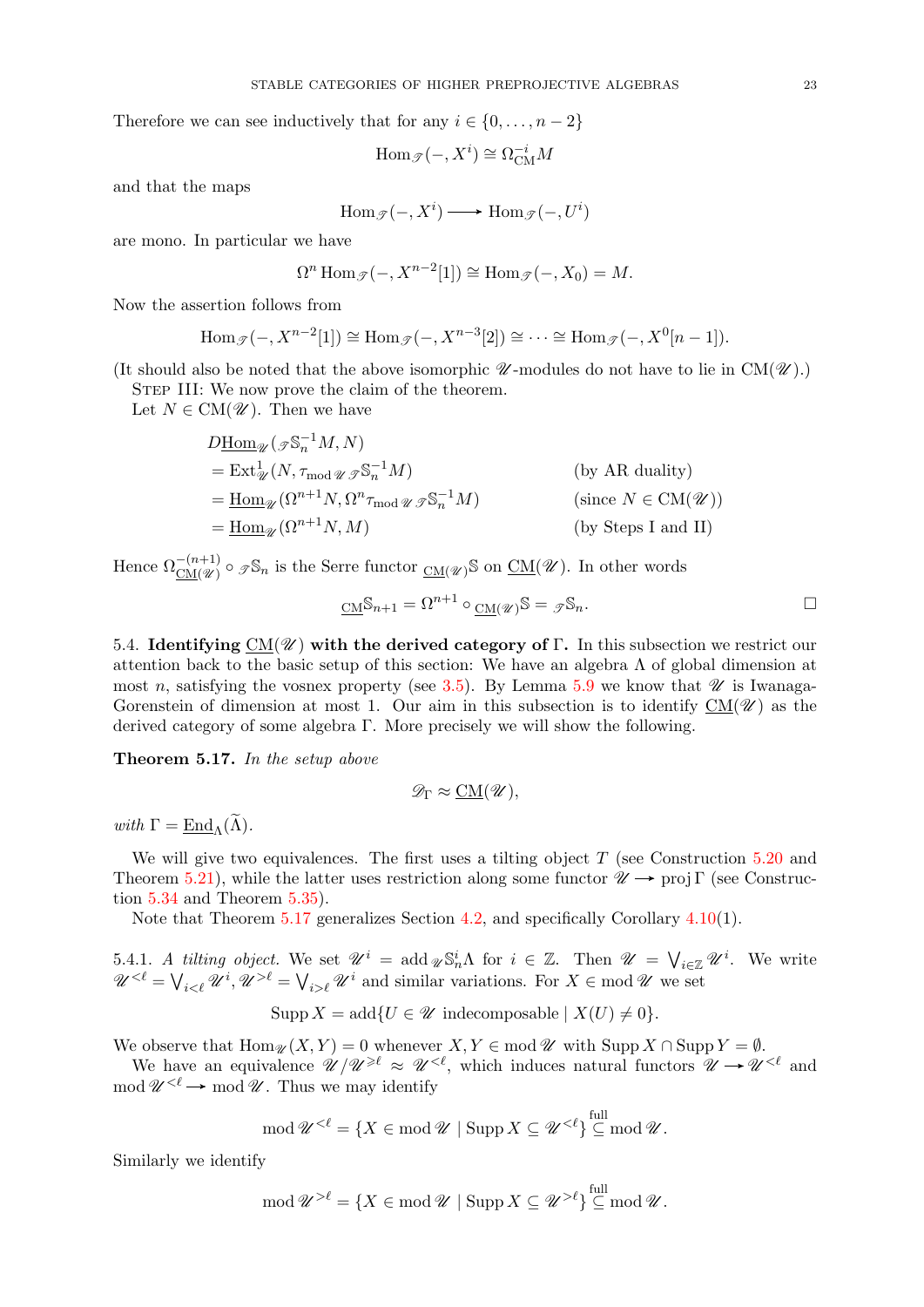Therefore we can see inductively that for any  $i \in \{0, \ldots, n-2\}$ 

$$
\operatorname{Hom}\nolimits_{\operatorname{\mathcal T}\nolimits}(-,X^i) \cong \Omega_{\operatorname{CM}\nolimits}^{-i}M
$$

and that the maps

$$
\operatorname{Hom}_{\mathscr{T}}(-,X^i)\longrightarrow \operatorname{Hom}_{\mathscr{T}}(-,U^i)
$$

are mono. In particular we have

$$
\Omega^n \operatorname{Hom}_{\mathscr{T}}(-, X^{n-2}[1]) \cong \operatorname{Hom}_{\mathscr{T}}(-, X_0) = M.
$$

Now the assertion follows from

Hom<sub>$$
\mathcal{J}
$$</sub>(-,  $X^{n-2}[1]$ )  $\cong$  Hom <sub>$\mathcal{J}$</sub> (-,  $X^{n-3}[2]$ )  $\cong \cdots \cong$  Hom <sub>$\mathcal{J}$</sub> (-,  $X^{0}[n-1]$ ).

(It should also be noted that the above isomorphic  $\mathscr{U}$ -modules do not have to lie in CM( $\mathscr{U}$ ).)

STEP III: We now prove the claim of the theorem.

Let  $N \in CM(\mathscr{U})$ . Then we have

$$
D\underline{\text{Hom}}_{\mathcal{U}}(\mathcal{J} \mathbb{S}_n^{-1} M, N)
$$
  
= Ext<sup>1</sup> <sub>$\mathcal{U}}(N, \tau_{\text{mod}} \mathcal{U} \mathcal{J} \mathbb{S}_n^{-1} M)$  (by AR duality)  
= Hom <sub>$\mathcal{U}$</sub>   $(\Omega^{n+1} N, \Omega^n \tau_{\text{mod}} \mathcal{U} \mathcal{J} \mathbb{S}_n^{-1} M)$  (since  $N \in CM(\mathcal{U})$ )  
= Hom <sub>$\mathcal{U}$</sub>   $(\Omega^{n+1} N, M)$  (by Steps I and II)</sub>

Hence  $\Omega_{\text{CM}(\mathscr{U})}^{-(n+1)} \circ \mathscr{I} \mathbb{S}_n$  is the Serre functor  $_{\text{CM}(\mathscr{U})} \mathbb{S}$  on  $\underline{\text{CM}}(\mathscr{U})$ . In other words

$$
\underline{\mathrm{CM}}\mathbb{S}_{n+1} = \Omega^{n+1} \circ \underline{\mathrm{CM}}(\mathscr{U})\mathbb{S} = \mathscr{I}\mathbb{S}_n.
$$

<span id="page-22-0"></span>5.4. Identifying  $CM(\mathscr{U})$  with the derived category of Γ. In this subsection we restrict our attention back to the basic setup of this section: We have an algebra  $\Lambda$  of global dimension at most n, satisfying the vosnex property (see [3.5\)](#page-6-3). By Lemma [5.9](#page-19-2) we know that  $\mathscr U$  is Iwanaga-Gorenstein of dimension at most 1. Our aim in this subsection is to identify  $CM(\mathscr{U})$  as the derived category of some algebra Γ. More precisely we will show the following.

<span id="page-22-1"></span>Theorem 5.17. In the setup above

$$
\mathscr{D}_{\Gamma} \approx \underline{\mathrm{CM}}(\mathscr{U}),
$$

with  $\Gamma = \text{End}_{\Lambda}(\widetilde{\Lambda}).$ 

We will give two equivalences. The first uses a tilting object  $T$  (see Construction [5.20](#page-23-0) and Theorem [5.21\)](#page-23-1), while the latter uses restriction along some functor  $\mathscr{U} \rightarrow \text{proj } \Gamma$  (see Construction [5.34](#page-28-0) and Theorem [5.35\)](#page-28-1).

Note that Theorem [5.17](#page-22-1) generalizes Section [4.2,](#page-11-0) and specifically Corollary [4.10\(](#page-0-1)1).

5.4.1. A tilting object. We set  $\mathscr{U}^i = \operatorname{add}_{\mathscr{U}} \mathbb{S}_n^i \Lambda$  for  $i \in \mathbb{Z}$ . Then  $\mathscr{U} = \bigvee_{i \in \mathbb{Z}} \mathscr{U}^i$ . We write  $\mathscr{U}^{<\ell} = \bigvee_{i < \ell} \mathscr{U}^i, \mathscr{U}^{>\ell} = \bigvee_{i > \ell} \mathscr{U}^i$  and similar variations. For  $X \in \text{mod } \mathscr{U}$  we set

$$
Supp X = add{U \in \mathscr{U} \text{ indecomposable} \mid X(U) \neq 0}.
$$

We observe that  $\text{Hom}_{\mathscr{U}}(X, Y) = 0$  whenever  $X, Y \in \text{mod } \mathscr{U}$  with  $\text{Supp } X \cap \text{Supp } Y = \emptyset$ .

We have an equivalence  $\mathcal{U}/\mathcal{U}^{\geq \ell} \approx \mathcal{U}^{< \ell}$ , which induces natural functors  $\mathcal{U} \to \mathcal{U}^{< \ell}$  and mod  $\mathscr{U}^{<\ell} \longrightarrow \text{mod } \mathscr{U}$ . Thus we may identify

$$
\operatorname{mod} \mathscr{U}^{< \ell} = \{ X \in \operatorname{mod} \mathscr{U} \mid \operatorname{Supp} X \subseteq \mathscr{U}^{< \ell} \} \stackrel{\text{full}}{\subseteq} \operatorname{mod} \mathscr{U}.
$$

Similarly we identify

$$
\operatorname{mod} \mathscr{U}^{>\ell} = \{ X \in \operatorname{mod} \mathscr{U} \mid \operatorname{Supp} X \subseteq \mathscr{U}^{>\ell} \} \stackrel{\text{full}}{\subseteq} \operatorname{mod} \mathscr{U}.
$$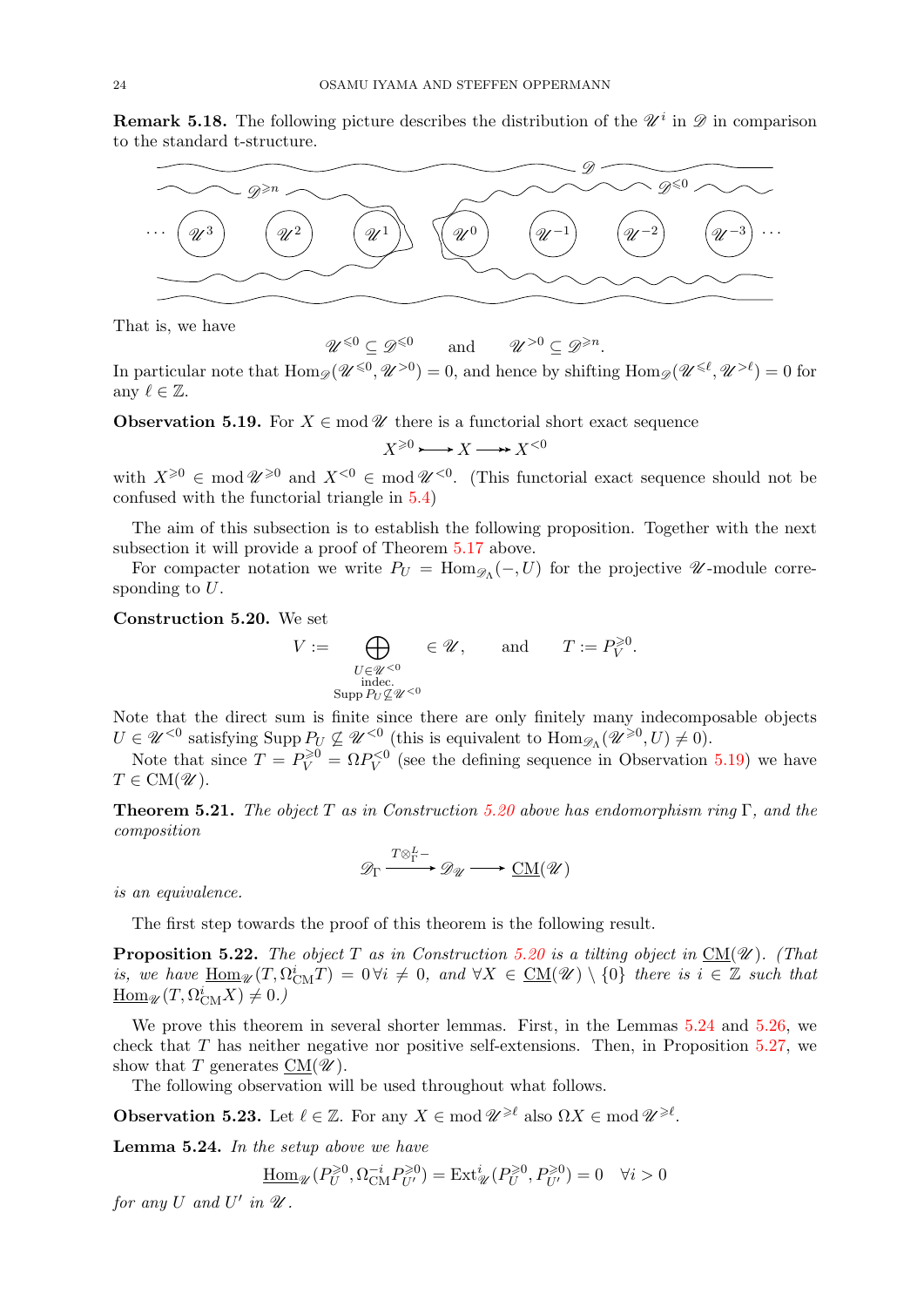<span id="page-23-6"></span>**Remark 5.18.** The following picture describes the distribution of the  $\mathscr{U}^i$  in  $\mathscr{D}$  in comparison to the standard t-structure.



That is, we have

In particular note that  $\text{Hom}_{\mathscr{D}}(\mathscr{U}^{\leq 0}, \mathscr{U}^{>0}) = 0$ , and hence by shifting  $\text{Hom}_{\mathscr{D}}(\mathscr{U}^{\leq \ell}, \mathscr{U}^{> \ell}) = 0$  for any  $\ell \in \mathbb{Z}$ .

and

 $>0 \subseteq \mathscr{D}^{\geq n}$ .

<span id="page-23-2"></span>**Observation 5.19.** For  $X \in \text{mod } \mathcal{U}$  there is a functorial short exact sequence

 $\mathscr{U}^{\leqslant 0} \subseteq \mathscr{D}^{\leqslant 0}$ 

$$
X^{\geq 0} \longrightarrow X \longrightarrow X^{<0}
$$

with  $X^{\geqslant 0} \in \text{mod } \mathcal{U}^{\geqslant 0}$  and  $X^{\leqslant 0} \in \text{mod } \mathcal{U}^{\leqslant 0}$ . (This functorial exact sequence should not be confused with the functorial triangle in [5.4\)](#page-16-3)

The aim of this subsection is to establish the following proposition. Together with the next subsection it will provide a proof of Theorem [5.17](#page-22-1) above.

For compacter notation we write  $P_U = \text{Hom}_{\mathscr{D}_{\Lambda}}(-, U)$  for the projective  $\mathscr{U}$ -module corresponding to U.

<span id="page-23-0"></span>Construction 5.20. We set

$$
V := \bigoplus_{\substack{U \in \mathcal{U} < 0 \\ \text{indec.} \\ \text{Supp } P_U \nsubseteq \mathcal{U} < 0}} \in \mathcal{U}, \qquad \text{and} \qquad T := P_V^{\geq 0}.
$$

Note that the direct sum is finite since there are only finitely many indecomposable objects  $U \in \mathscr{U}^{< 0}$  satisfying Supp  $P_U \not\subseteq \mathscr{U}^{< 0}$  (this is equivalent to  $\text{Hom}_{\mathscr{D}_\Lambda}(\mathscr{U}^{\geq 0}, U) \neq 0$ ).

Note that since  $T = P_V^{\geq 0} = \Omega P_V^{<0}$  (see the defining sequence in Observation [5.19\)](#page-23-2) we have  $T \in CM(\mathscr{U})$ .

<span id="page-23-1"></span>**Theorem 5.21.** The object T as in Construction [5.20](#page-23-0) above has endomorphism ring  $\Gamma$ , and the composition

$$
\mathscr{D}_{\Gamma} \xrightarrow{T \otimes_{\Gamma}^{L-}} \mathscr{D}_{\mathscr{U}} \longrightarrow \underline{\text{CM}}(\mathscr{U})
$$

is an equivalence.

The first step towards the proof of this theorem is the following result.

<span id="page-23-5"></span>**Proposition 5.22.** The object T as in Construction [5.20](#page-23-0) is a tilting object in  $CM(\mathcal{U})$ . (That is, we have  $\underline{\text{Hom}}_{\mathscr{U}}(T,\Omega_{\text{CM}}^i T)=0 \forall i \neq 0$ , and  $\forall X \in \underline{\text{CM}}(\mathscr{U}) \setminus \{0\}$  there is  $i \in \mathbb{Z}$  such that  $\underline{\mathrm{Hom}}_{\mathscr{U}}(T, \Omega_{\mathrm{CM}}^i X) \neq 0.$ 

We prove this theorem in several shorter lemmas. First, in the Lemmas [5.24](#page-23-3) and [5.26,](#page-24-0) we check that  $T$  has neither negative nor positive self-extensions. Then, in Proposition [5.27,](#page-24-1) we show that T generates  $CM(\mathscr{U})$ .

The following observation will be used throughout what follows.

<span id="page-23-4"></span>**Observation 5.23.** Let  $\ell \in \mathbb{Z}$ . For any  $X \in \text{mod } \mathcal{U}^{\geq \ell}$  also  $\Omega X \in \text{mod } \mathcal{U}^{\geq \ell}$ .

<span id="page-23-3"></span>Lemma 5.24. In the setup above we have

$$
\underline{\operatorname{Hom}}_{\mathscr{U}}(P_U^{\geq 0}, \Omega_{\operatorname{CM}}^{-i} P_{U'}^{\geq 0}) = \operatorname{Ext}^i_{\mathscr{U}}(P_U^{\geq 0}, P_{U'}^{\geq 0}) = 0 \quad \forall i > 0
$$

for any U and U' in  $\mathscr U$ .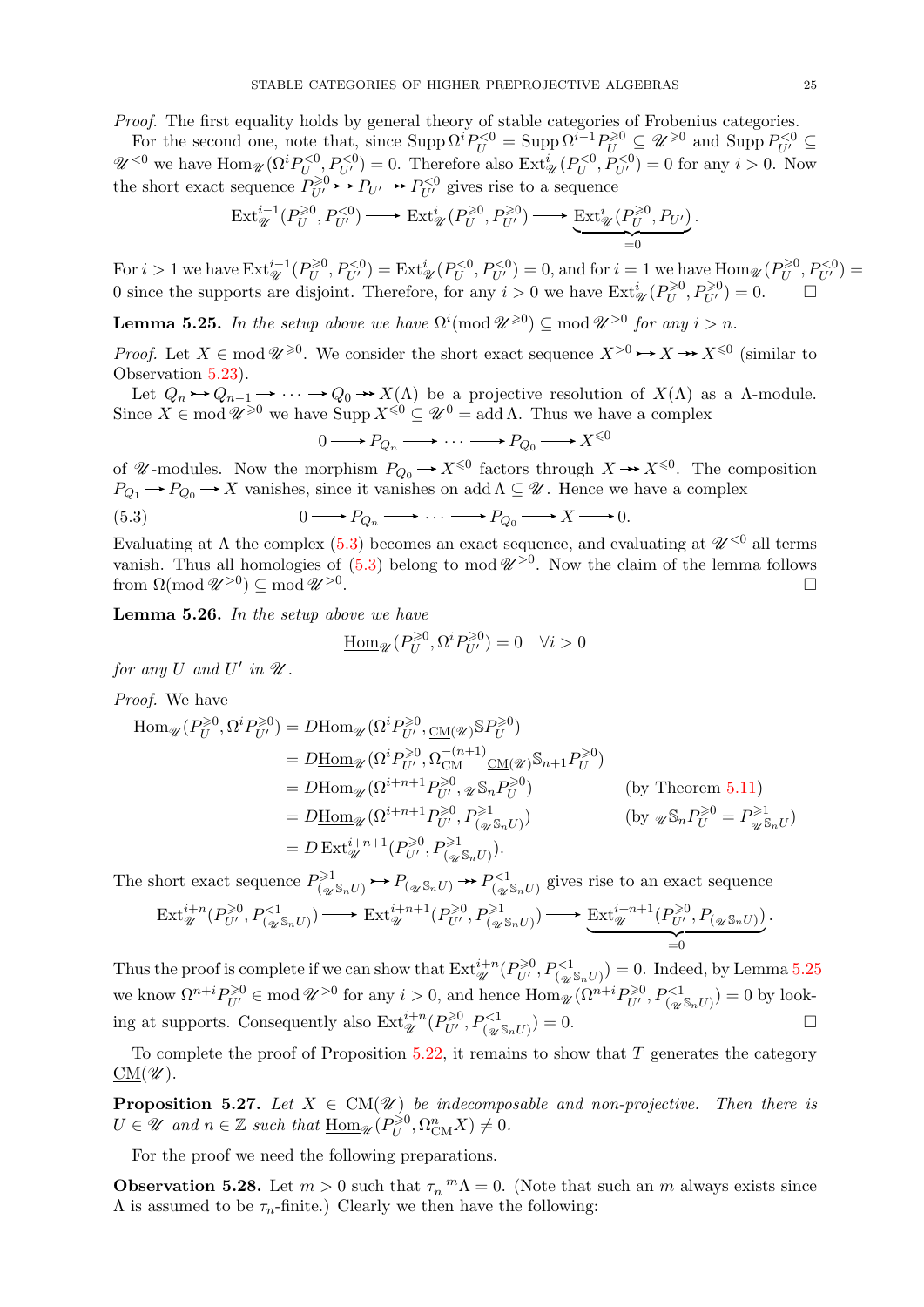*Proof.* The first equality holds by general theory of stable categories of Frobenius categories.

For the second one, note that, since  $\text{Supp }\Omega^i P_U^{<0} = \text{Supp }\Omega^{i-1} P_U^{\geqslant 0} \subseteq \mathcal{U}^{\geqslant 0}$  and  $\text{Supp } P_{U'}^{< 0} \subseteq$  $\mathscr{U}^{<0}$  we have  $\text{Hom}_{\mathscr{U}}(\Omega^i P_{U}^{<0}, P_{U'}^{<0}) = 0$ . Therefore also  $\text{Ext}^i_{\mathscr{U}}(P_{U}^{<0}, P_{U'}^{<0}) = 0$  for any  $i > 0$ . Now the short exact sequence  $P_{U'}^{\geq 0} \rightarrow P_{U'} \rightarrow P_{U'}^{<0}$  gives rise to a sequence

$$
\text{Ext}_{\mathscr{U}}^{i-1}(P_U^{\geq 0}, P_{U'}^{< 0}) \longrightarrow \text{Ext}_{\mathscr{U}}^{i}(P_U^{\geq 0}, P_{U'}^{\geq 0}) \longrightarrow \underbrace{\text{Ext}_{\mathscr{U}}^{i}(P_U^{\geq 0}, P_{U'})}_{=0}.
$$

For  $i > 1$  we have  $\text{Ext}^{i-1}_{\mathcal{U}}(P^{\geq 0}_U)$  $U_U^{(0)}$ ,  $P_{U'}^{<0}$  = Ext $_{\mathscr{U}}^i(P_U^{<0}, P_{U'}^{<0}) = 0$ , and for  $i = 1$  we have  $\text{Hom}_{\mathscr{U}}(P_U^{\geq 0})$  $P_U^{\geqslant 0}, P_{U'}^{< 0}) =$ 0 since the supports are disjoint. Therefore, for any  $i > 0$  we have  $\text{Ext}^i_{\mathcal{U}}(P_U^{\geq 0})$  $U^{>0}_{U}, P_{U'}^{>0} = 0.$ 

<span id="page-24-3"></span>**Lemma 5.25.** In the setup above we have  $\Omega^{i}(\text{mod } \mathcal{U}^{\geq 0}) \subseteq \text{mod } \mathcal{U}^{>0}$  for any  $i > n$ .

*Proof.* Let  $X \in \text{mod } \mathscr{U}^{\geqslant 0}$ . We consider the short exact sequence  $X^{>0} \rightarrow X \rightarrow X^{\leqslant 0}$  (similar to Observation [5.23\)](#page-23-4).

Let  $Q_n \rightarrow Q_{n-1} \rightarrow \cdots \rightarrow Q_0 \rightarrow X(\Lambda)$  be a projective resolution of  $X(\Lambda)$  as a  $\Lambda$ -module. Since  $X \in \text{mod } \mathscr{U}^{\geqslant 0}$  we have  $\text{Supp } X^{\leqslant 0} \subseteq \mathscr{U}^0 = \text{add }\Lambda$ . Thus we have a complex

<span id="page-24-2"></span>
$$
0 \longrightarrow P_{Q_n} \longrightarrow \cdots \longrightarrow P_{Q_0} \longrightarrow X^{\leq 0}
$$

of *U*-modules. Now the morphism  $P_{Q_0} \to X^{\leq 0}$  factors through  $X \to X^{\leq 0}$ . The composition  $P_{Q_1} \to P_{Q_0} \to X$  vanishes, since it vanishes on add  $\Lambda \subseteq \mathscr{U}$ . Hence we have a complex

(5.3) 
$$
0 \longrightarrow P_{Q_n} \longrightarrow \cdots \longrightarrow P_{Q_0} \longrightarrow X \longrightarrow 0.
$$

Evaluating at  $\Lambda$  the complex [\(5.3\)](#page-24-2) becomes an exact sequence, and evaluating at  $\mathcal{U}^{<0}$  all terms vanish. Thus all homologies of  $(5.3)$  belong to mod  $\mathscr{U}^{>0}$ . Now the claim of the lemma follows from  $\Omega(\operatorname{mod}\mathscr{U}^{>0})\subseteq \operatorname{mod}\mathscr{U}^{>0}$ .

<span id="page-24-0"></span>Lemma 5.26. In the setup above we have

$$
\underline{\operatorname{Hom}}_{\mathscr{U}}(P_U^{\geq 0}, \Omega^i P_{U'}^{\geq 0}) = 0 \quad \forall i > 0
$$

for any U and U' in  $\mathscr U$ .

Proof. We have

$$
\underline{\text{Hom}}_{\mathcal{U}}(P_{U}^{\geqslant 0}, \Omega^{i}P_{U'}^{\geqslant 0}) = D\underline{\text{Hom}}_{\mathcal{U}}(\Omega^{i}P_{U'}^{\geqslant 0}, \underline{\text{CM}}(\mathcal{U})^{\mathbb{S}}P_{U}^{\geqslant 0})
$$
\n
$$
= D\underline{\text{Hom}}_{\mathcal{U}}(\Omega^{i}P_{U'}^{\geqslant 0}, \Omega_{CM}^{-(n+1)}\underline{\text{CM}}(\mathcal{U})^{\mathbb{S}_{n+1}}P_{U}^{\geqslant 0})
$$
\n
$$
= D\underline{\text{Hom}}_{\mathcal{U}}(\Omega^{i+n+1}P_{U'}^{\geqslant 0}, \mathcal{U}_{M}^{\geqslant 0}) \qquad \text{(by Theorem 5.11)}
$$
\n
$$
= D\underline{\text{Hom}}_{\mathcal{U}}(\Omega^{i+n+1}P_{U'}^{\geqslant 0}, P_{(\mathcal{U}}^{\geqslant 1}, \Omega)) \qquad \text{(by } \mathcal{U}_{M}^{\mathbb{S}_{n}}P_{U}^{\geqslant 0} = P_{\mathcal{U}}^{\geqslant 1}_{M}U)
$$
\n
$$
= D \operatorname{Ext}_{\mathcal{U}}^{i+n+1}(P_{U'}^{\geqslant 0}, P_{(\mathcal{U}}^{\geqslant 1}, \Omega)).
$$

The short exact sequence  $P_{\text{loc}}^{\geq 1}$  $Q_{(\mathscr{U} S_n U)}^{(\geq 1)} \rightarrow P_{(\mathscr{U} S_n U)}^{(1)} \rightarrow P_{(\mathscr{U} S_n U)}^{(2)}$  gives rise to an exact sequence

$$
\operatorname{Ext}_{\mathscr{U}}^{i+n}(P_{U'}^{\geq 0},P_{(\mathscr{U}^{\mathcal{S}_{n}U})}^{<1}) \longrightarrow \operatorname{Ext}_{\mathscr{U}}^{i+n+1}(P_{U'}^{\geq 0},P_{(\mathscr{U}^{\mathcal{S}_{n}U})}^{\geq 1}) \longrightarrow \underbrace{\operatorname{Ext}_{\mathscr{U}}^{i+n+1}(P_{U'}^{\geq 0},P_{(\mathscr{U}^{\mathcal{S}_{n}U})})}_{=0}.
$$

Thus the proof is complete if we can show that  $\text{Ext}_{\mathscr{U}}^{i+n}(P_{U'}^{\geq 0},P_{({}_{\mathscr{U}}\mathbb{S}_nU)}^{<1})=0$ . Indeed, by Lemma [5.25](#page-24-3) we know  $\Omega^{n+i} P_{U'}^{\geq 0} \in \text{mod } \mathcal{U}^{>0}$  for any  $i > 0$ , and hence  $\text{Hom}_{\mathcal{U}}(\Omega^{n+i} P_{U'}^{\geq 0}, P_{(\mathcal{U}^{\mathcal{S}_n} U)}^{< 1}) = 0$  by looking at supports. Consequently also  $\text{Ext}_{\mathcal{U}}^{i+n}(P_{U'}^{\geq 0},P_{(\mathcal{U}^S\mathbb{R}U)}^{<1})=0.$ 

To complete the proof of Proposition  $5.22$ , it remains to show that T generates the category  $\underline{\mathrm{CM}}(\mathscr{U}).$ 

<span id="page-24-1"></span>**Proposition 5.27.** Let  $X \in CM(\mathcal{U})$  be indecomposable and non-projective. Then there is  $U \in \mathscr{U}$  and  $n \in \mathbb{Z}$  such that  $\underline{\text{Hom}}_{\mathscr{U}}(P_U^{\geq 0})$  $U^{\geqslant 0}, \Omega_{\text{CM}}^n X) \neq 0.$ 

For the proof we need the following preparations.

<span id="page-24-4"></span>**Observation 5.28.** Let  $m > 0$  such that  $\tau_n^{-m} \Lambda = 0$ . (Note that such an m always exists since  $\Lambda$  is assumed to be  $\tau_n$ -finite.) Clearly we then have the following: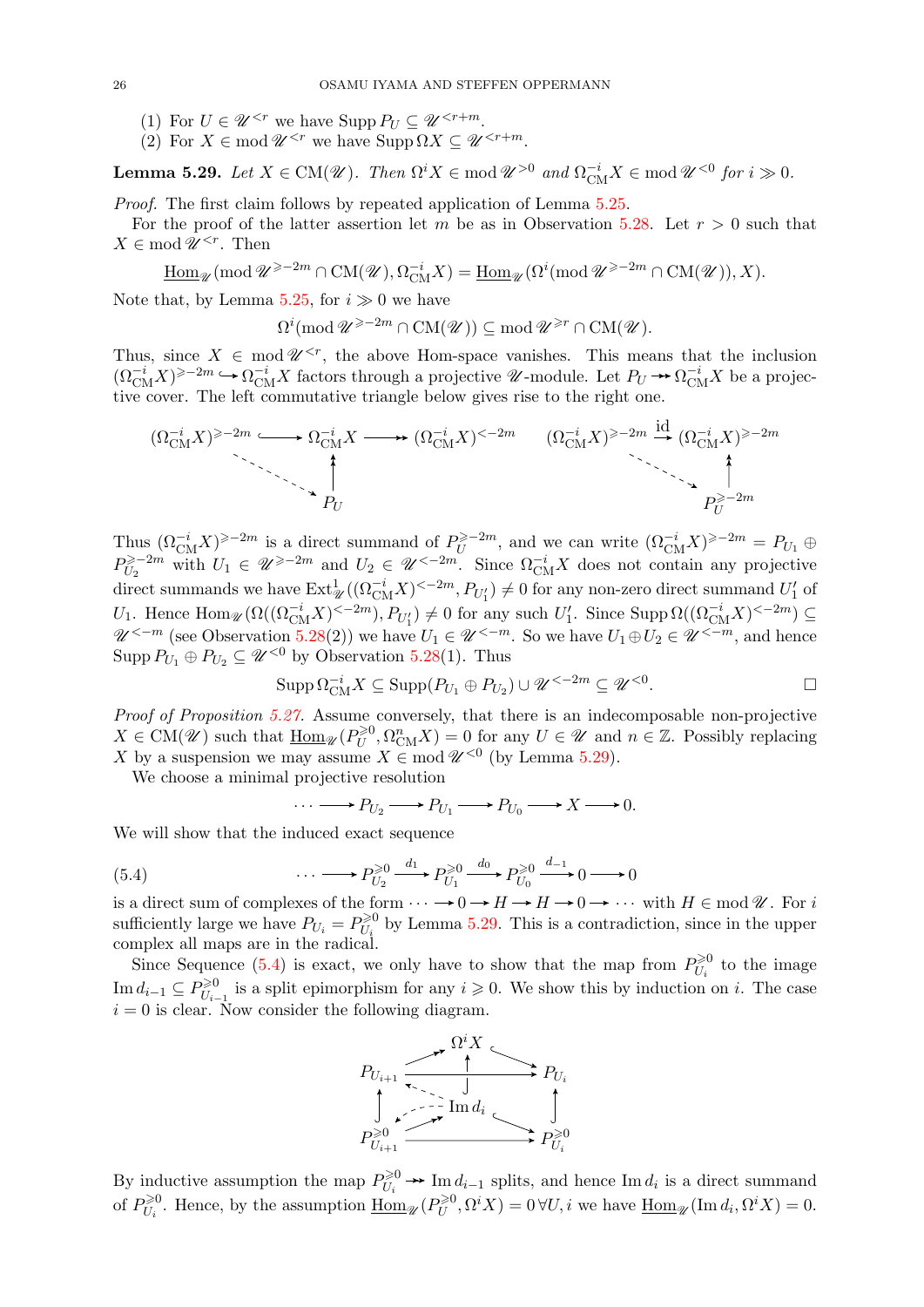- (1) For  $U \in \mathscr{U}^{< r}$  we have Supp  $P_U \subseteq \mathscr{U}^{< r+m}$ .
- (2) For  $X \in \text{mod } \mathscr{U}^{ we have  $\text{Supp }\Omega X \subseteq \mathscr{U}^{.$$

<span id="page-25-0"></span>**Lemma 5.29.** Let  $X \in CM(\mathcal{U})$ . Then  $\Omega^i X \in \text{mod } \mathcal{U}^{>0}$  and  $\Omega_{CM}^{-i} X \in \text{mod } \mathcal{U}^{<0}$  for  $i \gg 0$ .

Proof. The first claim follows by repeated application of Lemma [5.25.](#page-24-3)

For the proof of the latter assertion let m be as in Observation [5.28.](#page-24-4) Let  $r > 0$  such that  $X \in \text{mod } \mathscr{U}^{\leq r}$ . Then

 $\underline{\mathrm{Hom}}_{\mathscr{U}}(\mathrm{mod}\, \mathscr{U}^{\geq -2m}\cap \mathrm{CM}(\mathscr{U}), \Omega_{\mathrm{CM}}^{-i}X)=\underline{\mathrm{Hom}}_{\mathscr{U}}(\Omega^i(\mathrm{mod}\, \mathscr{U}^{\geq -2m}\cap \mathrm{CM}(\mathscr{U})),X).$ 

Note that, by Lemma [5.25,](#page-24-3) for  $i \gg 0$  we have

 $\Omega^i(\text{mod }{\mathscr U}^{\geqslant -2m}\cap\text{CM}({\mathscr U}))\subseteq \text{mod }{\mathscr U}^{\geqslant r}\cap\text{CM}({\mathscr U}).$ 

Thus, since  $X \in \text{mod } \mathscr{U}^{< r}$ , the above Hom-space vanishes. This means that the inclusion  $({\Omega_{\text{CM}}^{-i}}X)^{\geq -2m} \hookrightarrow {\Omega_{\text{CM}}^{-i}}X$  factors through a projective  $\mathscr{U}$ -module. Let  $P_U \to {\Omega_{\text{CM}}^{-i}}X$  be a projective cover. The left commutative triangle below gives rise to the right one.

$$
(\Omega_{\text{CM}}^{-i}X)^{\geq -2m} \longleftrightarrow \Omega_{\text{CM}}^{-i}X \longrightarrow (\Omega_{\text{CM}}^{-i}X)^{<-2m} \qquad (\Omega_{\text{CM}}^{-i}X)^{\geq -2m} \xrightarrow{\text{id}} (\Omega_{\text{CM}}^{-i}X)^{\geq -2m}
$$

Thus  $(\Omega_{\text{CM}}^{-i} X)^{\geq -2m}$  is a direct summand of  $P_U^{\geq -2m}$  $U$ <sup>≥-2m</sup>, and we can write  $(\Omega_{\text{CM}}^{-i} X)^{\geq -2m} = P_{U_1} \oplus$  $P_{U_0}^{\geqslant -2m}$  $U_2 \geq -2m$  with  $U_1 \in \mathscr{U} \geq -2m$  and  $U_2 \in \mathscr{U} \leq -2m$ . Since  $\Omega_{\text{CM}}^{-i}X$  does not contain any projective direct summands we have  $\text{Ext}^1_{\mathscr{U}}((\Omega_{\text{CM}}^{-i}X)^{<-2m}, P_{U_1'}) \neq 0$  for any non-zero direct summand  $U_1'$  of U<sub>1</sub>. Hence  $\text{Hom}_{\mathscr{U}}(\Omega((\Omega_{CM}^{-i}X)^{\ltq-2m}), P_{U_1'}) \neq 0$  for any such  $U_1'$ . Since  $\text{Supp }\Omega((\Omega_{CM}^{-i}X)^{\ltq-2m}) \subseteq$  $\mathscr{U}^{<-m}$  (see Observation [5.28\(](#page-24-4)2)) we have  $U_1 \in \mathscr{U}^{<-m}$ . So we have  $U_1 \oplus U_2 \in \mathscr{U}^{<-m}$ , and hence Supp  $P_{U_1} \oplus P_{U_2} \subseteq \mathscr{U}^{< 0}$  by Observation [5.28\(](#page-24-4)1). Thus

$$
\operatorname{Supp} \Omega_{\text{CM}}^{-i} X \subseteq \operatorname{Supp}(P_{U_1} \oplus P_{U_2}) \cup \mathscr{U}^{<-2m} \subseteq \mathscr{U}^{<0}.
$$

Proof of Proposition [5.27.](#page-24-1) Assume conversely, that there is an indecomposable non-projective  $X \in \text{CM}(\mathscr{U})$  such that  $\underline{\text{Hom}}_{\mathscr{U}}(P_U^{\geq 0})$  $U^{>0}_{U}, \Omega_{\text{CM}}^{n} X$  = 0 for any  $U \in \mathscr{U}$  and  $n \in \mathbb{Z}$ . Possibly replacing X by a suspension we may assume  $X \in \text{mod } \mathscr{U}^{< 0}$  (by Lemma [5.29\)](#page-25-0).

We choose a minimal projective resolution

<span id="page-25-1"></span>
$$
\cdots \longrightarrow P_{U_2} \longrightarrow P_{U_1} \longrightarrow P_{U_0} \longrightarrow X \longrightarrow 0.
$$

We will show that the induced exact sequence

(5.4) 
$$
\cdots \longrightarrow P_{U_2}^{\geq 0} \xrightarrow{d_1} P_{U_1}^{\geq 0} \xrightarrow{d_0} P_{U_0}^{\geq 0} \xrightarrow{d_{-1}} 0 \longrightarrow 0
$$

is a direct sum of complexes of the form  $\cdots \rightarrow 0 \rightarrow H \rightarrow H \rightarrow 0 \rightarrow \cdots$  with  $H \in \text{mod } \mathcal{U}$ . For i sufficiently large we have  $P_{U_i} = P_{U_i}^{\geq 0}$  $U_{U_i}^{\geq 0}$  by Lemma [5.29.](#page-25-0) This is a contradiction, since in the upper complex all maps are in the radical.

Since Sequence [\(5.4\)](#page-25-1) is exact, we only have to show that the map from  $P_{U}^{\geq 0}$  $\hat{U}_i^{\geq 0}$  to the image Im  $d_{i-1} \subseteq P_{U_{i-1}}^{\geq 0}$  $U_{U_{i-1}}^{\geq 0}$  is a split epimorphism for any  $i \geq 0$ . We show this by induction on i. The case  $i = 0$  is clear. Now consider the following diagram.



By inductive assumption the map  $P_{II}^{\geq 0}$  $U_i \rightarrow \text{Im} d_{i-1}$  splits, and hence Im  $d_i$  is a direct summand of  $P_{U}^{\geq 0}$  $\sum_{U_i}^{\geq 0}$ . Hence, by the assumption  $\underline{\text{Hom}}_{\mathscr{U}}(P_U^{\geq 0})$  $U^{>0}_{U}, \Omega^{i} X$  = 0  $\forall U, i$  we have  $\underline{\text{Hom}}_{\mathscr{U}}(\text{Im } d_i, \Omega^{i} X) = 0.$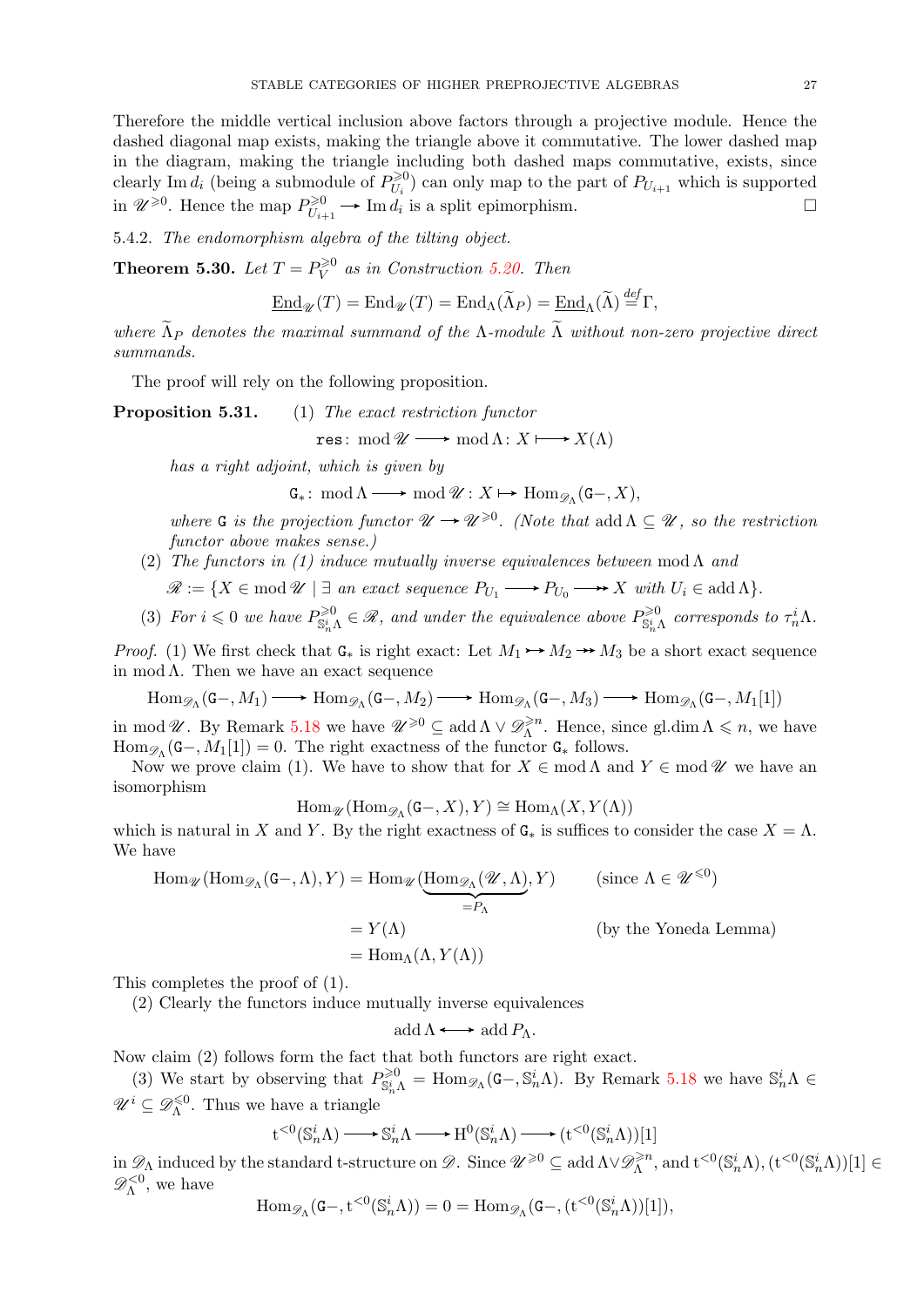Therefore the middle vertical inclusion above factors through a projective module. Hence the dashed diagonal map exists, making the triangle above it commutative. The lower dashed map in the diagram, making the triangle including both dashed maps commutative, exists, since clearly Im  $d_i$  (being a submodule of  $P_{U_i}^{\geq 0}$  $U_{U_i}^{(0)}$  can only map to the part of  $P_{U_{i+1}}$  which is supported in  $\mathscr{U}^{\geqslant 0}$ . Hence the map  $P_{U_{i,j}}^{\geqslant 0}$  $U_{U_{i+1}}^{\geq 0}$   $\longrightarrow$  Im  $d_i$  is a split epimorphism.

5.4.2. The endomorphism algebra of the tilting object.

<span id="page-26-0"></span>**Theorem 5.30.** Let  $T = P_V^{\geq 0}$  $\widetilde{V}^0$  as in Construction [5.20.](#page-23-0) Then

$$
\underline{\operatorname{End}}_{\mathscr{U}}(T) = \operatorname{End}_{\mathscr{U}}(T) = \operatorname{End}_{\Lambda}(\widetilde{\Lambda}_{P}) = \underline{\operatorname{End}}_{\Lambda}(\widetilde{\Lambda}) \stackrel{\text{def}}{=} \Gamma,
$$

where  $\widetilde{\Lambda}_P$  denotes the maximal summand of the Λ-module  $\widetilde{\Lambda}$  without non-zero projective direct summands.

The proof will rely on the following proposition.

**Proposition 5.31.** (1) The exact restriction functor

$$
res\colon \operatorname{mod}\mathscr{U}\longrightarrow \operatorname{mod}\Lambda\colon X\longmapsto X(\Lambda)
$$

has a right adjoint, which is given by

 $\mathsf{G}_{*}\colon \operatorname{mod}\Lambda \longrightarrow \operatorname{mod}\mathscr{U} : X \longmapsto \operatorname{Hom}_{\mathscr{D}_{\Lambda}}(\mathsf{G}-, X),$ 

where G is the projection functor  $\mathscr{U} \to \mathscr{U}^{\geqslant 0}$ . (Note that add  $\Lambda \subseteq \mathscr{U}$ , so the restriction functor above makes sense.)

- (2) The functors in (1) induce mutually inverse equivalences between mod  $\Lambda$  and
	- $\mathscr{R} := \{ X \in \text{mod } \mathscr{U} \mid \exists \text{ an exact sequence } P_{U_1} \longrightarrow P_{U_0} \longrightarrow X \text{ with } U_i \in \text{add } \Lambda \}.$
- (3) For  $i \leq 0$  we have  $P_{\mathbb{S}_n^i\Lambda}^{\geq 0} \in \mathcal{R}$ , and under the equivalence above  $P_{\mathbb{S}_n^i\Lambda}^{\geq 0}$  corresponds to  $\tau_n^i\Lambda$ .

*Proof.* (1) We first check that  $G_*$  is right exact: Let  $M_1 \rightarrow M_2 \rightarrow M_3$  be a short exact sequence in mod  $\Lambda$ . Then we have an exact sequence

 $\text{Hom}_{\mathscr{D}_{\Lambda}}(\mathsf{G}\text{--},M_1)\longrightarrow \text{Hom}_{\mathscr{D}_{\Lambda}}(\mathsf{G}\text{--},M_2)\longrightarrow \text{Hom}_{\mathscr{D}_{\Lambda}}(\mathsf{G}\text{--},M_3)\longrightarrow \text{Hom}_{\mathscr{D}_{\Lambda}}(\mathsf{G}\text{--},M_1[1])$ 

in mod  $\mathscr{U}$ . By Remark [5.18](#page-23-6) we have  $\mathscr{U}^{\geqslant 0} \subseteq \operatorname{add} \Lambda \vee \mathscr{D}_{\Lambda}^{\geqslant n}$  $\sum_{\Lambda} \lambda^n$ . Hence, since gl.dim  $\Lambda \leq n$ , we have  $\text{Hom}_{\mathscr{D}_{\Lambda}}(\mathsf{G}\text{-},M_1[1]) = 0.$  The right exactness of the functor  $\mathsf{G}_{*}$  follows.

Now we prove claim (1). We have to show that for  $X \in \text{mod }\Lambda$  and  $Y \in \text{mod }\mathscr{U}$  we have an isomorphism

$$
\operatorname{Hom}_{\mathscr{U}}(\operatorname{Hom}_{\mathscr{D}_{\Lambda}}(\mathsf{G}-,X),Y)\cong \operatorname{Hom}_{\Lambda}(X,Y(\Lambda))
$$

which is natural in X and Y. By the right exactness of  $G_*$  is suffices to consider the case  $X = \Lambda$ . We have

$$
\text{Hom}_{\mathscr{U}}(\text{Hom}_{\mathscr{D}_{\Lambda}}(\mathsf{G}-,\Lambda),Y) = \text{Hom}_{\mathscr{U}}(\underbrace{\text{Hom}_{\mathscr{D}_{\Lambda}}(\mathscr{U},\Lambda)}_{=P_{\Lambda}},Y) \qquad \text{(since } \Lambda \in \mathscr{U}^{\leq 0})
$$

$$
= Y(\Lambda) \qquad \qquad \text{(by the Yoneda Lemma)}
$$

$$
= \text{Hom}_{\Lambda}(\Lambda,Y(\Lambda))
$$

This completes the proof of (1).

(2) Clearly the functors induce mutually inverse equivalences

 $\text{add } \Lambda \longrightarrow \text{add } P_{\Lambda}.$ 

Now claim (2) follows form the fact that both functors are right exact.

(3) We start by observing that  $P_{\mathbb{S}_n^i\Lambda}^{\geq 0} = \text{Hom}_{\mathscr{D}_\Lambda}(\mathsf{G}-, \mathbb{S}_n^i\Lambda)$ . By Remark [5.18](#page-23-6) we have  $\mathbb{S}_n^i\Lambda \in$  $\mathscr{U}^i \subseteq \mathscr{D}_\Lambda^{\leq 0}$  $\Lambda^{\leq 0}$ . Thus we have a triangle

$$
\mathbf t^{<0}(\mathbb S_n^i\Lambda)\mathop{\longrightarrow}\limits \mathbb S_n^i\Lambda\mathop{\longrightarrow}\limits \mathbf H^0(\mathbb S_n^i\Lambda)\mathop{\longrightarrow}\limits (\mathbf t^{<0}(\mathbb S_n^i\Lambda))[1]
$$

in  $\mathscr{D}_\Lambda$  induced by the standard t-structure on  $\mathscr{D}$ . Since  $\mathscr{U}^{\geqslant 0}\subseteq$  add  $\Lambda\vee\mathscr{D}_\Lambda^{\geqslant n}$  $\mathbb{R}^{\geqslant n}_{\Lambda}$ , and  $\mathbf{t}^{<0}(\mathbb{S}_n^i \Lambda), (\mathbf{t}^{<0}(\mathbb{S}_n^i \Lambda))[1] \in$  $\mathscr{D}_{\Lambda}^{<0}$ , we have

$$
\operatorname{Hom}_{\mathscr{D}_{\Lambda}}(\mathbf{G}_{-},\mathbf{t}^{<0}(\mathbb{S}_{n}^{i}\Lambda))=0=\operatorname{Hom}_{\mathscr{D}_{\Lambda}}(\mathbf{G}_{-},(\mathbf{t}^{<0}(\mathbb{S}_{n}^{i}\Lambda))[1]),
$$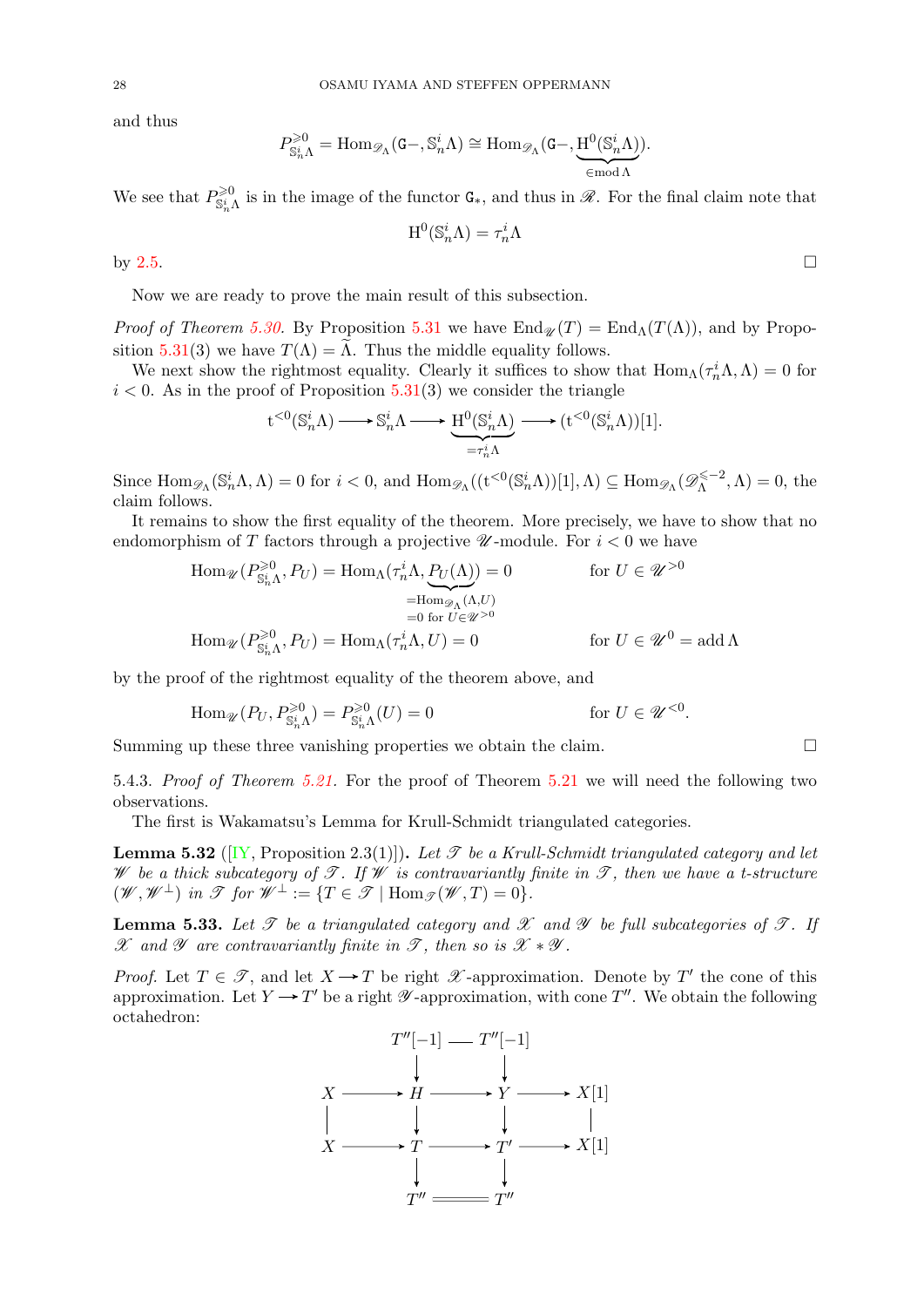and thus

$$
P^{\geqslant 0}_{\mathbb{S}_n^i\Lambda}=\operatorname{Hom}_{\mathscr{D}_\Lambda}(\mathtt{G}-,\mathbb{S}_n^i\Lambda)\cong \operatorname{Hom}_{\mathscr{D}_\Lambda}(\mathtt{G}-,\underbrace{\mathrm{H}^0(\mathbb{S}_n^i\Lambda)}_{\in \operatorname{mod} \Lambda}).
$$

We see that  $P_{\mathbb{S}_n^i\Lambda}^{>0}$  is in the image of the functor  $\mathsf{G}_*,$  and thus in  $\mathscr{R}$ . For the final claim note that

$$
\mathrm{H}^0(\mathbb{S}_n^i\Lambda)=\tau_n^i\Lambda
$$

by [2.5.](#page-3-1)

Now we are ready to prove the main result of this subsection.

*Proof of Theorem [5.30.](#page-26-0)* By Proposition [5.31](#page-0-1) we have  $\text{End}_{\mathcal{U}}(T) = \text{End}_{\Lambda}(T(\Lambda))$ , and by Propo-sition [5.31\(](#page-0-1)3) we have  $T(\Lambda) = \Lambda$ . Thus the middle equality follows.

We next show the rightmost equality. Clearly it suffices to show that  $\text{Hom}_{\Lambda}(\tau_n^i \Lambda, \Lambda) = 0$  for  $i < 0$ . As in the proof of Proposition [5.31\(](#page-0-1)3) we consider the triangle

$$
t^{<0}(\mathbb{S}_n^i \Lambda) \longrightarrow \mathbb{S}_n^i \Lambda \longrightarrow H^0(\mathbb{S}_n^i \Lambda) \longrightarrow (t^{<0}(\mathbb{S}_n^i \Lambda))[1].
$$

Since  $\text{Hom}_{\mathscr{D}_{\Lambda}}(\mathbb{S}_n^i \Lambda, \Lambda) = 0$  for  $i < 0$ , and  $\text{Hom}_{\mathscr{D}_{\Lambda}}((\mathbf{t}^{<0}(\mathbb{S}_n^i \Lambda))[1], \Lambda) \subseteq \text{Hom}_{\mathscr{D}_{\Lambda}}(\mathscr{D}_{\Lambda}^{\leq -2})$  $\Lambda^{\leqslant -2}, \Lambda$ ) = 0, the claim follows.

It remains to show the first equality of the theorem. More precisely, we have to show that no endomorphism of T factors through a projective  $\mathscr U$ -module. For  $i < 0$  we have

$$
\operatorname{Hom}_{\mathscr{U}}(P_{\mathbb{S}_{n}^{\downarrow}}^{\geqslant 0}, P_{U}) = \operatorname{Hom}_{\Lambda}(\tau_{n}^{i}\Lambda, P_{U}(\Lambda)) = 0 \qquad \text{for } U \in \mathscr{U}^{>0}
$$

$$
= \operatorname{Hom}_{\mathscr{D}_{\Lambda}}(\Lambda, U)
$$

$$
= 0 \text{ for } U \in \mathscr{U}^{>0}
$$

$$
\operatorname{Hom}_{\mathscr{U}}(P_{\mathbb{S}_{n}^{i}\Lambda}^{\geqslant 0}, P_{U}) = \operatorname{Hom}_{\Lambda}(\tau_{n}^{i}\Lambda, U) = 0 \qquad \text{for } U \in \mathscr{U}^{0} = \operatorname{add}\Lambda
$$

by the proof of the rightmost equality of the theorem above, and

 $\text{Hom}_{\mathscr{U}}(P_U, P_{\mathbb{S}_n^i \Lambda}^{\geq 0}) = P_{\mathbb{S}_n^i \Lambda}^{\geq 0}$  $(U) = 0$  for  $U \in \mathscr{U}^{< 0}$ .

Summing up these three vanishing properties we obtain the claim.

5.4.3. Proof of Theorem [5.21.](#page-23-1) For the proof of Theorem [5.21](#page-23-1) we will need the following two observations.

The first is Wakamatsu's Lemma for Krull-Schmidt triangulated categories.

<span id="page-27-1"></span>**Lemma 5.32** ([\[IY,](#page-36-27) Proposition 2.3(1)]). Let  $\mathcal{T}$  be a Krull-Schmidt triangulated category and let W be a thick subcategory of  $\mathscr{T}$ . If W is contravariantly finite in  $\mathscr{T}$ , then we have a t-structure  $(\mathscr{W}, \mathscr{W}^\perp)$  in  $\mathscr{T}$  for  $\mathscr{W}^\perp := \{T \in \mathscr{T} \mid \text{Hom}_{\mathscr{T}}(\mathscr{W}, T) = 0\}.$ 

<span id="page-27-0"></span>**Lemma 5.33.** Let  $\mathcal T$  be a triangulated category and  $\mathcal X$  and  $\mathcal Y$  be full subcategories of  $\mathcal T$ . If  $\mathscr X$  and  $\mathscr Y$  are contravariantly finite in  $\mathscr T$ , then so is  $\mathscr X * \mathscr Y$ .

*Proof.* Let  $T \in \mathcal{T}$ , and let  $X \to T$  be right  $\mathcal{X}$ -approximation. Denote by T' the cone of this approximation. Let  $Y \to T'$  be a right  $\mathscr Y$ -approximation, with cone  $T''$ . We obtain the following octahedron:

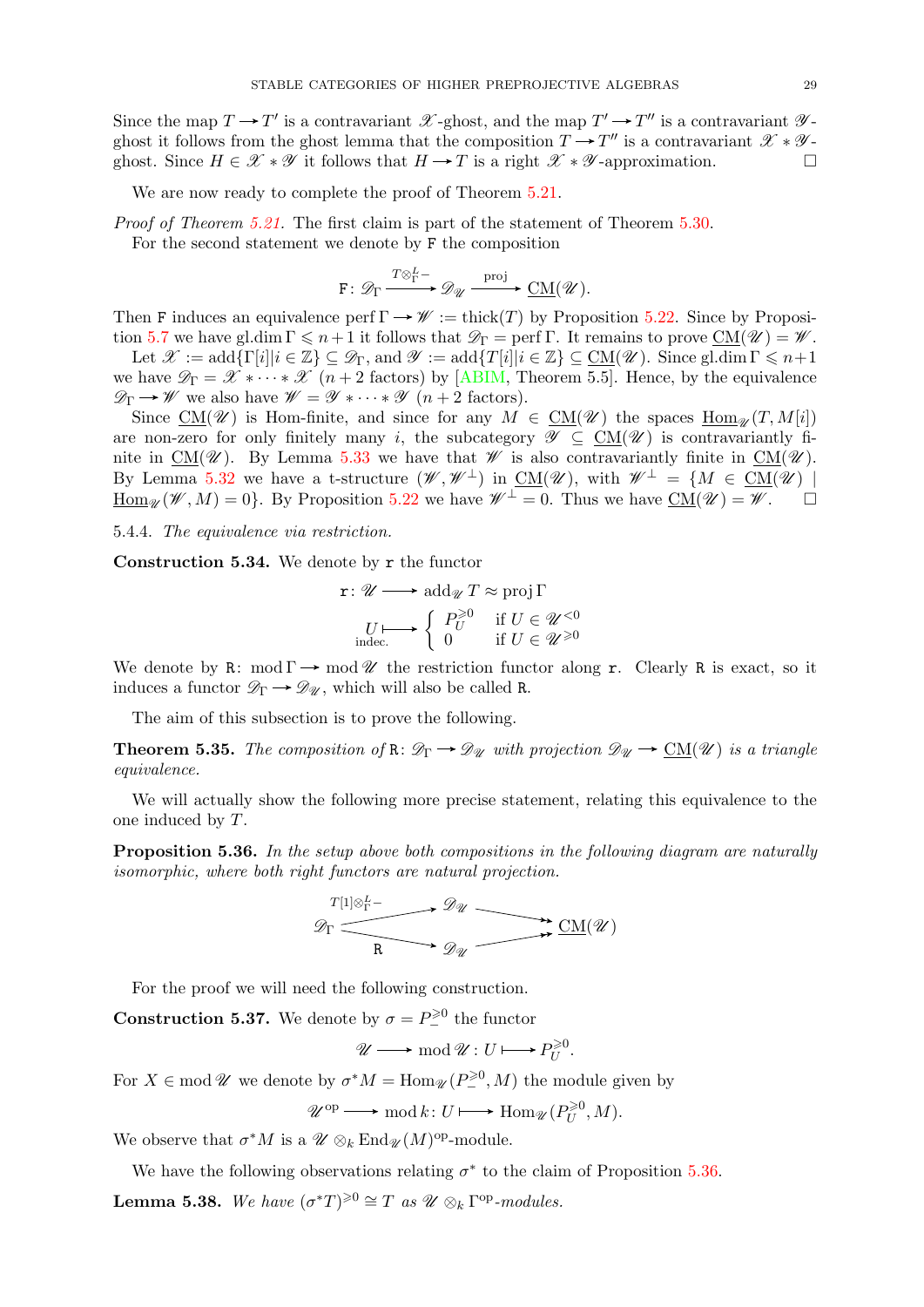Since the map  $T \to T'$  is a contravariant  $\mathscr{X}$ -ghost, and the map  $T' \to T''$  is a contravariant  $\mathscr{Y}$ ghost it follows from the ghost lemma that the composition  $T \to T''$  is a contravariant  $\mathscr{X} * \mathscr{Y}$ ghost. Since  $H \in \mathcal{X} * \mathcal{Y}$  it follows that  $H \to T$  is a right  $\mathcal{X} * \mathcal{Y}$ -approximation.

We are now ready to complete the proof of Theorem  $5.21$ .

Proof of Theorem [5.21.](#page-23-1) The first claim is part of the statement of Theorem [5.30.](#page-26-0)

For the second statement we denote by F the composition

$$
F\colon \mathscr{D}_{\Gamma}\xrightarrow{\text{To}_{\Gamma}^{L-}} \mathscr{D}_{\mathscr{U}}\xrightarrow{\text{proj}} \underline{\text{CM}}(\mathscr{U}).
$$

Then F induces an equivalence perf  $\Gamma \rightarrow \mathscr{W} := \text{thick}(T)$  by Proposition [5.22.](#page-23-5) Since by Proposi-tion [5.7](#page-19-5) we have gl.dim  $\Gamma \leqslant n+1$  it follows that  $\mathscr{D}_{\Gamma} = \text{perf } \Gamma$ . It remains to prove  $CM(\mathscr{U}) = \mathscr{W}$ .

Let  $\mathscr{X} := \text{add}\{\Gamma[i]|i \in \mathbb{Z}\} \subseteq \mathscr{D}_{\Gamma}$ , and  $\mathscr{Y} := \text{add}\{\Gamma[i]|i \in \mathbb{Z}\} \subseteq \text{CM}(\mathscr{U})$ . Since gl.dim  $\Gamma \leq n+1$ we have  $\mathscr{D}_{\Gamma} = \mathscr{X} * \cdots * \mathscr{X}$  (*n* + 2 factors) by [\[ABIM,](#page-35-6) Theorem 5.5]. Hence, by the equivalence  $\mathscr{D}_{\Gamma} \rightarrow \mathscr{W}$  we also have  $\mathscr{W} = \mathscr{Y} * \cdots * \mathscr{Y}$   $(n+2$  factors).

Since CM(\We ) is Hom-finite, and since for any  $M \in CM(\mathcal{U})$  the spaces  $Hom_{\mathcal{U}}(T, M[i])$ are non-zero for only finitely many i, the subcategory  $\mathscr{Y} \subseteq CM(\mathscr{U})$  is contravariantly finite in  $CM(\mathscr{U})$ . By Lemma [5.33](#page-27-0) we have that  $\mathscr{W}$  is also contravariantly finite in  $CM(\mathscr{U})$ . By Lemma [5.32](#page-27-1) we have a t-structure  $(\mathscr{W}, \mathscr{W}^{\perp})$  in  $\underline{\mathrm{CM}}(\mathscr{U})$ , with  $\mathscr{W}^{\perp} = \{M \in \underline{\mathrm{CM}}(\mathscr{U}) \mid \mathscr{U}\}$  $\underline{\text{Hom}_{\mathscr{U}}(\mathscr{W},M)=0}$ . By Proposition [5.22](#page-23-5) we have  $\mathscr{W}^{\perp}=0$ . Thus we have  $\underline{\text{CM}}(\mathscr{U})=\mathscr{W}$ .

5.4.4. The equivalence via restriction.

<span id="page-28-0"></span>Construction 5.34. We denote by r the functor

$$
\mathbf{r}: \mathscr{U} \longrightarrow \operatorname{add}_{\mathscr{U}} T \approx \operatorname{proj} \Gamma
$$

$$
U \longmapsto \left\{ \begin{array}{ll} P_U^{\geq 0} & \text{if } U \in \mathscr{U}^{< 0} \\ 0 & \text{if } U \in \mathscr{U}^{\geq 0} \end{array} \right.
$$

We denote by R: mod  $\Gamma \rightarrow$  mod  $\mathcal{U}$  the restriction functor along r. Clearly R is exact, so it induces a functor  $\mathscr{D}_{\Gamma} \longrightarrow \mathscr{D}_{\mathscr{U}}$ , which will also be called R.

The aim of this subsection is to prove the following.

<span id="page-28-1"></span>**Theorem 5.35.** The composition of  $\mathbb{R} : \mathcal{D}_{\Gamma} \to \mathcal{D}_{\mathcal{U}}$  with projection  $\mathcal{D}_{\mathcal{U}} \to \underline{\text{CM}}(\mathcal{U})$  is a triangle equivalence.

We will actually show the following more precise statement, relating this equivalence to the one induced by T.

<span id="page-28-2"></span>**Proposition 5.36.** In the setup above both compositions in the following diagram are naturally isomorphic, where both right functors are natural projection.

$$
\mathscr{D}_{\Gamma} \xrightarrow{\qquad \qquad } \mathscr{D}_{\mathscr{U}} \xrightarrow{\qquad \qquad } \mathscr{D}_{\mathscr{U}} \xrightarrow{\qquad \qquad } \mathscr{D}_{\mathscr{U}} \xrightarrow{\qquad \qquad } \mathscr{D}_{\mathscr{U}} \xrightarrow{\qquad \qquad } \mathscr{D}_{\mathscr{U}} \xrightarrow{\qquad \qquad } \mathscr{D}_{\mathscr{U}} \xrightarrow{\qquad \qquad } \mathscr{D}_{\mathscr{U}} \xrightarrow{\qquad \qquad } \mathscr{D}_{\mathscr{U}} \xrightarrow{\qquad \qquad } \mathscr{D}_{\mathscr{U}} \xrightarrow{\qquad \qquad } \mathscr{D}_{\mathscr{U}} \xrightarrow{\qquad \qquad } \mathscr{D}_{\mathscr{U}} \xrightarrow{\qquad \qquad } \mathscr{D}_{\mathscr{U}} \xrightarrow{\qquad \qquad } \mathscr{D}_{\mathscr{U}} \xrightarrow{\qquad \qquad } \mathscr{D}_{\mathscr{U}} \xrightarrow{\qquad \qquad } \mathscr{D}_{\mathscr{U}} \xrightarrow{\qquad \qquad } \mathscr{D}_{\mathscr{U}} \xrightarrow{\qquad \qquad } \mathscr{D}_{\mathscr{U}} \xrightarrow{\qquad \qquad } \mathscr{D}_{\mathscr{U}} \xrightarrow{\qquad \qquad } \mathscr{D}_{\mathscr{U}} \xrightarrow{\qquad \qquad } \mathscr{D}_{\mathscr{U}} \xrightarrow{\qquad \qquad } \mathscr{D}_{\mathscr{U}} \xrightarrow{\qquad \qquad } \mathscr{D}_{\mathscr{U}} \xrightarrow{\qquad \qquad } \mathscr{D}_{\mathscr{U}} \xrightarrow{\qquad \qquad } \mathscr{D}_{\mathscr{U}} \xrightarrow{\qquad \qquad } \mathscr{D}_{\mathscr{U}} \xrightarrow{\qquad \qquad } \mathscr{D}_{\mathscr{U}} \xrightarrow{\qquad \qquad } \mathscr{D}_{\mathscr{U}} \xrightarrow{\qquad \qquad } \mathscr{D}_{\mathscr{U}} \xrightarrow{\qquad \qquad } \mathscr{D}_{\mathscr{U}} \xrightarrow{\qquad \qquad } \mathscr{D}_{\mathscr{U}} \xrightarrow{\qquad \qquad } \mathscr{D}_{\mathscr{U}} \xrightarrow{\qquad \qquad } \mathscr{D}_{\mathscr{U}} \xrightarrow{\qquad \qquad } \mathscr{D}_{\mathscr{U}} \xrightarrow{\qquad \qquad } \mathscr{D}_{\mathscr{U}} \xrightarrow
$$

For the proof we will need the following construction.

**Construction 5.37.** We denote by  $\sigma = P_-^{\geq 0}$  the functor

$$
\mathscr{U}\longrightarrow \operatorname{mod}\mathscr{U}:U\longmapsto P_U^{\geqslant 0}.
$$

For  $X \in \text{mod } \mathcal{U}$  we denote by  $\sigma^* M = \text{Hom}_{\mathcal{U}}(P^{\geq 0}_-, M)$  the module given by

$$
\mathscr{U}^{\mathrm{op}} \longrightarrow \mathrm{mod}\, k \colon U \longmapsto \mathrm{Hom}_{\mathscr{U}}(P^{\geqslant 0}_U, M).
$$

We observe that  $\sigma^* M$  is a  $\mathscr{U} \otimes_k \mathrm{End}_{\mathscr{U}}(M)^\mathrm{op}\text{-module}.$ 

<span id="page-28-3"></span>We have the following observations relating  $\sigma^*$  to the claim of Proposition [5.36.](#page-28-2) **Lemma 5.38.** We have  $(\sigma^*T)^{\geq 0} \cong T$  as  $\mathscr{U} \otimes_k \Gamma^{op}\text{-modules.}$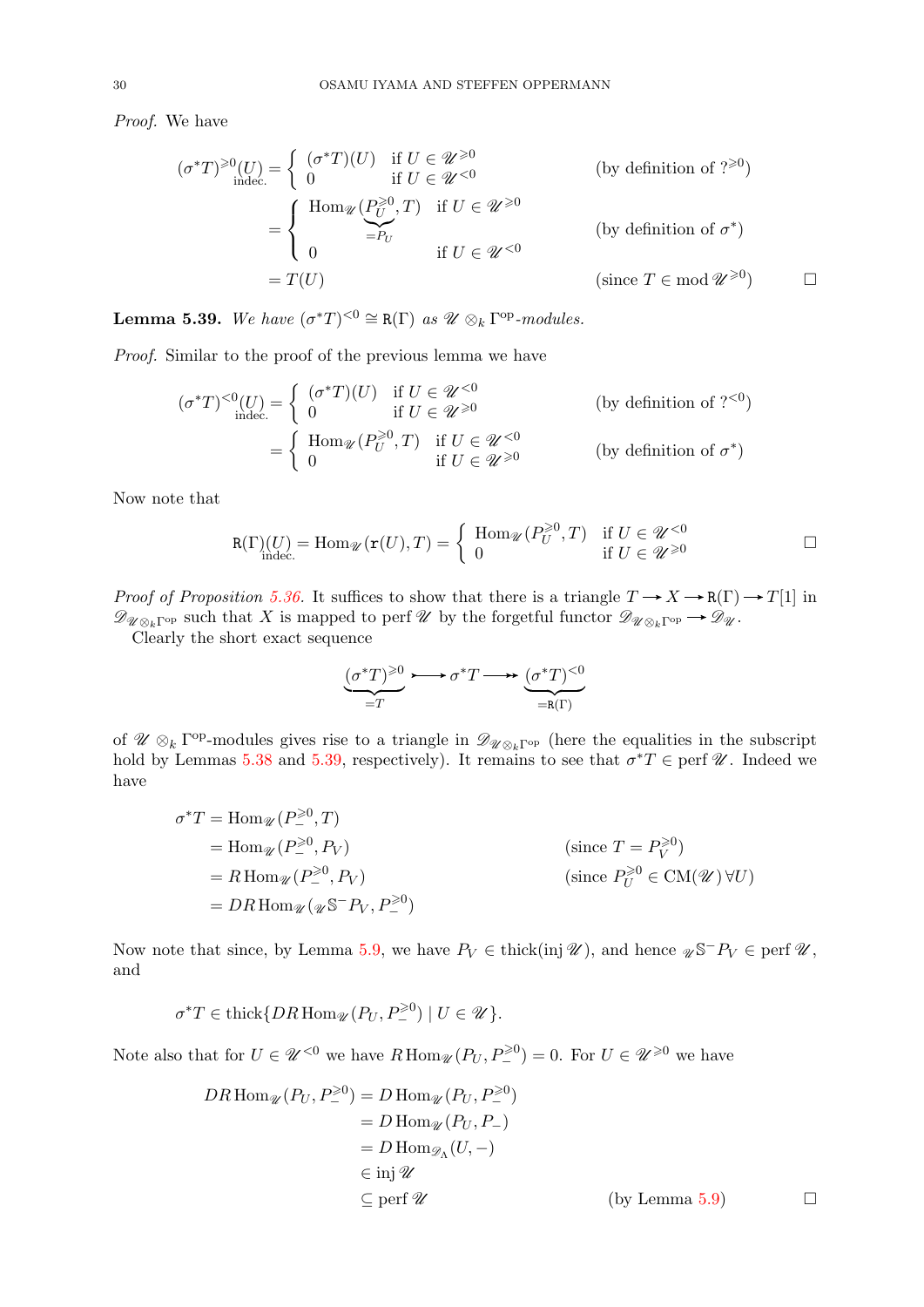Proof. We have

$$
(\sigma^*T)^{\geq 0}(U) = \begin{cases} (\sigma^*T)(U) & \text{if } U \in \mathcal{U}^{\geq 0} \\ 0 & \text{if } U \in \mathcal{U}^{< 0} \end{cases}
$$
 (by definition of ?<sup>≥ 0</sup>)  
\n
$$
= \begin{cases} \text{Hom}_{\mathcal{U}}(P_U^{\geq 0}, T) & \text{if } U \in \mathcal{U}^{> 0} \\ 0 & \text{if } U \in \mathcal{U}^{< 0} \end{cases}
$$
 (by definition of  $\sigma^*$ )  
\n
$$
= T(U) \qquad \qquad (\text{since } T \in \text{mod } \mathcal{U}^{\geq 0}) \qquad \Box
$$

<span id="page-29-0"></span>**Lemma 5.39.** We have  $(\sigma^*T)^{<0} \cong R(\Gamma)$  as  $\mathcal{U} \otimes_k \Gamma^{op}\text{-modules.}$ 

Proof. Similar to the proof of the previous lemma we have

$$
(\sigma^*T)^{<0}(U) = \begin{cases} (\sigma^*T)(U) & \text{if } U \in \mathcal{U}^{<0} \\ 0 & \text{if } U \in \mathcal{U}^{\geq 0} \end{cases}
$$
 (by definition of ? <sup>$(0)$</sup> )  
= 
$$
\begin{cases} \text{Hom}_{\mathcal{U}}(P_U^{\geq 0}, T) & \text{if } U \in \mathcal{U}^{<0} \\ 0 & \text{if } U \in \mathcal{U}^{\geq 0} \end{cases}
$$
 (by definition of  $\sigma^*$ )

Now note that

$$
\texttt{R}(\Gamma)(U) = \text{Hom}_{\mathscr{U}}(\texttt{r}(U), T) = \left\{ \begin{array}{ll} \text{Hom}_{\mathscr{U}}(P_U^{\geqslant 0}, T) & \text{if } U \in \mathscr{U}^{< 0}\\ 0 & \text{if } U \in \mathscr{U}^{\geqslant 0} \end{array} \right. \qquad \qquad \Box
$$

*Proof of Proposition [5.36.](#page-28-2)* It suffices to show that there is a triangle  $T \to X \to \mathbb{R}(\Gamma) \to T[1]$  in  $\mathscr{D}_{\mathscr{U}\otimes_k\Gamma^{op}}$  such that X is mapped to perf  $\mathscr{U}$  by the forgetful functor  $\mathscr{D}_{\mathscr{U}\otimes_k\Gamma^{op}}\to \mathscr{D}_{\mathscr{U}}$ .

Clearly the short exact sequence

$$
\underbrace{(\sigma^*T)^{\geq 0}}_{=T} \longrightarrow \sigma^*T \longrightarrow \underbrace{(\sigma^*T)^{<0}}_{=R(\Gamma)}
$$

of  $\mathscr{U} \otimes_k \Gamma^{op}$ -modules gives rise to a triangle in  $\mathscr{D}_{\mathscr{U} \otimes_k \Gamma^{op}}$  (here the equalities in the subscript hold by Lemmas [5.38](#page-28-3) and [5.39,](#page-29-0) respectively). It remains to see that  $\sigma^*T \in \text{perf } \mathscr{U}$ . Indeed we have

$$
\sigma^* T = \text{Hom}_{\mathcal{U}}(P_-^{\geq 0}, T)
$$
  
= 
$$
\text{Hom}_{\mathcal{U}}(P_-^{\geq 0}, P_V)
$$
  
= 
$$
R \text{Hom}_{\mathcal{U}}(P_-^{\geq 0}, P_V)
$$
  
= 
$$
DR \text{Hom}_{\mathcal{U}}(\mathcal{U}^{\geq 0}, P_V, P_-^{\geq 0})
$$
  
(since 
$$
P_U^{\geq 0} \in \text{CM}(\mathcal{U}) \forall U
$$
)  
= 
$$
DR \text{Hom}_{\mathcal{U}}(\mathcal{U}^{\leq 0}, P_V, P_-^{\geq 0})
$$

Now note that since, by Lemma [5.9,](#page-19-2) we have  $P_V \in \text{thick}(\text{inj }\mathscr{U})$ , and hence  $\mathscr{U} \mathbb{S}^- P_V \in \text{perf }\mathscr{U}$ , and

$$
\sigma^*T\in \textnormal{thick}\{DR\operatorname{Hom}_{\mathscr{U}}(P_U, P_-^{\geqslant 0})\mid U\in\mathscr{U}\}.
$$

Note also that for  $U \in \mathscr{U}^{< 0}$  we have  $R \operatorname{Hom}_{\mathscr{U}}(P_U, P^{\geq 0}) = 0$ . For  $U \in \mathscr{U}^{\geq 0}$  we have

$$
DR \operatorname{Hom}_{\mathscr{U}}(P_U, P_-^{\geq 0}) = D \operatorname{Hom}_{\mathscr{U}}(P_U, P_-^{\geq 0})
$$
  
=  $D \operatorname{Hom}_{\mathscr{U}}(P_U, P_-)$   
=  $D \operatorname{Hom}_{\mathscr{D}_\Lambda}(U, -)$   
 $\in \operatorname{inj} \mathscr{U}$   
 $\subseteq \operatorname{perf} \mathscr{U}$  (by Lemma 5.9)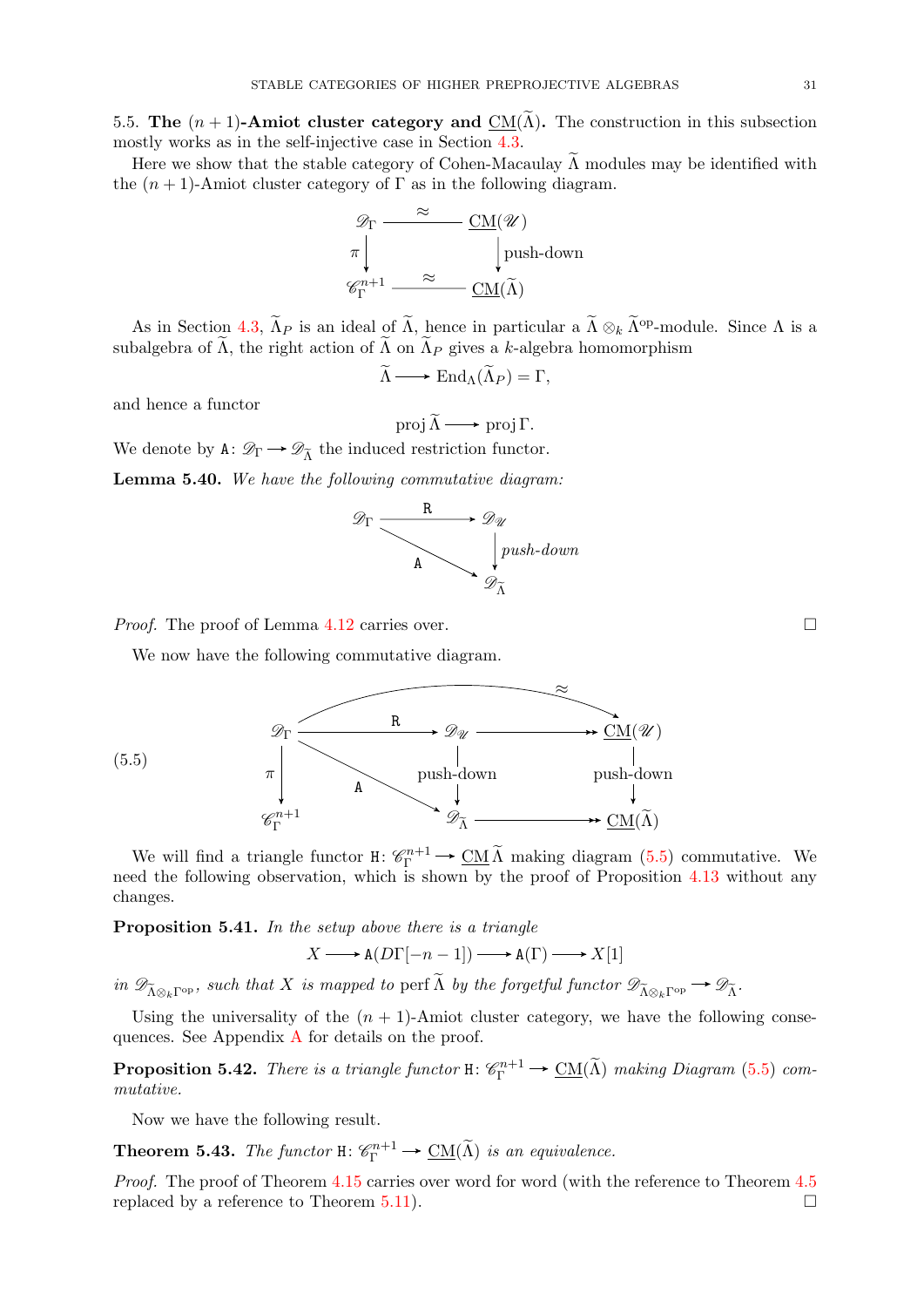<span id="page-30-0"></span>5.5. The  $(n + 1)$ -Amiot cluster category and CM( $\tilde{\Lambda}$ ). The construction in this subsection mostly works as in the self-injective case in Section [4.3.](#page-13-0)

Here we show that the stable category of Cohen-Macaulay  $\tilde{\Lambda}$  modules may be identified with the  $(n + 1)$ -Amiot cluster category of  $\Gamma$  as in the following diagram.



As in Section [4.3,](#page-13-0)  $\tilde{\Lambda}_P$  is an ideal of  $\tilde{\Lambda}$ , hence in particular a  $\tilde{\Lambda} \otimes_k \tilde{\Lambda}^{\text{op}}$ -module. Since  $\Lambda$  is a subalgebra of  $\tilde{\Lambda}$ , the right action of  $\tilde{\Lambda}$  on  $\tilde{\Lambda}_P$  gives a k-algebra homomorphism

$$
\widetilde{\Lambda} \longrightarrow \text{End}_{\Lambda}(\widetilde{\Lambda}_P) = \Gamma,
$$

and hence a functor

(5.5)

proj  $\tilde{\Lambda} \longrightarrow$  proj Γ. We denote by  $A: \mathscr{D}_{\Gamma} \longrightarrow \mathscr{D}_{\widetilde{\Lambda}}$  the induced restriction functor.

Lemma 5.40. We have the following commutative diagram:



*Proof.* The proof of Lemma [4.12](#page-13-3) carries over.

We now have the following commutative diagram.

<span id="page-30-2"></span>

We will find a triangle functor  $H: \mathcal{C}_{\Gamma}^{n+1} \to \underline{CM} \tilde{\Lambda}$  making diagram ([5.5\)](#page-30-2) commutative. We need the following observation, which is shown by the proof of Proposition [4.13](#page-14-2) without any changes.

Proposition 5.41. In the setup above there is a triangle

 $X \longrightarrow A(D\Gamma[-n-1]) \longrightarrow A(\Gamma) \longrightarrow X[1]$ 

in  $\mathscr{D}_{\tilde{\Lambda}\otimes_k\Gamma^{\mathrm{op}}}$ , such that X is mapped to perf  $\tilde{\Lambda}$  by the forgetful functor  $\mathscr{D}_{\tilde{\Lambda}\otimes_k\Gamma^{\mathrm{op}}}\to\mathscr{D}_{\tilde{\Lambda}}$ .

Using the universality of the  $(n + 1)$ -Amiot cluster category, we have the following consequences. See Appendix [A](#page-31-0) for details on the proof.

**Proposition 5.42.** There is a triangle functor  $H: \mathcal{C}_{\Gamma}^{n+1} \to \underline{CM}(\widetilde{\Lambda})$  making Diagram [\(5.5\)](#page-30-2) commutative.

Now we have the following result.

<span id="page-30-1"></span>**Theorem 5.43.** The functor  $H: \mathcal{C}_{\Gamma}^{n+1} \to \underline{CM}(\tilde{\Lambda})$  is an equivalence.

Proof. The proof of Theorem [4.15](#page-14-0) carries over word for word (with the reference to Theorem [4.5](#page-10-1) replaced by a reference to Theorem [5.11\)](#page-19-4).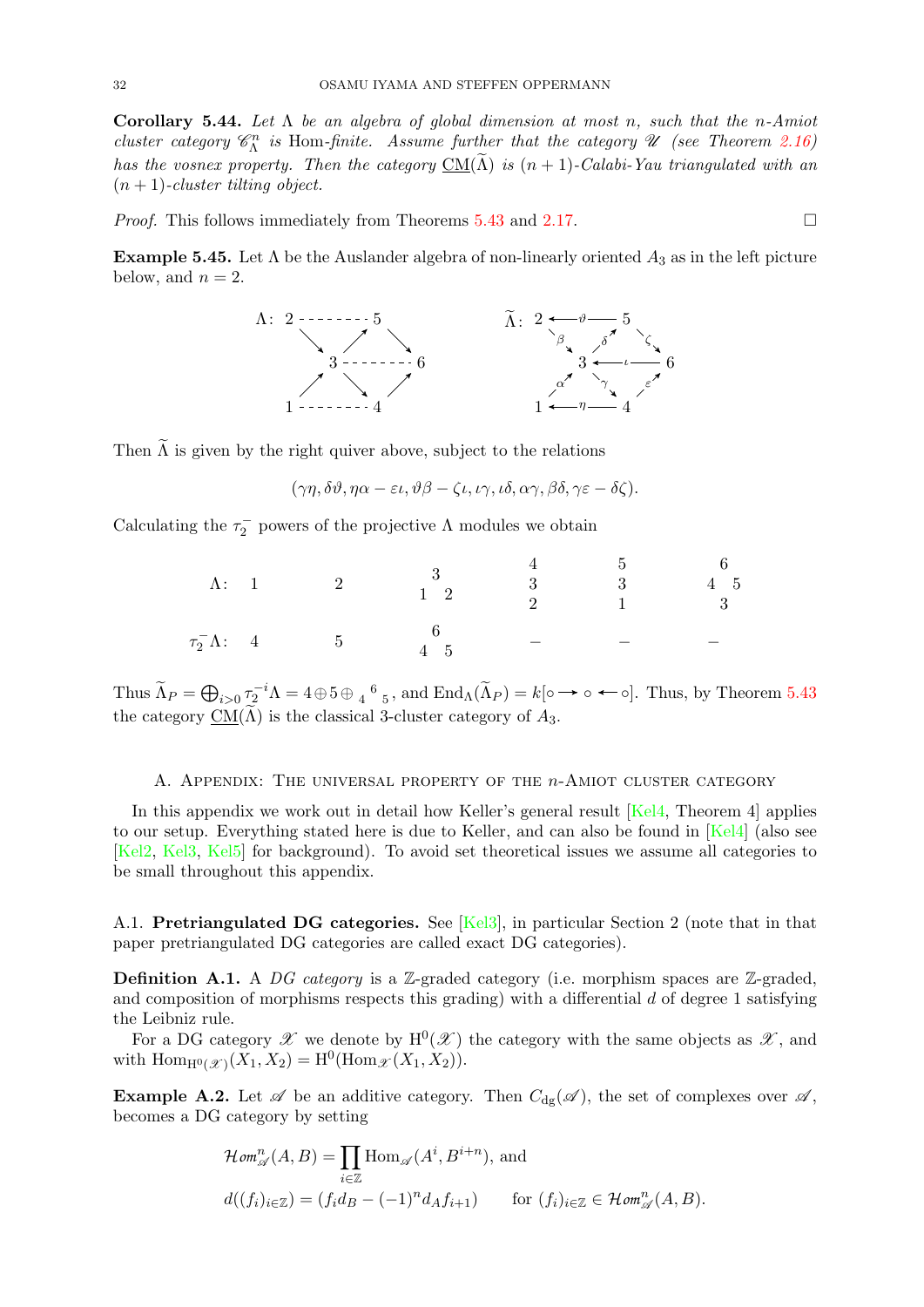<span id="page-31-2"></span>Corollary 5.44. Let  $\Lambda$  be an algebra of global dimension at most n, such that the n-Amiot cluster category  $\mathcal{C}_{\Lambda}^{n}$  is Hom-finite. Assume further that the category  $\mathcal U$  (see Theorem [2.16\)](#page-5-2) has the vosnex property. Then the category  $\underline{\mathrm{CM}}(\widetilde{\Lambda})$  is  $(n + 1)$ -Calabi-Yau triangulated with an  $(n + 1)$ -cluster tilting object.

*Proof.* This follows immediately from Theorems [5.43](#page-30-1) and [2.17.](#page-5-6)  $\Box$ 

**Example 5.45.** Let  $\Lambda$  be the Auslander algebra of non-linearly oriented  $A_3$  as in the left picture below, and  $n = 2$ .



Then  $\widetilde{\Lambda}$  is given by the right quiver above, subject to the relations

$$
(\gamma \eta, \delta \vartheta, \eta \alpha - \varepsilon \iota, \vartheta \beta - \zeta \iota, \iota \gamma, \iota \delta, \alpha \gamma, \beta \delta, \gamma \varepsilon - \delta \zeta).
$$

Calculating the  $\tau_2^-$  powers of the projective  $\Lambda$  modules we obtain

| $\Lambda: \quad 1$     | $\overline{\mathbf{2}}$ | $\begin{array}{c} 3 \\ 1 \end{array}$   | $\begin{array}{cccc} 4 & \hspace{1.5cm} 5 & \hspace{1.5cm} 6 \\ 3 & \hspace{1.5cm} 3 & \hspace{1.5cm} 4 & \hspace{1.5cm} 5 \\ 2 & \hspace{1.5cm} 1 & \hspace{1.5cm} 3 \end{array}$ |  |
|------------------------|-------------------------|-----------------------------------------|------------------------------------------------------------------------------------------------------------------------------------------------------------------------------------|--|
| $\tau_2^- \Lambda$ : 4 | $5\phantom{.00000}$     | $\begin{array}{c} 0 \\ 4.5 \end{array}$ |                                                                                                                                                                                    |  |

Thus  $\widetilde{\Lambda}_P = \bigoplus_{i>0} \tau_2^{-i} \Lambda = 4 \oplus 5 \oplus \frac{4}{4}^6$  5, and  $\text{End}_{\Lambda}(\widetilde{\Lambda}_P) = k[\circ \to \circ \leftarrow \circ]$ . Thus, by Theorem [5.43](#page-30-1) the category  $CM(\Lambda)$  is the classical 3-cluster category of  $A_3$ .

#### A. Appendix: The universal property of the n-Amiot cluster category

<span id="page-31-0"></span>In this appendix we work out in detail how Keller's general result [\[Kel4,](#page-36-31) Theorem 4] applies to our setup. Everything stated here is due to Keller, and can also be found in [\[Kel4\]](#page-36-31) (also see [\[Kel2,](#page-36-32) [Kel3,](#page-36-33) [Kel5\]](#page-37-8) for background). To avoid set theoretical issues we assume all categories to be small throughout this appendix.

<span id="page-31-1"></span>A.1. Pretriangulated DG categories. See [\[Kel3\]](#page-36-33), in particular Section 2 (note that in that paper pretriangulated DG categories are called exact DG categories).

**Definition A.1.** A DG category is a Z-graded category (i.e. morphism spaces are Z-graded, and composition of morphisms respects this grading) with a differential  $d$  of degree 1 satisfying the Leibniz rule.

For a DG category  $\mathscr X$  we denote by  $H^0(\mathscr X)$  the category with the same objects as  $\mathscr X$ , and with  $\text{Hom}_{H^0(\mathcal{X})}(X_1, X_2) = H^0(\text{Hom}_{\mathcal{X}}(X_1, X_2)).$ 

<span id="page-31-3"></span>**Example A.2.** Let  $\mathscr A$  be an additive category. Then  $C_{dg}(\mathscr A)$ , the set of complexes over  $\mathscr A$ , becomes a DG category by setting

$$
\mathcal{H}\mathit{om}^{n}_{\mathscr{A}}(A,B) = \prod_{i \in \mathbb{Z}} \text{Hom}_{\mathscr{A}}(A^{i}, B^{i+n}), \text{ and}
$$
  

$$
d((f_{i})_{i \in \mathbb{Z}}) = (f_{i}d_{B} - (-1)^{n}d_{A}f_{i+1}) \qquad \text{for } (f_{i})_{i \in \mathbb{Z}} \in \mathcal{H}\mathit{om}^{n}_{\mathscr{A}}(A,B).
$$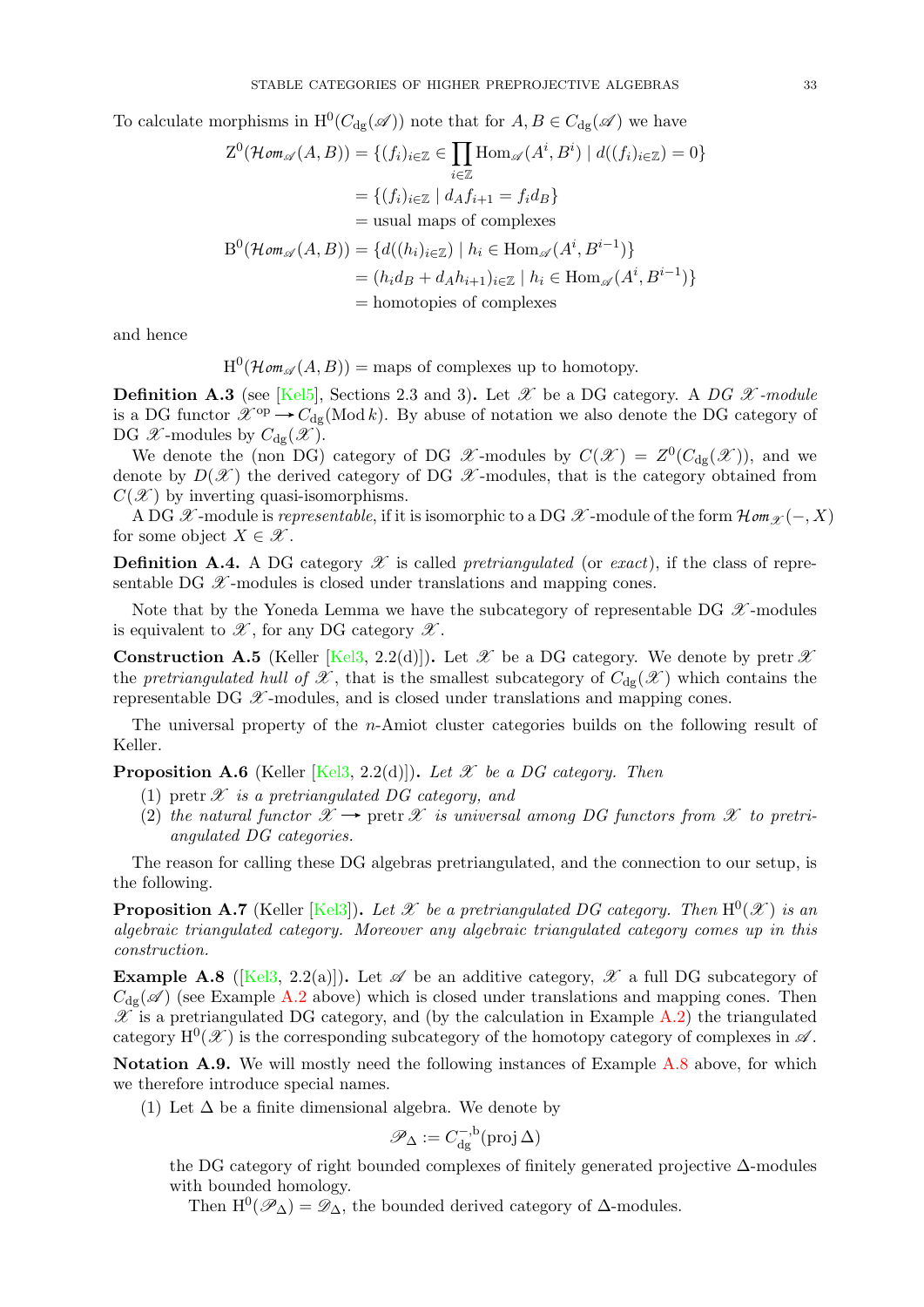To calculate morphisms in  $H^0(C_{dg}(\mathscr{A}))$  note that for  $A, B \in C_{dg}(\mathscr{A})$  we have

$$
Z^{0}(\mathcal{H}om_{\mathscr{A}}(A, B)) = \{(f_{i})_{i \in \mathbb{Z}} \in \prod_{i \in \mathbb{Z}} \text{Hom}_{\mathscr{A}}(A^{i}, B^{i}) \mid d((f_{i})_{i \in \mathbb{Z}}) = 0\}
$$

$$
= \{(f_{i})_{i \in \mathbb{Z}} \mid d_{A}f_{i+1} = f_{i}d_{B}\}
$$

$$
= \text{usual maps of complexes}
$$

$$
B^{0}(\mathcal{H}om_{\mathscr{A}}(A, B)) = \{d((h_{i})_{i \in \mathbb{Z}}) \mid h_{i} \in \text{Hom}_{\mathscr{A}}(A^{i}, B^{i-1})\}
$$

$$
= (h_{i}d_{B} + d_{A}h_{i+1})_{i \in \mathbb{Z}} \mid h_{i} \in \text{Hom}_{\mathscr{A}}(A^{i}, B^{i-1})\}
$$

$$
= \text{homotopies of complexes}
$$

and hence

 $H^0(\mathcal{H}om_{\mathscr{A}}(A, B)) = \text{maps of complexes up to homotopy.}$ 

**Definition A.3** (see [\[Kel5\]](#page-37-8), Sections 2.3 and 3). Let  $\mathscr X$  be a DG category. A DG  $\mathscr X$ -module is a DG functor  $\mathscr{X}^{\text{op}} \to C_{\text{dg}}(\text{Mod } k)$ . By abuse of notation we also denote the DG category of DG  $\mathscr{X}$ -modules by  $C_{dg}(\mathscr{X})$ .

We denote the (non DG) category of DG  $\mathscr{X}$ -modules by  $C(\mathscr{X}) = Z^{0}(C_{dg}(\mathscr{X}))$ , and we denote by  $D(\mathscr{X})$  the derived category of DG  $\mathscr{X}$ -modules, that is the category obtained from  $C(\mathscr{X})$  by inverting quasi-isomorphisms.

A DG  $\mathscr X$ -module is *representable*, if it is isomorphic to a DG  $\mathscr X$ -module of the form  $\mathcal Hom_{\mathscr X}(-, X)$ for some object  $X \in \mathscr{X}$ .

**Definition A.4.** A DG category  $\mathscr X$  is called *pretriangulated* (or *exact*), if the class of representable DG  $\mathscr X$ -modules is closed under translations and mapping cones.

Note that by the Yoneda Lemma we have the subcategory of representable DG  $\mathscr X$ -modules is equivalent to  $\mathscr{X}$ , for any DG category  $\mathscr{X}$ .

**Construction A.5** (Keller [\[Kel3,](#page-36-33) 2.2(d)]). Let  $\mathscr X$  be a DG category. We denote by pretr  $\mathscr X$ the pretriangulated hull of  $\mathscr X$ , that is the smallest subcategory of  $C_{d\sigma}(\mathscr X)$  which contains the representable DG  $\mathscr X$ -modules, and is closed under translations and mapping cones.

The universal property of the n-Amiot cluster categories builds on the following result of Keller.

**Proposition A.6** (Keller [\[Kel3,](#page-36-33) 2.2(d)]). Let  $\mathscr X$  be a DG category. Then

- (1) pretr  $\mathscr X$  is a pretriangulated DG category, and
- (2) the natural functor  $\mathscr{X} \to \text{pert} \mathscr{X}$  is universal among DG functors from  $\mathscr{X}$  to pretriangulated DG categories.

The reason for calling these DG algebras pretriangulated, and the connection to our setup, is the following.

**Proposition A.7** (Keller [\[Kel3\]](#page-36-33)). Let  $\mathscr X$  be a pretriangulated DG category. Then  $\mathrm{H}^{0}(\mathscr X)$  is an algebraic triangulated category. Moreover any algebraic triangulated category comes up in this construction.

<span id="page-32-0"></span>**Example A.8** ([\[Kel3,](#page-36-33) 2.2(a)]). Let  $\mathscr A$  be an additive category,  $\mathscr X$  a full DG subcategory of  $C_{\text{de}}(\mathscr{A})$  (see Example [A.2](#page-31-3) above) which is closed under translations and mapping cones. Then  $\mathscr X$  is a pretriangulated DG category, and (by the calculation in Example [A.2\)](#page-31-3) the triangulated category  $H^0(\mathcal{X})$  is the corresponding subcategory of the homotopy category of complexes in  $\mathcal{A}$ .

Notation A.9. We will mostly need the following instances of Example [A.8](#page-32-0) above, for which we therefore introduce special names.

(1) Let  $\Delta$  be a finite dimensional algebra. We denote by

$$
\mathscr{P}_\Delta:=C^{-,\mathrm{b}}_{\mathrm{dg}}(\operatorname{proj}\Delta)
$$

the DG category of right bounded complexes of finitely generated projective ∆-modules with bounded homology.

Then  $H^0(\mathscr{P}_\Delta) = \mathscr{D}_\Delta$ , the bounded derived category of  $\Delta$ -modules.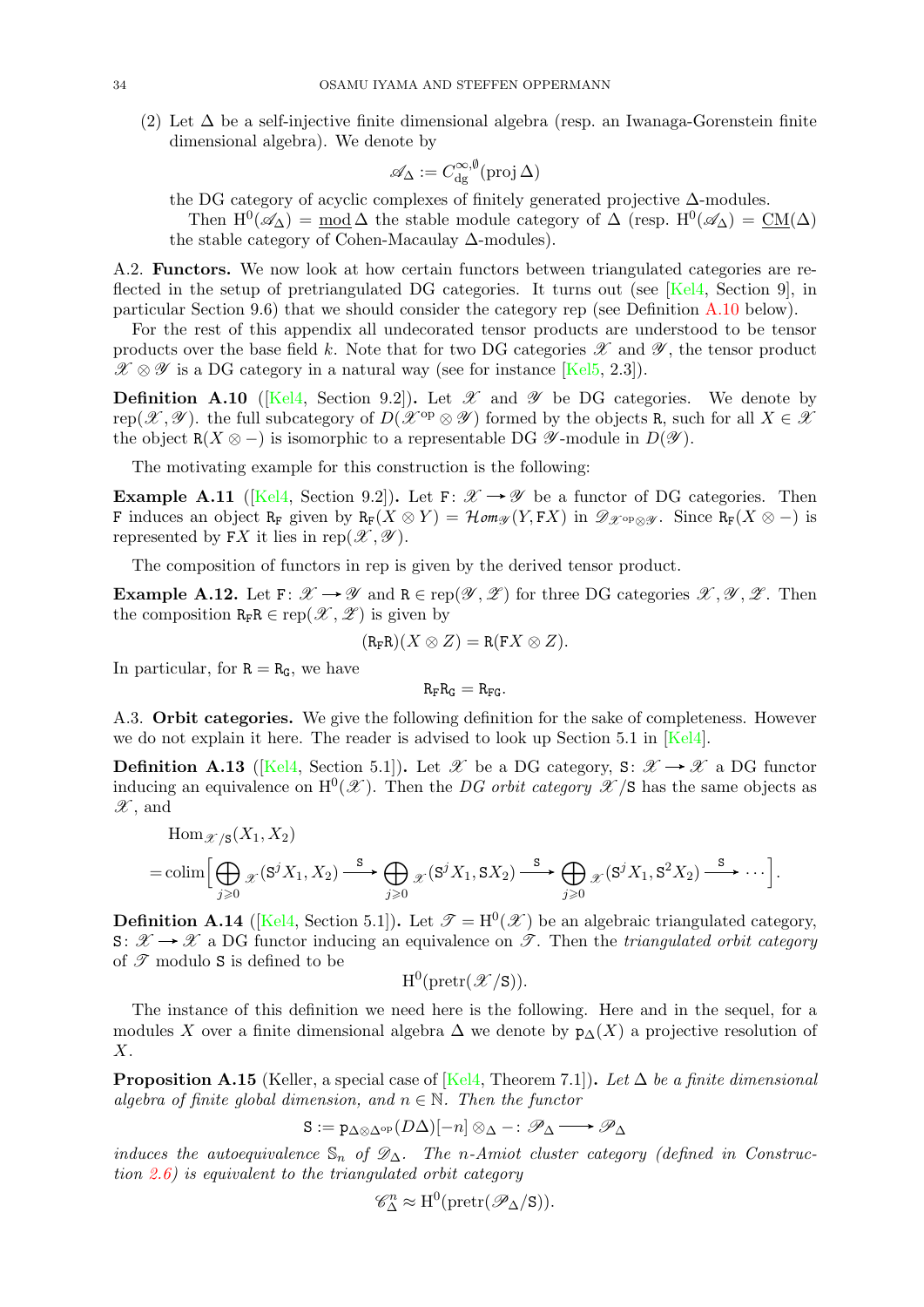(2) Let ∆ be a self-injective finite dimensional algebra (resp. an Iwanaga-Gorenstein finite dimensional algebra). We denote by

$$
\mathscr{A}_\Delta:=C_{\rm dg}^{\infty,\emptyset}(\operatorname{proj}\Delta)
$$

the DG category of acyclic complexes of finitely generated projective ∆-modules. Then  $H^0(\mathscr{A}_\Delta) = \text{mod }\Delta$  the stable module category of  $\Delta$  (resp.  $H^0(\mathscr{A}_\Delta) = \text{CM}(\Delta)$ )

the stable category of Cohen-Macaulay ∆-modules).

<span id="page-33-0"></span>A.2. Functors. We now look at how certain functors between triangulated categories are reflected in the setup of pretriangulated DG categories. It turns out (see  $Kel4$ , Section 9), in particular Section 9.6) that we should consider the category rep (see Definition [A.10](#page-33-2) below).

For the rest of this appendix all undecorated tensor products are understood to be tensor products over the base field k. Note that for two DG categories  $\mathscr X$  and  $\mathscr Y$ , the tensor product  $\mathscr{X} \otimes \mathscr{Y}$  is a DG category in a natural way (see for instance [\[Kel5,](#page-37-8) 2.3]).

<span id="page-33-2"></span>**Definition A.10** ([\[Kel4,](#page-36-31) Section 9.2]). Let  $\mathscr X$  and  $\mathscr Y$  be DG categories. We denote by rep(X,  $\mathscr Y)$ ). the full subcategory of  $D(\mathscr X^{\rm op}\otimes\mathscr Y)$  formed by the objects R, such for all  $X\in\mathscr X$ the object  $R(X \otimes -)$  is isomorphic to a representable DG  $\mathscr{Y}\text{-module in }D(\mathscr{Y})$ .

The motivating example for this construction is the following:

**Example A.11** ([\[Kel4,](#page-36-31) Section 9.2]). Let  $F: \mathcal{X} \rightarrow \mathcal{Y}$  be a functor of DG categories. Then F induces an object R<sub>F</sub> given by R<sub>F</sub>(X  $\otimes$  Y) = Hom<sub>g</sub>(Y, FX) in  $\mathscr{D}_{\mathscr{X}^{\text{op}} \otimes \mathscr{Y}}$ . Since R<sub>F</sub>(X  $\otimes$  -) is represented by FX it lies in rep $(\mathscr{X}, \mathscr{Y})$ .

The composition of functors in rep is given by the derived tensor product.

**Example A.12.** Let  $F: \mathcal{X} \to \mathcal{Y}$  and  $R \in \text{rep}(\mathcal{Y}, \mathcal{Z})$  for three DG categories  $\mathcal{X}, \mathcal{Y}, \mathcal{Z}$ . Then the composition  $R_F R \in \operatorname{rep}(\mathscr{X}, \mathscr{Z})$  is given by

$$
(\mathtt{R}_F\mathtt{R})(X\otimes Z)=\mathtt{R}(\mathtt{F}X\otimes Z).
$$

In particular, for  $R = R_G$ , we have

 $R_F R_G = R_{FG}.$ 

<span id="page-33-1"></span>A.3. Orbit categories. We give the following definition for the sake of completeness. However we do not explain it here. The reader is advised to look up Section 5.1 in [\[Kel4\]](#page-36-31).

<span id="page-33-3"></span>**Definition A.13** ([\[Kel4,](#page-36-31) Section 5.1]). Let  $\mathscr{X}$  be a DG category, S:  $\mathscr{X} \to \mathscr{X}$  a DG functor inducing an equivalence on  $H^0(\mathscr{X})$ . Then the DG orbit category  $\mathscr{X}/S$  has the same objects as  $\mathscr{X}$ , and

$$
\text{Hom}_{\mathscr{X}/\mathsf{S}}(X_1, X_2) = \text{colim}\Big[\bigoplus_{j\geqslant 0}{}_{\mathscr{X}}(S^jX_1, X_2) \stackrel{\mathsf{S}}{\longrightarrow} \bigoplus_{j\geqslant 0}{}_{\mathscr{X}}(S^jX_1, S X_2) \stackrel{\mathsf{S}}{\longrightarrow} \bigoplus_{j\geqslant 0}{}_{\mathscr{X}}(S^jX_1, S^2X_2) \stackrel{\mathsf{S}}{\longrightarrow} \cdots\Big].
$$

**Definition A.14** ([\[Kel4,](#page-36-31) Section 5.1]). Let  $\mathcal{T} = H^0(\mathcal{X})$  be an algebraic triangulated category,  $S: \mathscr{X} \to \mathscr{X}$  a DG functor inducing an equivalence on  $\mathscr{T}$ . Then the triangulated orbit category of  $\mathscr T$  modulo S is defined to be

 $\mathrm{H}^0(\operatorname{pretr}(\mathscr{X}/\mathtt{S})).$ 

The instance of this definition we need here is the following. Here and in the sequel, for a modules X over a finite dimensional algebra  $\Delta$  we denote by  $p_{\Delta}(X)$  a projective resolution of X.

<span id="page-33-4"></span>**Proposition A.15** (Keller, a special case of [\[Kel4,](#page-36-31) Theorem 7.1]). Let  $\Delta$  be a finite dimensional algebra of finite global dimension, and  $n \in \mathbb{N}$ . Then the functor

$$
S := p_{\Delta \otimes \Delta^{op}}(D\Delta)[-n] \otimes_{\Delta} - : \mathscr{P}_{\Delta} \longrightarrow \mathscr{P}_{\Delta}
$$

induces the autoequivalence  $\mathbb{S}_n$  of  $\mathscr{D}_\Delta$ . The n-Amiot cluster category (defined in Construction  $(2.6)$  $(2.6)$  is equivalent to the triangulated orbit category

$$
\mathscr{C}^n_\Delta \approx \mathrm{H}^0(\mathrm{pretr}(\mathscr{P}_\Delta/\mathbf{S})).
$$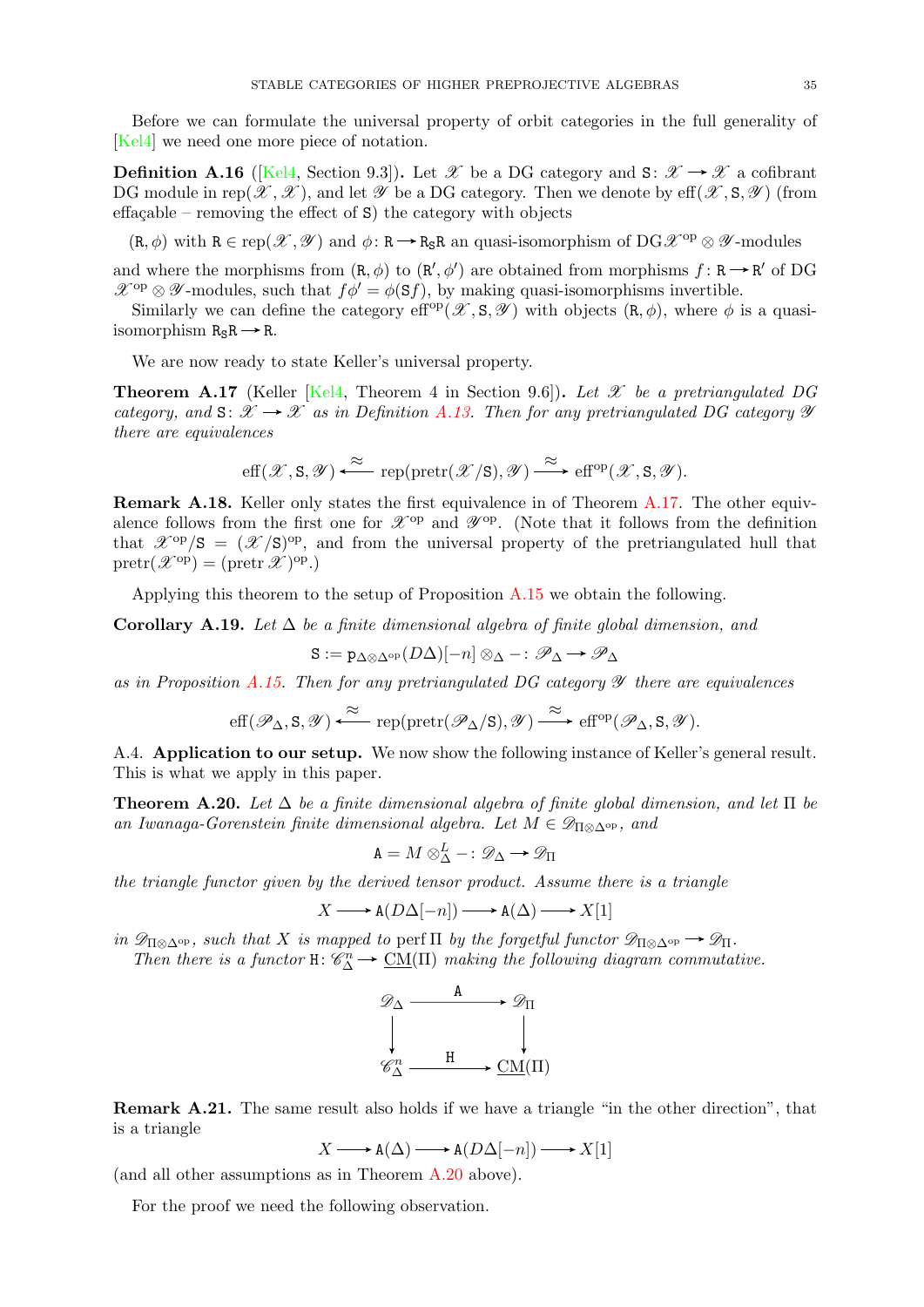Before we can formulate the universal property of orbit categories in the full generality of [\[Kel4\]](#page-36-31) we need one more piece of notation.

**Definition A.16** ([\[Kel4,](#page-36-31) Section 9.3]). Let X be a DG category and S:  $\mathcal{X} \to \mathcal{X}$  a cofibrant DG module in rep $(\mathscr{X}, \mathscr{X})$ , and let  $\mathscr{Y}$  be a DG category. Then we denote by eff $(\mathscr{X}, \mathsf{S}, \mathscr{Y})$  (from effaçable – removing the effect of  $S$ ) the category with objects

 $(R, \phi)$  with  $R \in \text{rep}(\mathscr{X}, \mathscr{Y})$  and  $\phi: R \to R_RR$  an quasi-isomorphism of  $DG\mathscr{X}^{op} \otimes \mathscr{Y}$ -modules

and where the morphisms from  $(R, \phi)$  to  $(R', \phi')$  are obtained from morphisms  $f: R \to R'$  of DG  $\mathscr{X}^{op} \otimes \mathscr{Y}$ -modules, such that  $f\phi' = \phi(\mathbf{S}f)$ , by making quasi-isomorphisms invertible.

Similarly we can define the category eff<sup>op</sup>( $\mathscr{X}, S, \mathscr{Y}$ ) with objects  $(R, \phi)$ , where  $\phi$  is a quasiisomorphism  $R_S R \rightarrow R$ .

We are now ready to state Keller's universal property.

<span id="page-34-2"></span>**Theorem A.17** (Keller [\[Kel4,](#page-36-31) Theorem 4 in Section 9.6]). Let  $\mathscr X$  be a pretriangulated DG category, and  $S: \mathcal{X} \to \mathcal{X}$  as in Definition [A.13.](#page-33-3) Then for any pretriangulated DG category  $\mathcal Y$ there are equivalences

$$
\mathrm{eff}(\mathscr{X},S,\mathscr{Y})\xleftarrow{\approx} \mathrm{rep}(\mathrm{pretr}(\mathscr{X}/S),\mathscr{Y})\xrightarrow{\approx} \mathrm{eff}^{\mathrm{op}}(\mathscr{X},S,\mathscr{Y}).
$$

Remark A.18. Keller only states the first equivalence in of Theorem [A.17.](#page-34-2) The other equivalence follows from the first one for  $\mathscr{X}^{op}$  and  $\mathscr{Y}^{op}$ . (Note that it follows from the definition that  $\mathscr{X}^{\text{op}}/S = (\mathscr{X}/S)^{\text{op}}$ , and from the universal property of the pretriangulated hull that  $\text{pretr}(\mathscr{X}^{\text{op}}) = (\text{pretr } \mathscr{X})^{\text{op}}.$ 

Applying this theorem to the setup of Proposition [A.15](#page-33-4) we obtain the following.

<span id="page-34-3"></span>Corollary A.19. Let  $\Delta$  be a finite dimensional algebra of finite global dimension, and

$$
\mathtt{S}:=\mathtt{p}_{\Delta\otimes\Delta^{\mathrm{op}}} (D\Delta)[-n]\otimes_{\Delta}-: \mathscr{P}_{\Delta}\,{\rightarrow}\,\mathscr{P}_{\Delta}
$$

as in Proposition [A.15.](#page-33-4) Then for any pretriangulated DG category  $\mathscr Y$  there are equivalences

$$
\mathrm{eff}(\mathscr{P}_\Delta,S,\mathscr{Y})\xleftarrow{\approx}\mathrm{rep}(\mathrm{pretr}(\mathscr{P}_\Delta/S),\mathscr{Y})\xrightarrow{\;\approx\;} \mathrm{eff}^\mathrm{op}(\mathscr{P}_\Delta,S,\mathscr{Y}).
$$

<span id="page-34-0"></span>A.4. Application to our setup. We now show the following instance of Keller's general result. This is what we apply in this paper.

<span id="page-34-1"></span>**Theorem A.20.** Let  $\Delta$  be a finite dimensional algebra of finite global dimension, and let  $\Pi$  be an Iwanaga-Gorenstein finite dimensional algebra. Let  $M \in \mathscr{D}_{\Pi \otimes \Delta^{\mathrm{op}}}$ , and

$$
\mathbf{A} = M \otimes_{\Delta}^{L} -: \mathscr{D}_{\Delta} \longrightarrow \mathscr{D}_{\Pi}
$$

the triangle functor given by the derived tensor product. Assume there is a triangle

$$
X \longrightarrow \mathbf{A}(D\Delta[-n]) \longrightarrow \mathbf{A}(\Delta) \longrightarrow X[1]
$$

in  $\mathscr{D}_{\Pi\otimes\Delta^{\mathrm{op}}}$ , such that X is mapped to perf  $\Pi$  by the forgetful functor  $\mathscr{D}_{\Pi\otimes\Delta^{\mathrm{op}}}\to \mathscr{D}_{\Pi}$ .

Then there is a functor  $H: \mathcal{C}_{\Delta}^n \to \underline{CM}(\Pi)$  making the following diagram commutative.



Remark A.21. The same result also holds if we have a triangle "in the other direction", that is a triangle

$$
X \longrightarrow A(\Delta) \longrightarrow A(D\Delta[-n]) \longrightarrow X[1]
$$

(and all other assumptions as in Theorem [A.20](#page-34-1) above).

For the proof we need the following observation.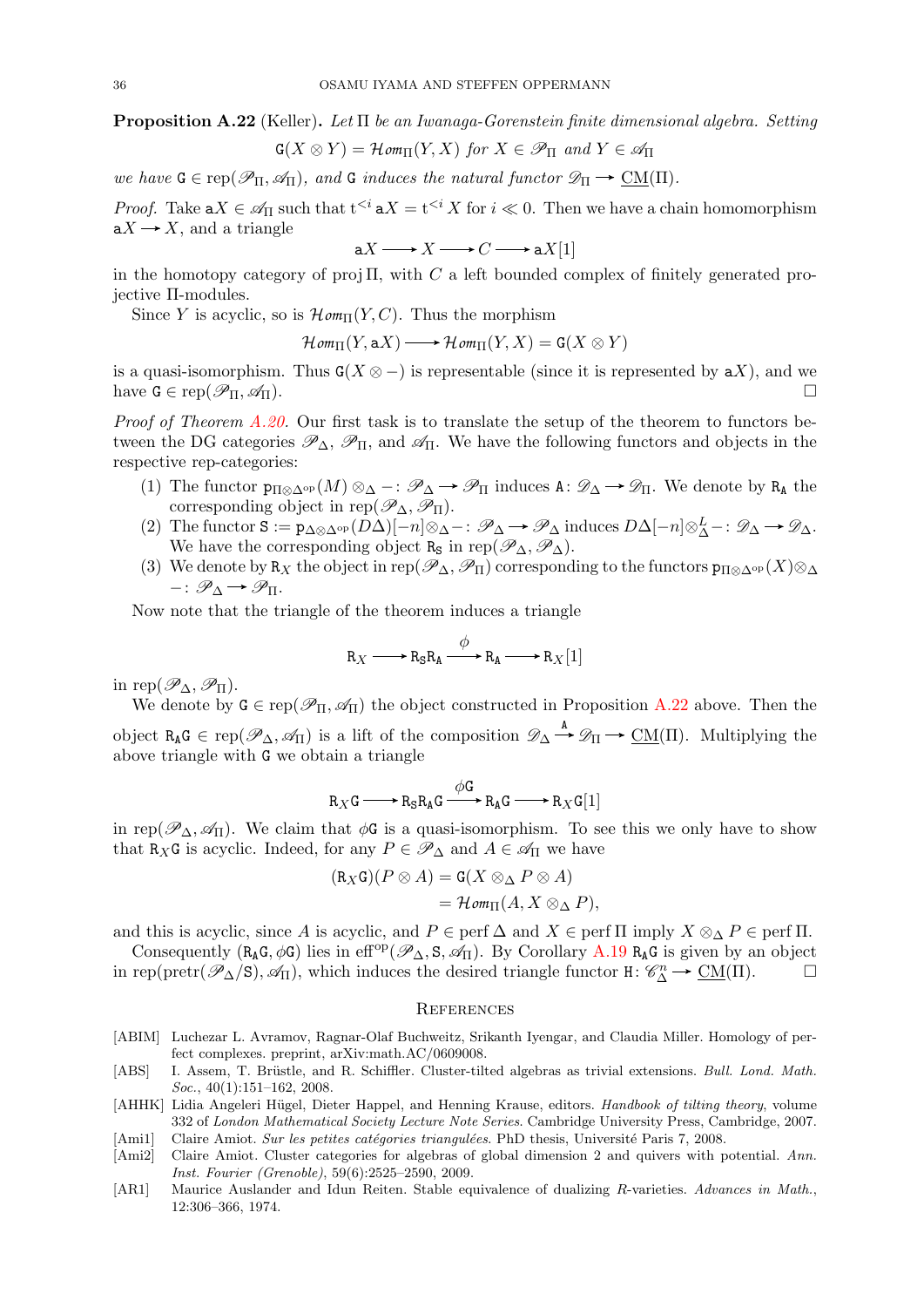<span id="page-35-7"></span>**Proposition A.22** (Keller). Let  $\Pi$  be an Iwanaga-Gorenstein finite dimensional algebra. Setting

$$
\mathbf{G}(X \otimes Y) = \mathcal{H}om_{\Pi}(Y, X) \text{ for } X \in \mathscr{P}_{\Pi} \text{ and } Y \in \mathscr{A}_{\Pi}
$$

we have  $G \in \text{rep}(\mathscr{P}_{\Pi}, \mathscr{A}_{\Pi})$ , and G induces the natural functor  $\mathscr{D}_{\Pi} \to \text{CM}(\Pi)$ .

*Proof.* Take  $aX \in \mathscr{A}_{\Pi}$  such that  $t^{< i} aX = t^{< i} X$  for  $i \ll 0$ . Then we have a chain homomorphism  $aX \rightarrow X$ , and a triangle

$$
aX \longrightarrow X \longrightarrow C \longrightarrow aX[1]
$$

in the homotopy category of proj  $\Pi$ , with C a left bounded complex of finitely generated projective Π-modules.

Since Y is acyclic, so is  $\mathcal{H}om_{\Pi}(Y, C)$ . Thus the morphism

 $\mathcal{H}om_{\Pi}(Y, aX) \longrightarrow \mathcal{H}om_{\Pi}(Y, X) = \mathsf{G}(X \otimes Y)$ 

is a quasi-isomorphism. Thus  $G(X \otimes -)$  is representable (since it is represented by  $aX$ ), and we have  $G \in \text{rep}(\mathscr{P}_{\Pi}, \mathscr{A}_{\Pi}).$ 

*Proof of Theorem [A.20.](#page-34-1)* Our first task is to translate the setup of the theorem to functors between the DG categories  $\mathscr{P}_{\Delta}$ ,  $\mathscr{P}_{\Pi}$ , and  $\mathscr{A}_{\Pi}$ . We have the following functors and objects in the respective rep-categories:

- (1) The functor  $p_{\Pi \otimes \Delta^{\rm op}}(M) \otimes_{\Delta} \cdots \mathscr{P}_{\Delta} \rightarrow \mathscr{P}_{\Pi}$  induces  $A: \mathscr{D}_{\Delta} \rightarrow \mathscr{D}_{\Pi}$ . We denote by  $R_A$  the corresponding object in rep( $\mathscr{P}_{\Delta}, \mathscr{P}_{\Pi}$ ).
- (2) The functor  $S := p_{\Delta \otimes \Delta^{\rm op}}(D\Delta)[-n] \otimes_{\Delta} -: \mathscr{P}_{\Delta} \to \mathscr{P}_{\Delta}$  induces  $D\Delta[-n] \otimes_{\Delta}^L -: \mathscr{D}_{\Delta} \to \mathscr{D}_{\Delta}$ . We have the corresponding object R<sub>S</sub> in rep( $\mathscr{P}_{\Delta}, \mathscr{P}_{\Delta}$ ).
- (3) We denote by R<sub>X</sub> the object in rep( $\mathscr{P}_{\Delta}, \mathscr{P}_{\Pi}$ ) corresponding to the functors  $p_{\Pi\otimes\Delta^{op}}(X)\otimes_{\Delta}$  $-:\mathscr{P}_{\Lambda}\rightarrow\mathscr{P}_{\Pi}.$

Now note that the triangle of the theorem induces a triangle

$$
R_X \longrightarrow R_S R_A \xrightarrow{\phi} R_A \longrightarrow R_X[1]
$$

in rep( $\mathscr{P}_{\Delta}, \mathscr{P}_{\Pi}$ ).

We denote by  $G \in \text{rep}(\mathscr{P}_{\Pi}, \mathscr{A}_{\Pi})$  the object constructed in Proposition [A.22](#page-35-7) above. Then the object  $R_A G \in rep(\mathscr{P}_\Delta, \mathscr{A}_\Pi)$  is a lift of the composition  $\mathscr{D}_\Delta \stackrel{A}{\to} \mathscr{D}_\Pi \to \underline{CM}(\Pi)$ . Multiplying the above triangle with G we obtain a triangle

$$
R_XG \longrightarrow R_S R_A G \xrightarrow{\phi G} R_A G \longrightarrow R_X G[1]
$$

in rep( $\mathscr{P}_{\Delta}, \mathscr{A}_{\Pi}$ ). We claim that  $\phi \mathsf{G}$  is a quasi-isomorphism. To see this we only have to show that R<sub>X</sub>G is acyclic. Indeed, for any  $P \in \mathscr{P}_{\Delta}$  and  $A \in \mathscr{A}_{\Pi}$  we have

$$
(\mathsf{R}_X\mathsf{G})(P\otimes A) = \mathsf{G}(X\otimes_{\Delta}P\otimes A)
$$
  
=\mathcal{H}\mathit{om}\_{\Pi}(A, X\otimes\_{\Delta}P),

and this is acyclic, since A is acyclic, and  $P \in \text{perf } \Delta$  and  $X \in \text{perf } \Pi$  imply  $X \otimes_{\Delta} P \in \text{perf } \Pi$ .

Consequently ( $R_A G$ ,  $\phi G$ ) lies in eff<sup>op</sup>( $\mathscr{P}_{\Delta}$ , S,  $\mathscr{A}_{\Pi}$ ). By Corollary [A.19](#page-34-3)  $R_A G$  is given by an object in rep(pretr( $\mathscr{P}_{\Delta}/s$ ),  $\mathscr{A}_{\Pi}$ ), which induces the desired triangle functor H:  $\mathscr{C}_{\Delta}^{n} \to \underline{\text{CM}}(\Pi)$ .

### <span id="page-35-0"></span>**REFERENCES**

- <span id="page-35-6"></span>[ABIM] Luchezar L. Avramov, Ragnar-Olaf Buchweitz, Srikanth Iyengar, and Claudia Miller. Homology of perfect complexes. preprint, arXiv:math.AC/0609008.
- <span id="page-35-3"></span>[ABS] I. Assem, T. Brüstle, and R. Schiffler. Cluster-tilted algebras as trivial extensions. Bull. Lond. Math.  $Soc., 40(1):151-162, 2008.$
- <span id="page-35-5"></span>[AHHK] Lidia Angeleri Hügel, Dieter Happel, and Henning Krause, editors. Handbook of tilting theory, volume 332 of London Mathematical Society Lecture Note Series. Cambridge University Press, Cambridge, 2007. [Ami1] Claire Amiot. Sur les petites catégories triangulées. PhD thesis, Université Paris 7, 2008.
- <span id="page-35-2"></span><span id="page-35-1"></span>[Ami2] Claire Amiot. Cluster categories for algebras of global dimension 2 and quivers with potential. Ann.
- Inst. Fourier (Grenoble), 59(6):2525–2590, 2009. [AR1] Maurice Auslander and Idun Reiten. Stable equivalence of dualizing R-varieties. Advances in Math.,
- <span id="page-35-4"></span>12:306–366, 1974.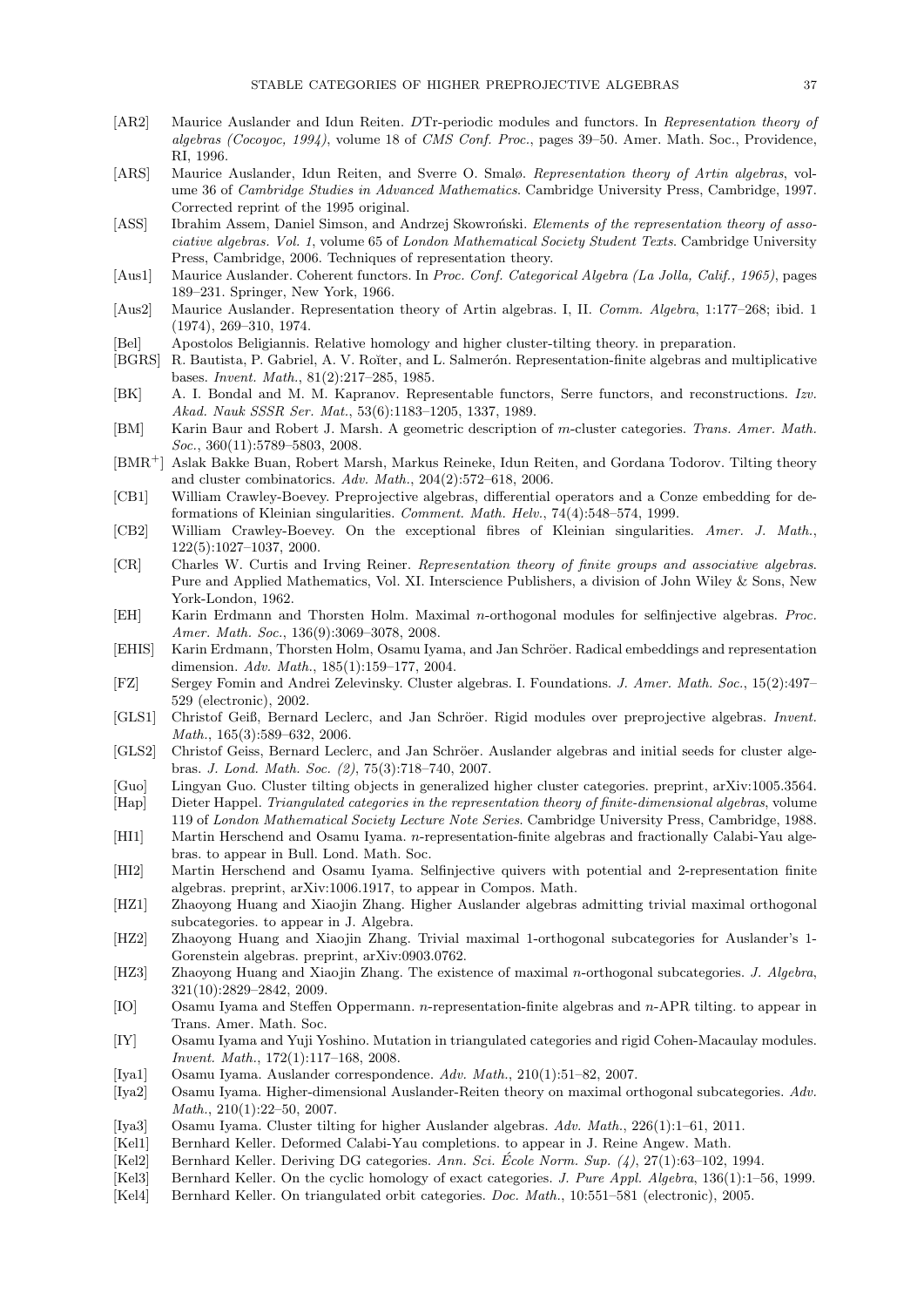- <span id="page-36-0"></span>[AR2] Maurice Auslander and Idun Reiten. DTr-periodic modules and functors. In Representation theory of algebras (Cocoyoc, 1994), volume 18 of CMS Conf. Proc., pages 39–50. Amer. Math. Soc., Providence, RI, 1996.
- <span id="page-36-20"></span>[ARS] Maurice Auslander, Idun Reiten, and Sverre O. Smalø. Representation theory of Artin algebras, volume 36 of Cambridge Studies in Advanced Mathematics. Cambridge University Press, Cambridge, 1997. Corrected reprint of the 1995 original.
- <span id="page-36-21"></span>[ASS] Ibrahim Assem, Daniel Simson, and Andrzej Skowroński. Elements of the representation theory of associative algebras. Vol. 1, volume 65 of London Mathematical Society Student Texts. Cambridge University Press, Cambridge, 2006. Techniques of representation theory.
- <span id="page-36-22"></span>[Aus1] Maurice Auslander. Coherent functors. In Proc. Conf. Categorical Algebra (La Jolla, Calif., 1965), pages 189–231. Springer, New York, 1966.
- <span id="page-36-23"></span>[Aus2] Maurice Auslander. Representation theory of Artin algebras. I, II. Comm. Algebra, 1:177–268; ibid. 1 (1974), 269–310, 1974.
- <span id="page-36-30"></span>[Bel] Apostolos Beligiannis. Relative homology and higher cluster-tilting theory. in preparation.
- <span id="page-36-28"></span>[BGRS] R. Bautista, P. Gabriel, A. V. Roĭter, and L. Salmerón. Representation-finite algebras and multiplicative bases. Invent. Math., 81(2):217–285, 1985.
- <span id="page-36-25"></span>[BK] A. I. Bondal and M. M. Kapranov. Representable functors, Serre functors, and reconstructions. Izv. Akad. Nauk SSSR Ser. Mat., 53(6):1183–1205, 1337, 1989.
- <span id="page-36-6"></span>[BM] Karin Baur and Robert J. Marsh. A geometric description of m-cluster categories. Trans. Amer. Math. Soc., 360(11):5789-5803, 2008.
- <span id="page-36-5"></span>[BMR<sup>+</sup>] Aslak Bakke Buan, Robert Marsh, Markus Reineke, Idun Reiten, and Gordana Todorov. Tilting theory and cluster combinatorics. Adv. Math., 204(2):572–618, 2006.
- <span id="page-36-8"></span>[CB1] William Crawley-Boevey. Preprojective algebras, differential operators and a Conze embedding for deformations of Kleinian singularities. Comment. Math. Helv., 74(4):548–574, 1999.
- <span id="page-36-1"></span>[CB2] William Crawley-Boevey. On the exceptional fibres of Kleinian singularities. Amer. J. Math., 122(5):1027–1037, 2000.
- <span id="page-36-26"></span>[CR] Charles W. Curtis and Irving Reiner. Representation theory of finite groups and associative algebras. Pure and Applied Mathematics, Vol. XI. Interscience Publishers, a division of John Wiley & Sons, New York-London, 1962.
- <span id="page-36-11"></span>[EH] Karin Erdmann and Thorsten Holm. Maximal n-orthogonal modules for selfinjective algebras. Proc. Amer. Math. Soc., 136(9):3069–3078, 2008.
- <span id="page-36-29"></span>[EHIS] Karin Erdmann, Thorsten Holm, Osamu Iyama, and Jan Schröer. Radical embeddings and representation dimension. Adv. Math., 185(1):159–177, 2004.
- <span id="page-36-4"></span>[FZ] Sergey Fomin and Andrei Zelevinsky. Cluster algebras. I. Foundations. J. Amer. Math. Soc., 15(2):497– 529 (electronic), 2002.
- <span id="page-36-2"></span>[GLS1] Christof Geiß, Bernard Leclerc, and Jan Schröer. Rigid modules over preprojective algebras. Invent. Math., 165(3):589–632, 2006.
- <span id="page-36-3"></span>[GLS2] Christof Geiss, Bernard Leclerc, and Jan Schröer. Auslander algebras and initial seeds for cluster algebras. J. Lond. Math. Soc. (2), 75(3):718–740, 2007.
- <span id="page-36-7"></span>[Guo] Lingyan Guo. Cluster tilting objects in generalized higher cluster categories. preprint, arXiv:1005.3564.
- <span id="page-36-24"></span>[Hap] Dieter Happel. Triangulated categories in the representation theory of finite-dimensional algebras, volume 119 of London Mathematical Society Lecture Note Series. Cambridge University Press, Cambridge, 1988.
- <span id="page-36-12"></span>[HI1] Martin Herschend and Osamu Iyama. n-representation-finite algebras and fractionally Calabi-Yau algebras. to appear in Bull. Lond. Math. Soc.
- <span id="page-36-13"></span>[HI2] Martin Herschend and Osamu Iyama. Selfinjective quivers with potential and 2-representation finite algebras. preprint, arXiv:1006.1917, to appear in Compos. Math.
- <span id="page-36-14"></span>[HZ1] Zhaoyong Huang and Xiaojin Zhang. Higher Auslander algebras admitting trivial maximal orthogonal subcategories. to appear in J. Algebra.
- <span id="page-36-15"></span>[HZ2] Zhaoyong Huang and Xiaojin Zhang. Trivial maximal 1-orthogonal subcategories for Auslander's 1- Gorenstein algebras. preprint, arXiv:0903.0762.
- <span id="page-36-16"></span>[HZ3] Zhaoyong Huang and Xiaojin Zhang. The existence of maximal n-orthogonal subcategories. J. Algebra, 321(10):2829–2842, 2009.
- <span id="page-36-10"></span>[IO] Osamu Iyama and Steffen Oppermann. n-representation-finite algebras and n-APR tilting. to appear in Trans. Amer. Math. Soc.
- <span id="page-36-27"></span>[IY] Osamu Iyama and Yuji Yoshino. Mutation in triangulated categories and rigid Cohen-Macaulay modules. Invent. Math., 172(1):117–168, 2008.
- <span id="page-36-17"></span>[Iya1] Osamu Iyama. Auslander correspondence. Adv. Math., 210(1):51–82, 2007.
- <span id="page-36-18"></span>[Iya2] Osamu Iyama. Higher-dimensional Auslander-Reiten theory on maximal orthogonal subcategories. Adv. Math., 210(1):22–50, 2007.
- <span id="page-36-19"></span>[Iya3] Osamu Iyama. Cluster tilting for higher Auslander algebras. Adv. Math., 226(1):1–61, 2011.
- <span id="page-36-9"></span>[Kel1] Bernhard Keller. Deformed Calabi-Yau completions. to appear in J. Reine Angew. Math.
- <span id="page-36-32"></span>[Kel2] Bernhard Keller. Deriving DG categories. Ann. Sci. École Norm. Sup.  $(4)$ , 27(1):63–102, 1994.
- <span id="page-36-33"></span>[Kel3] Bernhard Keller. On the cyclic homology of exact categories. J. Pure Appl. Algebra, 136(1):1–56, 1999.
- <span id="page-36-31"></span>[Kel4] Bernhard Keller. On triangulated orbit categories. Doc. Math., 10:551–581 (electronic), 2005.